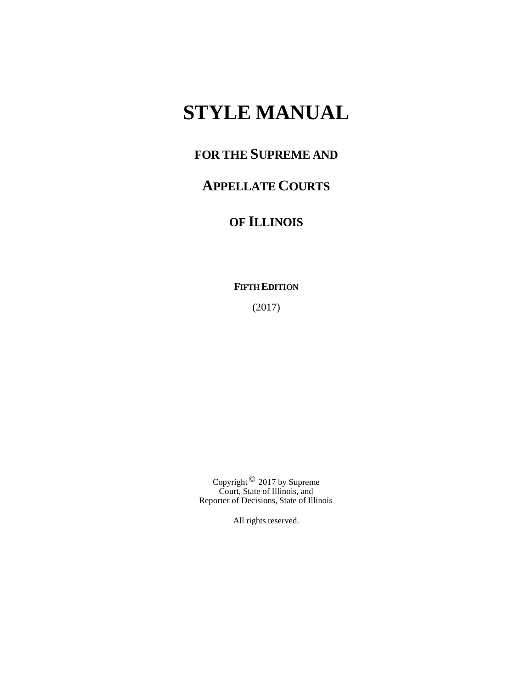# **STYLE MANUAL**

## **FOR THE SUPREME AND**

## **APPELLATE COURTS**

## **OF ILLINOIS**

**FIFTH EDITION**

(2017)

Copyright  $\mathcal O$  2017 by Supreme Court, State of Illinois, and Reporter of Decisions, State of Illinois

All rights reserved.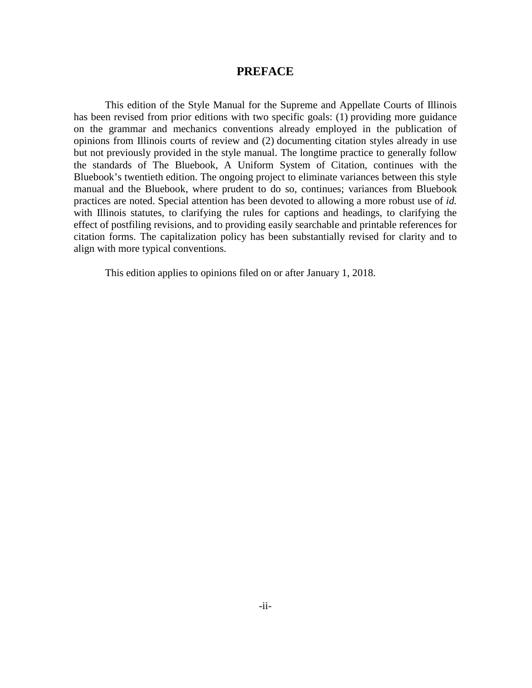## **PREFACE**

<span id="page-1-0"></span>This edition of the Style Manual for the Supreme and Appellate Courts of Illinois has been revised from prior editions with two specific goals: (1) providing more guidance on the grammar and mechanics conventions already employed in the publication of opinions from Illinois courts of review and (2) documenting citation styles already in use but not previously provided in the style manual. The longtime practice to generally follow the standards of The Bluebook, A Uniform System of Citation, continues with the Bluebook's twentieth edition. The ongoing project to eliminate variances between this style manual and the Bluebook, where prudent to do so, continues; variances from Bluebook practices are noted. Special attention has been devoted to allowing a more robust use of *id.* with Illinois statutes, to clarifying the rules for captions and headings, to clarifying the effect of postfiling revisions, and to providing easily searchable and printable references for citation forms. The capitalization policy has been substantially revised for clarity and to align with more typical conventions.

This edition applies to opinions filed on or after January 1, 2018.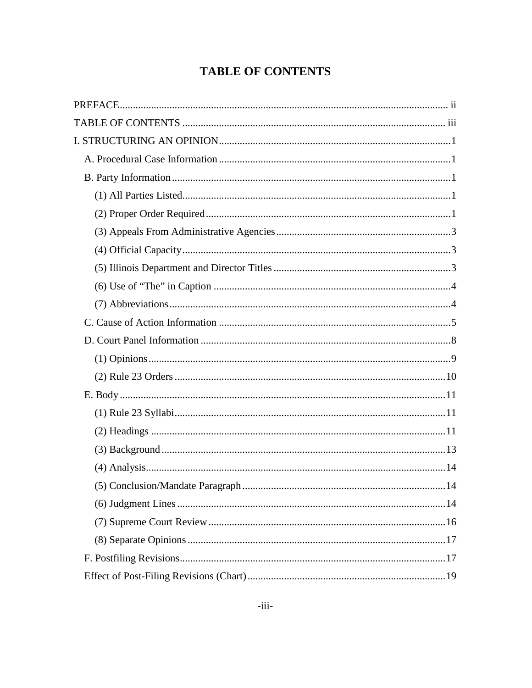## **TABLE OF CONTENTS**

<span id="page-2-0"></span>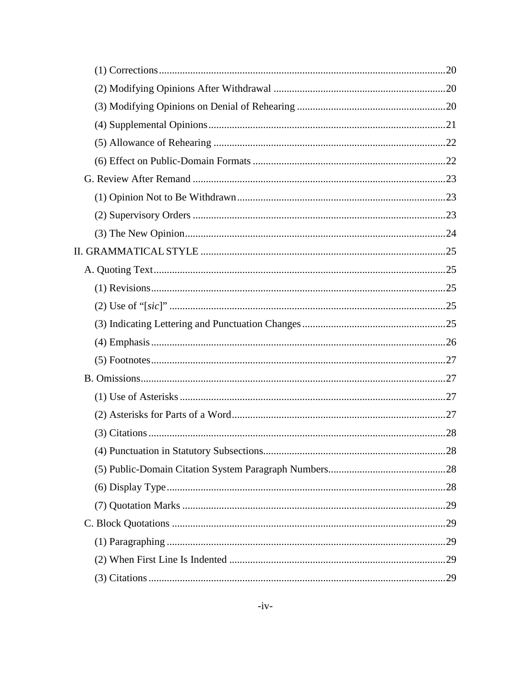| 28 |
|----|
|    |
|    |
|    |
|    |
|    |
|    |
|    |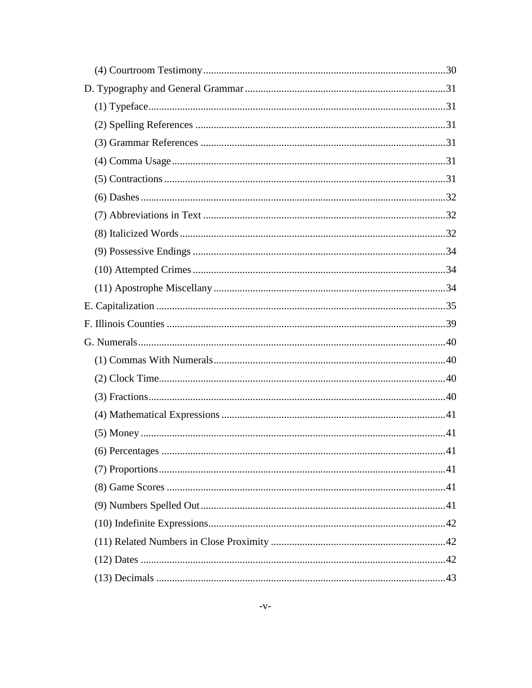| .41 |
|-----|
|     |
|     |
|     |
|     |
|     |
|     |
|     |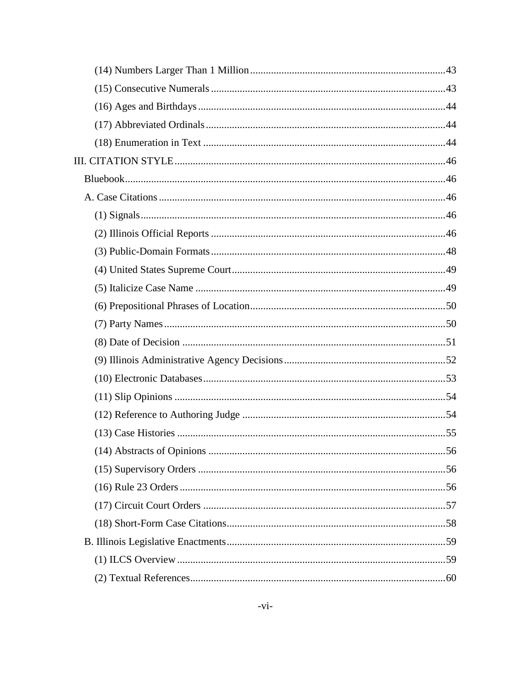| 56 |
|----|
|    |
|    |
|    |
|    |
|    |
|    |
|    |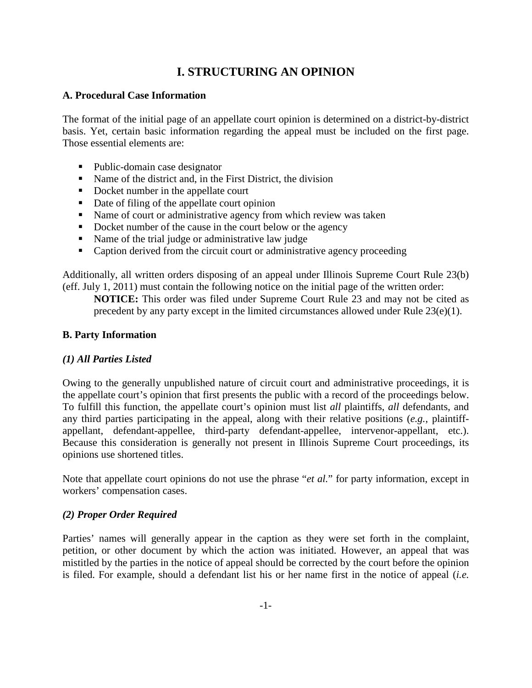## **I. STRUCTURING AN OPINION**

## <span id="page-7-1"></span><span id="page-7-0"></span>**A. Procedural Case Information**

The format of the initial page of an appellate court opinion is determined on a district-by-district basis. Yet, certain basic information regarding the appeal must be included on the first page. Those essential elements are:

- Public-domain case designator
- Name of the district and, in the First District, the division
- Docket number in the appellate court
- Date of filing of the appellate court opinion
- Name of court or administrative agency from which review was taken
- Docket number of the cause in the court below or the agency
- Name of the trial judge or administrative law judge
- Caption derived from the circuit court or administrative agency proceeding

Additionally, all written orders disposing of an appeal under Illinois Supreme Court Rule 23(b) (eff. July 1, 2011) must contain the following notice on the initial page of the written order:

**NOTICE:** This order was filed under Supreme Court Rule 23 and may not be cited as precedent by any party except in the limited circumstances allowed under Rule 23(e)(1).

## <span id="page-7-3"></span><span id="page-7-2"></span>**B. Party Information**

## *(1) All Parties Listed*

Owing to the generally unpublished nature of circuit court and administrative proceedings, it is the appellate court's opinion that first presents the public with a record of the proceedings below. To fulfill this function, the appellate court's opinion must list *all* plaintiffs, *all* defendants, and any third parties participating in the appeal, along with their relative positions (*e.g.*, plaintiffappellant, defendant-appellee, third-party defendant-appellee, intervenor-appellant, etc.). Because this consideration is generally not present in Illinois Supreme Court proceedings, its opinions use shortened titles.

Note that appellate court opinions do not use the phrase "*et al.*" for party information, except in workers' compensation cases.

## <span id="page-7-4"></span>*(2) Proper Order Required*

Parties' names will generally appear in the caption as they were set forth in the complaint, petition, or other document by which the action was initiated. However, an appeal that was mistitled by the parties in the notice of appeal should be corrected by the court before the opinion is filed. For example, should a defendant list his or her name first in the notice of appeal (*i.e.*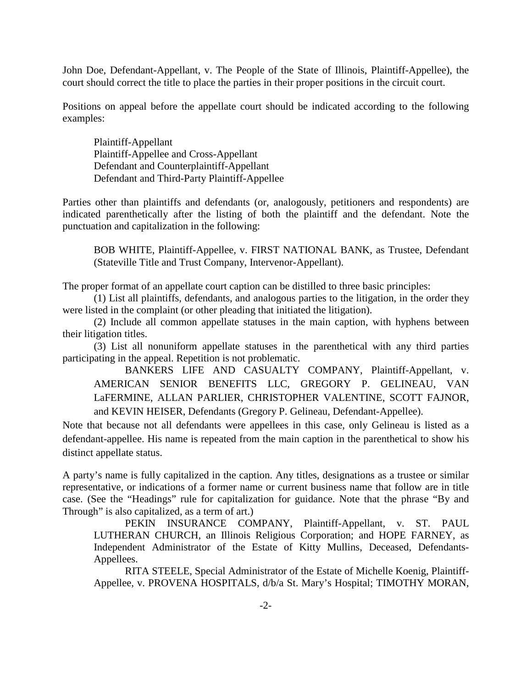John Doe, Defendant-Appellant, v. The People of the State of Illinois, Plaintiff-Appellee), the court should correct the title to place the parties in their proper positions in the circuit court.

Positions on appeal before the appellate court should be indicated according to the following examples:

Plaintiff-Appellant Plaintiff-Appellee and Cross-Appellant Defendant and Counterplaintiff-Appellant Defendant and Third-Party Plaintiff-Appellee

Parties other than plaintiffs and defendants (or, analogously, petitioners and respondents) are indicated parenthetically after the listing of both the plaintiff and the defendant. Note the punctuation and capitalization in the following:

BOB WHITE, Plaintiff-Appellee, v. FIRST NATIONAL BANK, as Trustee, Defendant (Stateville Title and Trust Company, Intervenor-Appellant).

The proper format of an appellate court caption can be distilled to three basic principles:

(1) List all plaintiffs, defendants, and analogous parties to the litigation, in the order they were listed in the complaint (or other pleading that initiated the litigation).

(2) Include all common appellate statuses in the main caption, with hyphens between their litigation titles.

(3) List all nonuniform appellate statuses in the parenthetical with any third parties participating in the appeal. Repetition is not problematic.

BANKERS LIFE AND CASUALTY COMPANY, Plaintiff-Appellant, v. AMERICAN SENIOR BENEFITS LLC, GREGORY P. GELINEAU, VAN LaFERMINE, ALLAN PARLIER, CHRISTOPHER VALENTINE, SCOTT FAJNOR, and KEVIN HEISER, Defendants (Gregory P. Gelineau, Defendant-Appellee).

Note that because not all defendants were appellees in this case, only Gelineau is listed as a defendant-appellee. His name is repeated from the main caption in the parenthetical to show his distinct appellate status.

A party's name is fully capitalized in the caption. Any titles, designations as a trustee or similar representative, or indications of a former name or current business name that follow are in title case. (See the "Headings" rule for capitalization for guidance. Note that the phrase "By and Through" is also capitalized, as a term of art.)

PEKIN INSURANCE COMPANY, Plaintiff-Appellant, v. ST. PAUL LUTHERAN CHURCH, an Illinois Religious Corporation; and HOPE FARNEY, as Independent Administrator of the Estate of Kitty Mullins, Deceased, Defendants-Appellees.

RITA STEELE, Special Administrator of the Estate of Michelle Koenig, Plaintiff-Appellee, v. PROVENA HOSPITALS, d/b/a St. Mary's Hospital; TIMOTHY MORAN,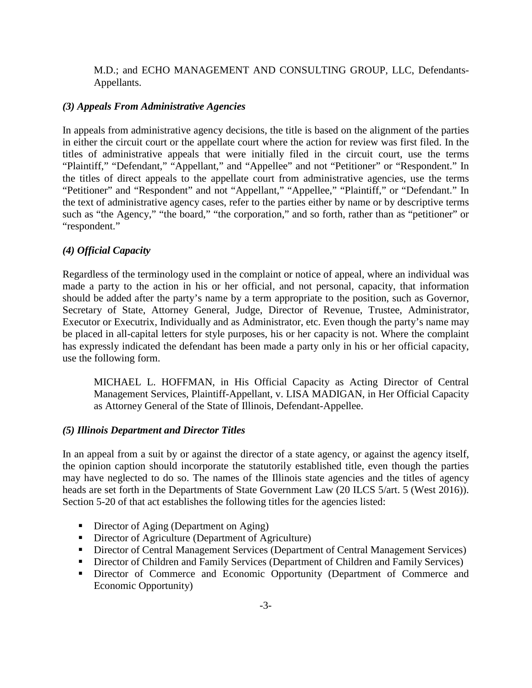M.D.; and ECHO MANAGEMENT AND CONSULTING GROUP, LLC, Defendants-Appellants.

#### <span id="page-9-0"></span>*(3) Appeals From Administrative Agencies*

In appeals from administrative agency decisions, the title is based on the alignment of the parties in either the circuit court or the appellate court where the action for review was first filed. In the titles of administrative appeals that were initially filed in the circuit court, use the terms "Plaintiff," "Defendant," "Appellant," and "Appellee" and not "Petitioner" or "Respondent." In the titles of direct appeals to the appellate court from administrative agencies, use the terms "Petitioner" and "Respondent" and not "Appellant," "Appellee," "Plaintiff," or "Defendant." In the text of administrative agency cases, refer to the parties either by name or by descriptive terms such as "the Agency," "the board," "the corporation," and so forth, rather than as "petitioner" or "respondent."

#### <span id="page-9-1"></span>*(4) Official Capacity*

Regardless of the terminology used in the complaint or notice of appeal, where an individual was made a party to the action in his or her official, and not personal, capacity, that information should be added after the party's name by a term appropriate to the position, such as Governor, Secretary of State, Attorney General, Judge, Director of Revenue, Trustee, Administrator, Executor or Executrix, Individually and as Administrator, etc. Even though the party's name may be placed in all-capital letters for style purposes, his or her capacity is not. Where the complaint has expressly indicated the defendant has been made a party only in his or her official capacity, use the following form.

MICHAEL L. HOFFMAN, in His Official Capacity as Acting Director of Central Management Services, Plaintiff-Appellant, v. LISA MADIGAN, in Her Official Capacity as Attorney General of the State of Illinois, Defendant-Appellee.

#### <span id="page-9-2"></span>*(5) Illinois Department and Director Titles*

In an appeal from a suit by or against the director of a state agency, or against the agency itself, the opinion caption should incorporate the statutorily established title, even though the parties may have neglected to do so. The names of the Illinois state agencies and the titles of agency heads are set forth in the Departments of State Government Law (20 ILCS 5/art. 5 (West 2016)). Section 5-20 of that act establishes the following titles for the agencies listed:

- Director of Aging (Department on Aging)
- Director of Agriculture (Department of Agriculture)
- Director of Central Management Services (Department of Central Management Services)
- **Director of Children and Family Services (Department of Children and Family Services)**
- Director of Commerce and Economic Opportunity (Department of Commerce and Economic Opportunity)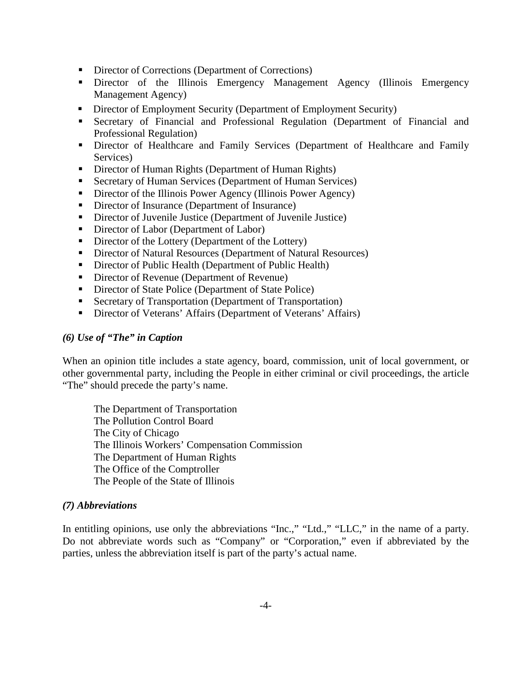- Director of Corrections (Department of Corrections)
- Director of the Illinois Emergency Management Agency (Illinois Emergency Management Agency)
- Director of Employment Security (Department of Employment Security)
- Secretary of Financial and Professional Regulation (Department of Financial and Professional Regulation)
- **Director of Healthcare and Family Services (Department of Healthcare and Family** Services)
- Director of Human Rights (Department of Human Rights)
- Secretary of Human Services (Department of Human Services)
- **Director of the Illinois Power Agency (Illinois Power Agency)**
- Director of Insurance (Department of Insurance)
- Director of Juvenile Justice (Department of Juvenile Justice)
- Director of Labor (Department of Labor)
- Director of the Lottery (Department of the Lottery)
- Director of Natural Resources (Department of Natural Resources)
- Director of Public Health (Department of Public Health)
- Director of Revenue (Department of Revenue)
- Director of State Police (Department of State Police)
- Secretary of Transportation (Department of Transportation)
- Director of Veterans' Affairs (Department of Veterans' Affairs)

#### <span id="page-10-0"></span>*(6) Use of "The" in Caption*

When an opinion title includes a state agency, board, commission, unit of local government, or other governmental party, including the People in either criminal or civil proceedings, the article "The" should precede the party's name.

The Department of Transportation The Pollution Control Board The City of Chicago The Illinois Workers' Compensation Commission The Department of Human Rights The Office of the Comptroller The People of the State of Illinois

#### <span id="page-10-1"></span>*(7) Abbreviations*

<span id="page-10-2"></span>In entitling opinions, use only the abbreviations "Inc.," "Ltd.," "LLC," in the name of a party. Do not abbreviate words such as "Company" or "Corporation," even if abbreviated by the parties, unless the abbreviation itself is part of the party's actual name.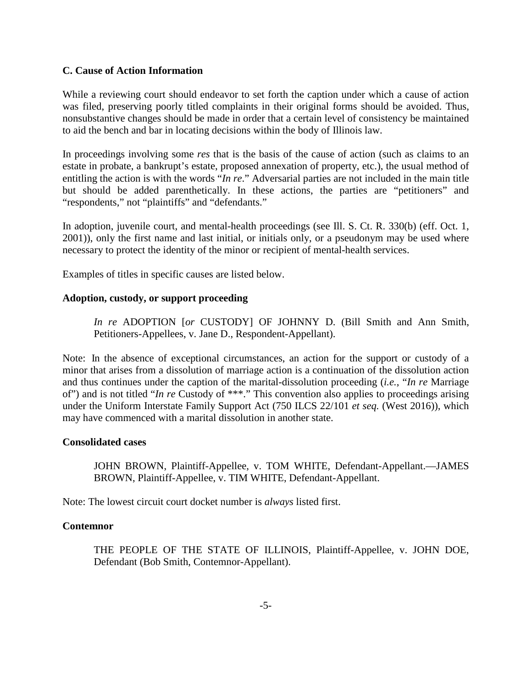#### **C. Cause of Action Information**

While a reviewing court should endeavor to set forth the caption under which a cause of action was filed, preserving poorly titled complaints in their original forms should be avoided. Thus, nonsubstantive changes should be made in order that a certain level of consistency be maintained to aid the bench and bar in locating decisions within the body of Illinois law.

In proceedings involving some *res* that is the basis of the cause of action (such as claims to an estate in probate, a bankrupt's estate, proposed annexation of property, etc.), the usual method of entitling the action is with the words "*In re*." Adversarial parties are not included in the main title but should be added parenthetically. In these actions, the parties are "petitioners" and "respondents," not "plaintiffs" and "defendants."

In adoption, juvenile court, and mental-health proceedings (see Ill. S. Ct. R. 330(b) (eff. Oct. 1, 2001)), only the first name and last initial, or initials only, or a pseudonym may be used where necessary to protect the identity of the minor or recipient of mental-health services.

Examples of titles in specific causes are listed below.

## **Adoption, custody, or support proceeding**

*In re* ADOPTION [*or* CUSTODY] OF JOHNNY D. (Bill Smith and Ann Smith, Petitioners-Appellees, v. Jane D., Respondent-Appellant).

Note: In the absence of exceptional circumstances, an action for the support or custody of a minor that arises from a dissolution of marriage action is a continuation of the dissolution action and thus continues under the caption of the marital-dissolution proceeding (*i.e.*, "*In re* Marriage of") and is not titled "*In re* Custody of \*\*\*." This convention also applies to proceedings arising under the Uniform Interstate Family Support Act (750 ILCS 22/101 *et seq.* (West 2016)), which may have commenced with a marital dissolution in another state.

#### **Consolidated cases**

JOHN BROWN, Plaintiff-Appellee, v. TOM WHITE, Defendant-Appellant.—JAMES BROWN, Plaintiff-Appellee, v. TIM WHITE, Defendant-Appellant.

Note: The lowest circuit court docket number is *always* listed first.

#### **Contemnor**

THE PEOPLE OF THE STATE OF ILLINOIS, Plaintiff-Appellee, v. JOHN DOE, Defendant (Bob Smith, Contemnor-Appellant).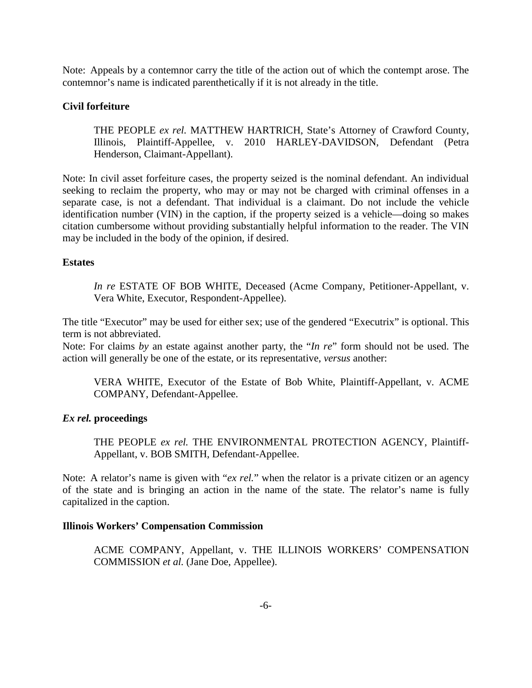Note: Appeals by a contemnor carry the title of the action out of which the contempt arose. The contemnor's name is indicated parenthetically if it is not already in the title.

## **Civil forfeiture**

THE PEOPLE *ex rel.* MATTHEW HARTRICH, State's Attorney of Crawford County, Illinois, Plaintiff-Appellee, v. 2010 HARLEY-DAVIDSON, Defendant (Petra Henderson, Claimant-Appellant).

Note: In civil asset forfeiture cases, the property seized is the nominal defendant. An individual seeking to reclaim the property, who may or may not be charged with criminal offenses in a separate case, is not a defendant. That individual is a claimant. Do not include the vehicle identification number (VIN) in the caption, if the property seized is a vehicle—doing so makes citation cumbersome without providing substantially helpful information to the reader. The VIN may be included in the body of the opinion, if desired.

#### **Estates**

*In re* ESTATE OF BOB WHITE, Deceased (Acme Company, Petitioner-Appellant, v. Vera White, Executor, Respondent-Appellee).

The title "Executor" may be used for either sex; use of the gendered "Executrix" is optional. This term is not abbreviated.

Note: For claims *by* an estate against another party, the "*In re*" form should not be used. The action will generally be one of the estate, or its representative, *versus* another:

VERA WHITE, Executor of the Estate of Bob White, Plaintiff-Appellant, v. ACME COMPANY, Defendant-Appellee.

#### *Ex rel.* **proceedings**

THE PEOPLE *ex rel.* THE ENVIRONMENTAL PROTECTION AGENCY, Plaintiff-Appellant, v. BOB SMITH, Defendant-Appellee.

Note: A relator's name is given with "*ex rel.*" when the relator is a private citizen or an agency of the state and is bringing an action in the name of the state. The relator's name is fully capitalized in the caption.

#### **Illinois Workers' Compensation Commission**

ACME COMPANY, Appellant, v. THE ILLINOIS WORKERS' COMPENSATION COMMISSION *et al.* (Jane Doe, Appellee).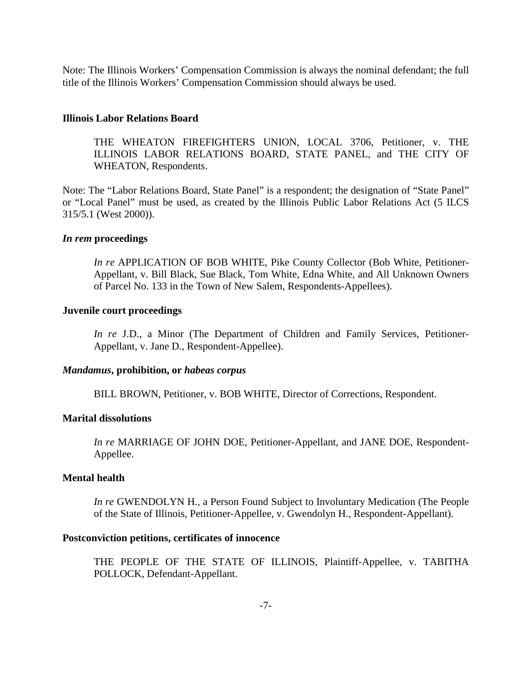Note: The Illinois Workers' Compensation Commission is always the nominal defendant; the full title of the Illinois Workers' Compensation Commission should always be used.

#### **Illinois Labor Relations Board**

THE WHEATON FIREFIGHTERS UNION, LOCAL 3706, Petitioner, v. THE ILLINOIS LABOR RELATIONS BOARD, STATE PANEL, and THE CITY OF WHEATON, Respondents.

Note: The "Labor Relations Board, State Panel" is a respondent; the designation of "State Panel" or "Local Panel" must be used, as created by the Illinois Public Labor Relations Act (5 ILCS 315/5.1 (West 2000)).

#### *In rem* **proceedings**

*In re* APPLICATION OF BOB WHITE, Pike County Collector (Bob White, Petitioner-Appellant, v. Bill Black, Sue Black, Tom White, Edna White, and All Unknown Owners of Parcel No. 133 in the Town of New Salem, Respondents-Appellees).

#### **Juvenile court proceedings**

*In re* J.D., a Minor (The Department of Children and Family Services, Petitioner-Appellant, v. Jane D., Respondent-Appellee).

#### *Mandamus***, prohibition, or** *habeas corpus*

BILL BROWN, Petitioner, v. BOB WHITE, Director of Corrections, Respondent.

#### **Marital dissolutions**

*In re* MARRIAGE OF JOHN DOE, Petitioner-Appellant, and JANE DOE, Respondent-Appellee.

#### **Mental health**

*In re* GWENDOLYN H., a Person Found Subject to Involuntary Medication (The People of the State of Illinois, Petitioner-Appellee, v. Gwendolyn H., Respondent-Appellant).

#### **Postconviction petitions, certificates of innocence**

THE PEOPLE OF THE STATE OF ILLINOIS, Plaintiff-Appellee, v. TABITHA POLLOCK, Defendant-Appellant.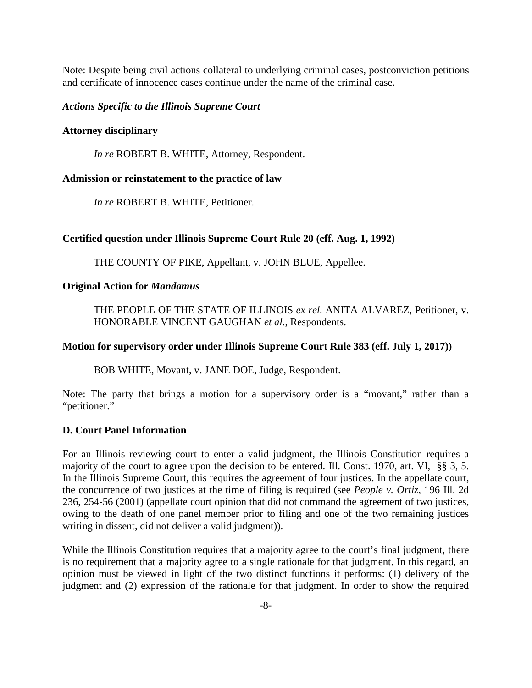Note: Despite being civil actions collateral to underlying criminal cases, postconviction petitions and certificate of innocence cases continue under the name of the criminal case.

#### *Actions Specific to the Illinois Supreme Court*

#### **Attorney disciplinary**

*In re* ROBERT B. WHITE, Attorney, Respondent.

#### **Admission or reinstatement to the practice of law**

*In re* ROBERT B. WHITE, Petitioner.

#### **Certified question under Illinois Supreme Court Rule 20 (eff. Aug. 1, 1992)**

THE COUNTY OF PIKE, Appellant, v. JOHN BLUE, Appellee.

#### **Original Action for** *Mandamus*

THE PEOPLE OF THE STATE OF ILLINOIS *ex rel.* ANITA ALVAREZ, Petitioner, v. HONORABLE VINCENT GAUGHAN *et al.*, Respondents.

#### **Motion for supervisory order under Illinois Supreme Court Rule 383 (eff. July 1, 2017))**

BOB WHITE, Movant, v. JANE DOE, Judge, Respondent.

Note: The party that brings a motion for a supervisory order is a "movant," rather than a "petitioner."

#### <span id="page-14-0"></span>**D. Court Panel Information**

For an Illinois reviewing court to enter a valid judgment, the Illinois Constitution requires a majority of the court to agree upon the decision to be entered. Ill. Const. 1970, art. VI, §§ 3, 5. In the Illinois Supreme Court, this requires the agreement of four justices. In the appellate court, the concurrence of two justices at the time of filing is required (see *People v. Ortiz*, 196 Ill. 2d 236, 254-56 (2001) (appellate court opinion that did not command the agreement of two justices, owing to the death of one panel member prior to filing and one of the two remaining justices writing in dissent, did not deliver a valid judgment)).

While the Illinois Constitution requires that a majority agree to the court's final judgment, there is no requirement that a majority agree to a single rationale for that judgment. In this regard, an opinion must be viewed in light of the two distinct functions it performs: (1) delivery of the judgment and (2) expression of the rationale for that judgment. In order to show the required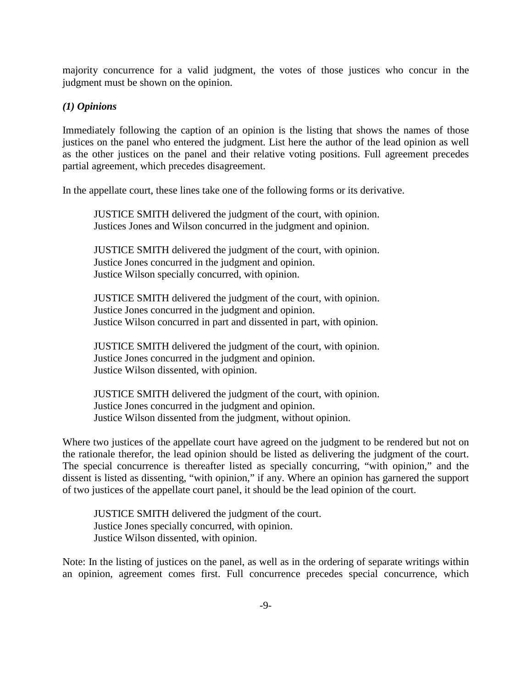majority concurrence for a valid judgment, the votes of those justices who concur in the judgment must be shown on the opinion.

#### <span id="page-15-0"></span>*(1) Opinions*

Immediately following the caption of an opinion is the listing that shows the names of those justices on the panel who entered the judgment. List here the author of the lead opinion as well as the other justices on the panel and their relative voting positions. Full agreement precedes partial agreement, which precedes disagreement.

In the appellate court, these lines take one of the following forms or its derivative.

JUSTICE SMITH delivered the judgment of the court, with opinion. Justices Jones and Wilson concurred in the judgment and opinion.

JUSTICE SMITH delivered the judgment of the court, with opinion. Justice Jones concurred in the judgment and opinion. Justice Wilson specially concurred, with opinion.

JUSTICE SMITH delivered the judgment of the court, with opinion. Justice Jones concurred in the judgment and opinion. Justice Wilson concurred in part and dissented in part, with opinion.

JUSTICE SMITH delivered the judgment of the court, with opinion. Justice Jones concurred in the judgment and opinion. Justice Wilson dissented, with opinion.

JUSTICE SMITH delivered the judgment of the court, with opinion. Justice Jones concurred in the judgment and opinion. Justice Wilson dissented from the judgment, without opinion.

Where two justices of the appellate court have agreed on the judgment to be rendered but not on the rationale therefor, the lead opinion should be listed as delivering the judgment of the court. The special concurrence is thereafter listed as specially concurring, "with opinion," and the dissent is listed as dissenting, "with opinion," if any. Where an opinion has garnered the support of two justices of the appellate court panel, it should be the lead opinion of the court.

JUSTICE SMITH delivered the judgment of the court. Justice Jones specially concurred, with opinion. Justice Wilson dissented, with opinion.

Note: In the listing of justices on the panel, as well as in the ordering of separate writings within an opinion, agreement comes first. Full concurrence precedes special concurrence, which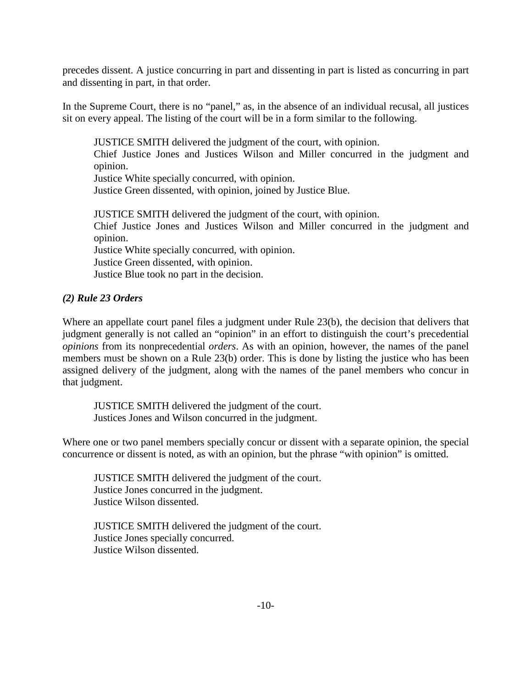precedes dissent. A justice concurring in part and dissenting in part is listed as concurring in part and dissenting in part, in that order.

In the Supreme Court, there is no "panel," as, in the absence of an individual recusal, all justices sit on every appeal. The listing of the court will be in a form similar to the following.

JUSTICE SMITH delivered the judgment of the court, with opinion. Chief Justice Jones and Justices Wilson and Miller concurred in the judgment and opinion. Justice White specially concurred, with opinion. Justice Green dissented, with opinion, joined by Justice Blue. JUSTICE SMITH delivered the judgment of the court, with opinion. Chief Justice Jones and Justices Wilson and Miller concurred in the judgment and

opinion. Justice White specially concurred, with opinion.

Justice Green dissented, with opinion.

Justice Blue took no part in the decision.

## <span id="page-16-0"></span>*(2) Rule 23 Orders*

Where an appellate court panel files a judgment under Rule 23(b), the decision that delivers that judgment generally is not called an "opinion" in an effort to distinguish the court's precedential *opinions* from its nonprecedential *orders*. As with an opinion, however, the names of the panel members must be shown on a Rule 23(b) order. This is done by listing the justice who has been assigned delivery of the judgment, along with the names of the panel members who concur in that judgment.

JUSTICE SMITH delivered the judgment of the court. Justices Jones and Wilson concurred in the judgment.

Where one or two panel members specially concur or dissent with a separate opinion, the special concurrence or dissent is noted, as with an opinion, but the phrase "with opinion" is omitted.

JUSTICE SMITH delivered the judgment of the court. Justice Jones concurred in the judgment. Justice Wilson dissented.

<span id="page-16-1"></span>JUSTICE SMITH delivered the judgment of the court. Justice Jones specially concurred. Justice Wilson dissented.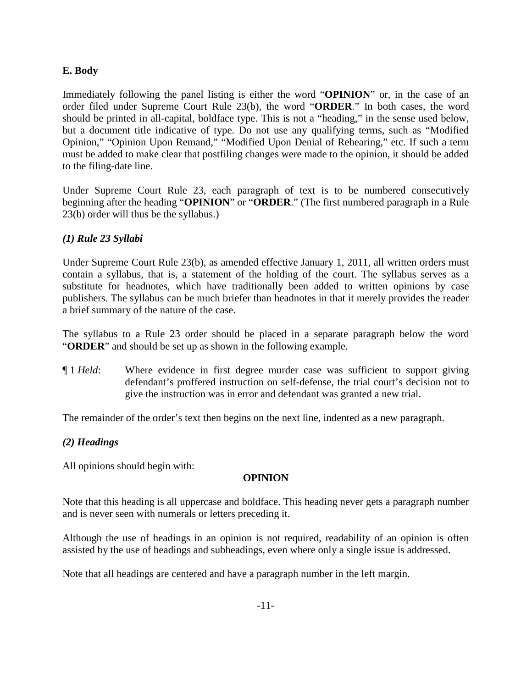## **E. Body**

Immediately following the panel listing is either the word "**OPINION**" or, in the case of an order filed under Supreme Court Rule 23(b), the word "**ORDER**." In both cases, the word should be printed in all-capital, boldface type. This is not a "heading," in the sense used below, but a document title indicative of type. Do not use any qualifying terms, such as "Modified Opinion," "Opinion Upon Remand," "Modified Upon Denial of Rehearing," etc. If such a term must be added to make clear that postfiling changes were made to the opinion, it should be added to the filing-date line.

Under Supreme Court Rule 23, each paragraph of text is to be numbered consecutively beginning after the heading "**OPINION**" or "**ORDER**." (The first numbered paragraph in a Rule 23(b) order will thus be the syllabus.)

## <span id="page-17-0"></span>*(1) Rule 23 Syllabi*

Under Supreme Court Rule 23(b), as amended effective January 1, 2011, all written orders must contain a syllabus, that is, a statement of the holding of the court. The syllabus serves as a substitute for headnotes, which have traditionally been added to written opinions by case publishers. The syllabus can be much briefer than headnotes in that it merely provides the reader a brief summary of the nature of the case.

The syllabus to a Rule 23 order should be placed in a separate paragraph below the word "**ORDER**" and should be set up as shown in the following example.

¶ 1 *Held*: Where evidence in first degree murder case was sufficient to support giving defendant's proffered instruction on self-defense, the trial court's decision not to give the instruction was in error and defendant was granted a new trial.

<span id="page-17-1"></span>The remainder of the order's text then begins on the next line, indented as a new paragraph.

## *(2) Headings*

All opinions should begin with:

## **OPINION**

Note that this heading is all uppercase and boldface. This heading never gets a paragraph number and is never seen with numerals or letters preceding it.

Although the use of headings in an opinion is not required, readability of an opinion is often assisted by the use of headings and subheadings, even where only a single issue is addressed.

Note that all headings are centered and have a paragraph number in the left margin.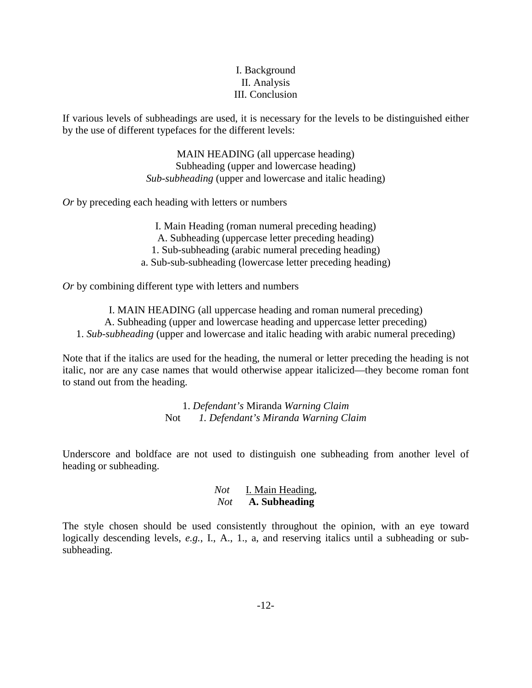## I. Background II. Analysis III. Conclusion

If various levels of subheadings are used, it is necessary for the levels to be distinguished either by the use of different typefaces for the different levels:

> MAIN HEADING (all uppercase heading) Subheading (upper and lowercase heading) *Sub-subheading* (upper and lowercase and italic heading)

*Or* by preceding each heading with letters or numbers

I. Main Heading (roman numeral preceding heading) A. Subheading (uppercase letter preceding heading) 1. Sub-subheading (arabic numeral preceding heading) a. Sub-sub-subheading (lowercase letter preceding heading)

*Or* by combining different type with letters and numbers

I. MAIN HEADING (all uppercase heading and roman numeral preceding) A. Subheading (upper and lowercase heading and uppercase letter preceding) 1. *Sub-subheading* (upper and lowercase and italic heading with arabic numeral preceding)

Note that if the italics are used for the heading, the numeral or letter preceding the heading is not italic, nor are any case names that would otherwise appear italicized—they become roman font to stand out from the heading.

> 1. *Defendant's* Miranda *Warning Claim* Not *1. Defendant's Miranda Warning Claim*

Underscore and boldface are not used to distinguish one subheading from another level of heading or subheading.

## *Not* I. Main Heading, *Not* **A. Subheading**

<span id="page-18-0"></span>The style chosen should be used consistently throughout the opinion, with an eye toward logically descending levels, *e.g.*, I., A., 1., a, and reserving italics until a subheading or subsubheading.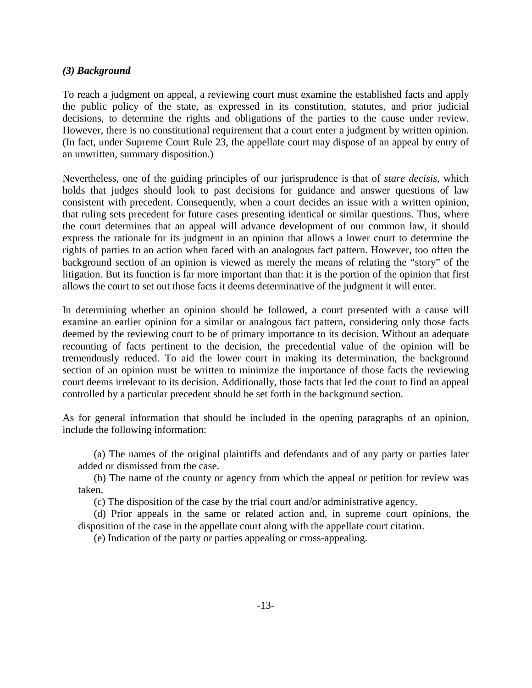## *(3) Background*

To reach a judgment on appeal, a reviewing court must examine the established facts and apply the public policy of the state, as expressed in its constitution, statutes, and prior judicial decisions, to determine the rights and obligations of the parties to the cause under review. However, there is no constitutional requirement that a court enter a judgment by written opinion. (In fact, under Supreme Court Rule 23, the appellate court may dispose of an appeal by entry of an unwritten, summary disposition.)

Nevertheless, one of the guiding principles of our jurisprudence is that of *stare decisis*, which holds that judges should look to past decisions for guidance and answer questions of law consistent with precedent. Consequently, when a court decides an issue with a written opinion, that ruling sets precedent for future cases presenting identical or similar questions. Thus, where the court determines that an appeal will advance development of our common law, it should express the rationale for its judgment in an opinion that allows a lower court to determine the rights of parties to an action when faced with an analogous fact pattern. However, too often the background section of an opinion is viewed as merely the means of relating the "story" of the litigation. But its function is far more important than that: it is the portion of the opinion that first allows the court to set out those facts it deems determinative of the judgment it will enter.

In determining whether an opinion should be followed, a court presented with a cause will examine an earlier opinion for a similar or analogous fact pattern, considering only those facts deemed by the reviewing court to be of primary importance to its decision. Without an adequate recounting of facts pertinent to the decision, the precedential value of the opinion will be tremendously reduced. To aid the lower court in making its determination, the background section of an opinion must be written to minimize the importance of those facts the reviewing court deems irrelevant to its decision. Additionally, those facts that led the court to find an appeal controlled by a particular precedent should be set forth in the background section.

As for general information that should be included in the opening paragraphs of an opinion, include the following information:

(a) The names of the original plaintiffs and defendants and of any party or parties later added or dismissed from the case.

(b) The name of the county or agency from which the appeal or petition for review was taken.

(c) The disposition of the case by the trial court and/or administrative agency.

(d) Prior appeals in the same or related action and, in supreme court opinions, the disposition of the case in the appellate court along with the appellate court citation.

<span id="page-19-0"></span>(e) Indication of the party or parties appealing or cross-appealing.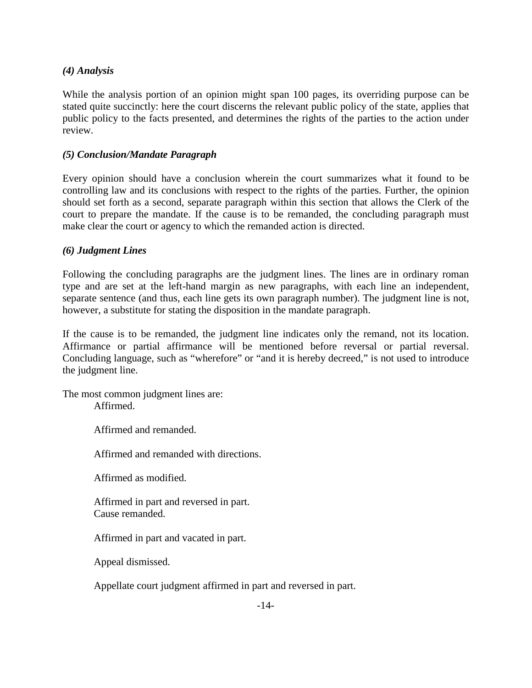## *(4) Analysis*

While the analysis portion of an opinion might span 100 pages, its overriding purpose can be stated quite succinctly: here the court discerns the relevant public policy of the state, applies that public policy to the facts presented, and determines the rights of the parties to the action under review.

## <span id="page-20-0"></span>*(5) Conclusion/Mandate Paragraph*

Every opinion should have a conclusion wherein the court summarizes what it found to be controlling law and its conclusions with respect to the rights of the parties. Further, the opinion should set forth as a second, separate paragraph within this section that allows the Clerk of the court to prepare the mandate. If the cause is to be remanded, the concluding paragraph must make clear the court or agency to which the remanded action is directed.

## <span id="page-20-1"></span>*(6) Judgment Lines*

Following the concluding paragraphs are the judgment lines. The lines are in ordinary roman type and are set at the left-hand margin as new paragraphs, with each line an independent, separate sentence (and thus, each line gets its own paragraph number). The judgment line is not, however, a substitute for stating the disposition in the mandate paragraph.

If the cause is to be remanded, the judgment line indicates only the remand, not its location. Affirmance or partial affirmance will be mentioned before reversal or partial reversal. Concluding language, such as "wherefore" or "and it is hereby decreed," is not used to introduce the judgment line.

The most common judgment lines are: Affirmed.

Affirmed and remanded.

Affirmed and remanded with directions.

Affirmed as modified.

Affirmed in part and reversed in part. Cause remanded.

Affirmed in part and vacated in part.

Appeal dismissed.

Appellate court judgment affirmed in part and reversed in part.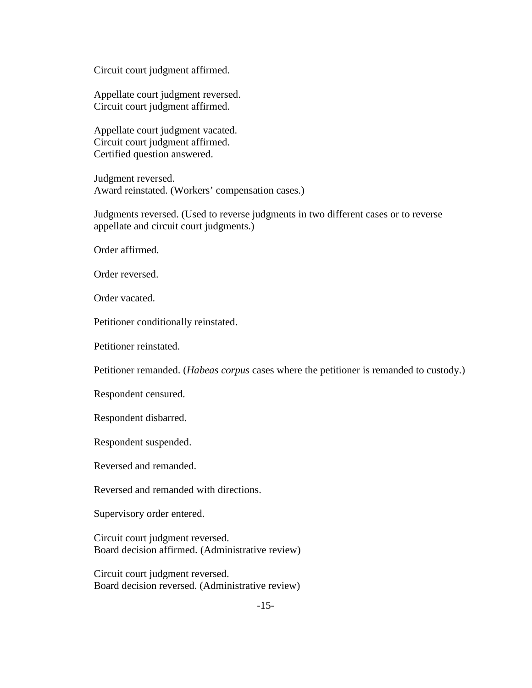Circuit court judgment affirmed.

Appellate court judgment reversed. Circuit court judgment affirmed.

Appellate court judgment vacated. Circuit court judgment affirmed. Certified question answered.

Judgment reversed. Award reinstated. (Workers' compensation cases.)

Judgments reversed. (Used to reverse judgments in two different cases or to reverse appellate and circuit court judgments.)

Order affirmed.

Order reversed.

Order vacated.

Petitioner conditionally reinstated.

Petitioner reinstated.

Petitioner remanded. (*Habeas corpus* cases where the petitioner is remanded to custody.)

Respondent censured.

Respondent disbarred.

Respondent suspended.

Reversed and remanded.

Reversed and remanded with directions.

Supervisory order entered.

Circuit court judgment reversed. Board decision affirmed. (Administrative review)

Circuit court judgment reversed. Board decision reversed. (Administrative review)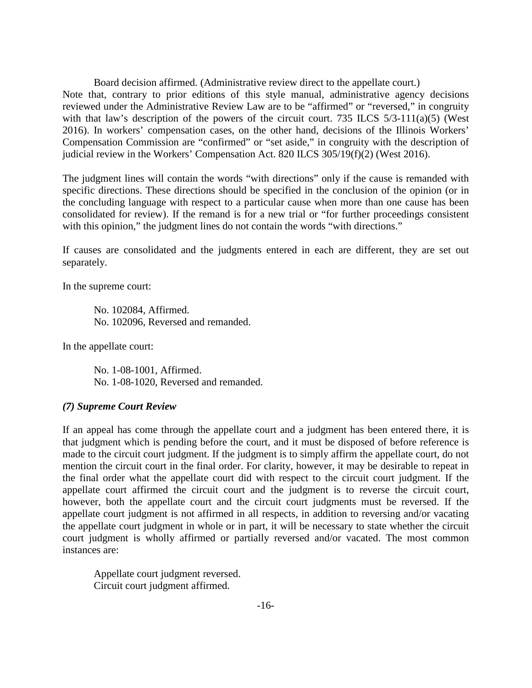Board decision affirmed. (Administrative review direct to the appellate court.) Note that, contrary to prior editions of this style manual, administrative agency decisions reviewed under the Administrative Review Law are to be "affirmed" or "reversed," in congruity with that law's description of the powers of the circuit court. 735 ILCS  $5/3-111(a)(5)$  (West 2016). In workers' compensation cases, on the other hand, decisions of the Illinois Workers' Compensation Commission are "confirmed" or "set aside," in congruity with the description of judicial review in the Workers' Compensation Act. 820 ILCS 305/19(f)(2) (West 2016).

The judgment lines will contain the words "with directions" only if the cause is remanded with specific directions. These directions should be specified in the conclusion of the opinion (or in the concluding language with respect to a particular cause when more than one cause has been consolidated for review). If the remand is for a new trial or "for further proceedings consistent with this opinion," the judgment lines do not contain the words "with directions."

If causes are consolidated and the judgments entered in each are different, they are set out separately.

In the supreme court:

No. 102084, Affirmed. No. 102096, Reversed and remanded.

In the appellate court:

No. 1-08-1001, Affirmed. No. 1-08-1020, Reversed and remanded.

#### <span id="page-22-0"></span>*(7) Supreme Court Review*

If an appeal has come through the appellate court and a judgment has been entered there, it is that judgment which is pending before the court, and it must be disposed of before reference is made to the circuit court judgment. If the judgment is to simply affirm the appellate court, do not mention the circuit court in the final order. For clarity, however, it may be desirable to repeat in the final order what the appellate court did with respect to the circuit court judgment. If the appellate court affirmed the circuit court and the judgment is to reverse the circuit court, however, both the appellate court and the circuit court judgments must be reversed. If the appellate court judgment is not affirmed in all respects, in addition to reversing and/or vacating the appellate court judgment in whole or in part, it will be necessary to state whether the circuit court judgment is wholly affirmed or partially reversed and/or vacated. The most common instances are:

Appellate court judgment reversed. Circuit court judgment affirmed.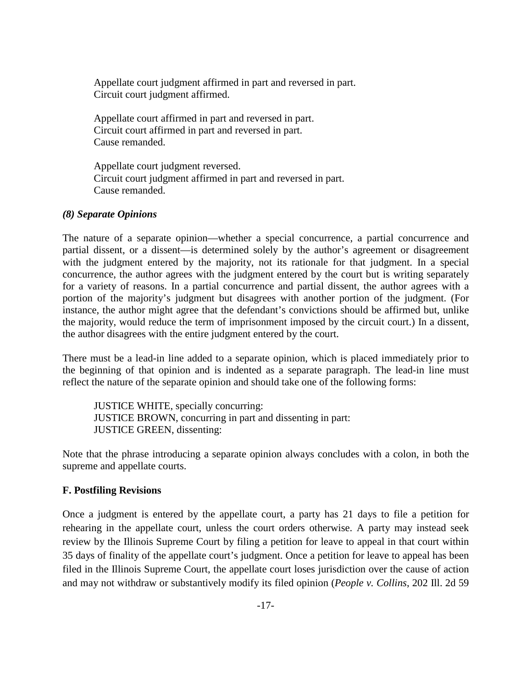Appellate court judgment affirmed in part and reversed in part. Circuit court judgment affirmed.

Appellate court affirmed in part and reversed in part. Circuit court affirmed in part and reversed in part. Cause remanded.

Appellate court judgment reversed. Circuit court judgment affirmed in part and reversed in part. Cause remanded.

#### <span id="page-23-0"></span>*(8) Separate Opinions*

The nature of a separate opinion—whether a special concurrence, a partial concurrence and partial dissent, or a dissent—is determined solely by the author's agreement or disagreement with the judgment entered by the majority, not its rationale for that judgment. In a special concurrence, the author agrees with the judgment entered by the court but is writing separately for a variety of reasons. In a partial concurrence and partial dissent, the author agrees with a portion of the majority's judgment but disagrees with another portion of the judgment. (For instance, the author might agree that the defendant's convictions should be affirmed but, unlike the majority, would reduce the term of imprisonment imposed by the circuit court.) In a dissent, the author disagrees with the entire judgment entered by the court.

There must be a lead-in line added to a separate opinion, which is placed immediately prior to the beginning of that opinion and is indented as a separate paragraph. The lead-in line must reflect the nature of the separate opinion and should take one of the following forms:

JUSTICE WHITE, specially concurring: JUSTICE BROWN, concurring in part and dissenting in part: JUSTICE GREEN, dissenting:

Note that the phrase introducing a separate opinion always concludes with a colon, in both the supreme and appellate courts.

## <span id="page-23-1"></span>**F. Postfiling Revisions**

Once a judgment is entered by the appellate court, a party has 21 days to file a petition for rehearing in the appellate court, unless the court orders otherwise. A party may instead seek review by the Illinois Supreme Court by filing a petition for leave to appeal in that court within 35 days of finality of the appellate court's judgment. Once a petition for leave to appeal has been filed in the Illinois Supreme Court, the appellate court loses jurisdiction over the cause of action and may not withdraw or substantively modify its filed opinion (*People v. Collins*, 202 Ill. 2d 59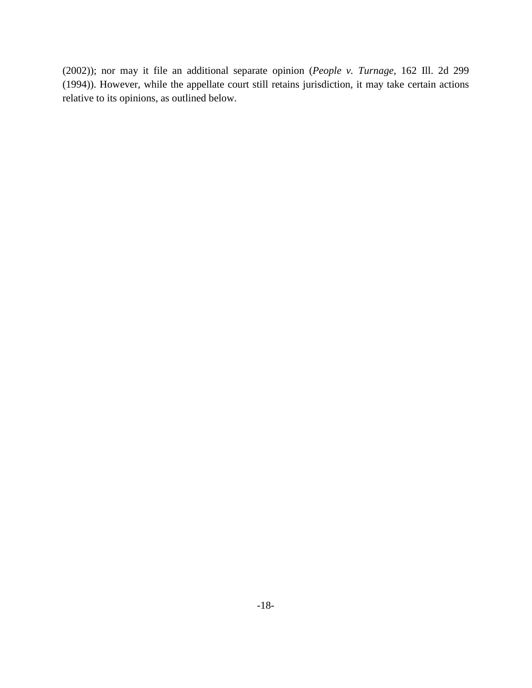(2002)); nor may it file an additional separate opinion (*People v. Turnage*, 162 Ill. 2d 299 (1994)). However, while the appellate court still retains jurisdiction, it may take certain actions relative to its opinions, as outlined below.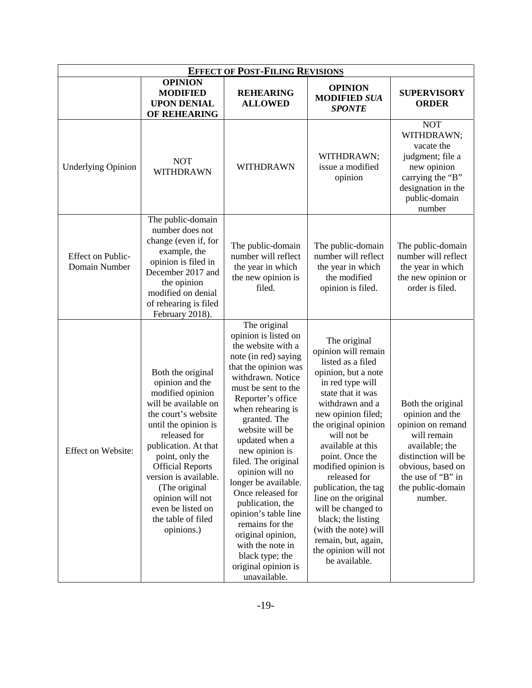<span id="page-25-1"></span><span id="page-25-0"></span>

| <b>EFFECT OF POST-FILING REVISIONS</b>    |                                                                                                                                                                                                                                                                                                                                              |                                                                                                                                                                                                                                                                                                                                                                                                                                                                                                                                  |                                                                                                                                                                                                                                                                                                                                                                                                                                                                             |                                                                                                                                                                                             |  |  |  |
|-------------------------------------------|----------------------------------------------------------------------------------------------------------------------------------------------------------------------------------------------------------------------------------------------------------------------------------------------------------------------------------------------|----------------------------------------------------------------------------------------------------------------------------------------------------------------------------------------------------------------------------------------------------------------------------------------------------------------------------------------------------------------------------------------------------------------------------------------------------------------------------------------------------------------------------------|-----------------------------------------------------------------------------------------------------------------------------------------------------------------------------------------------------------------------------------------------------------------------------------------------------------------------------------------------------------------------------------------------------------------------------------------------------------------------------|---------------------------------------------------------------------------------------------------------------------------------------------------------------------------------------------|--|--|--|
|                                           | <b>OPINION</b><br><b>MODIFIED</b><br><b>UPON DENIAL</b><br>OF REHEARING                                                                                                                                                                                                                                                                      | <b>REHEARING</b><br><b>ALLOWED</b>                                                                                                                                                                                                                                                                                                                                                                                                                                                                                               | <b>OPINION</b><br><b>MODIFIED SUA</b><br><b>SPONTE</b>                                                                                                                                                                                                                                                                                                                                                                                                                      | <b>SUPERVISORY</b><br><b>ORDER</b>                                                                                                                                                          |  |  |  |
| <b>Underlying Opinion</b>                 | <b>NOT</b><br>WITHDRAWN                                                                                                                                                                                                                                                                                                                      | <b>WITHDRAWN</b>                                                                                                                                                                                                                                                                                                                                                                                                                                                                                                                 | WITHDRAWN;<br>issue a modified<br>opinion                                                                                                                                                                                                                                                                                                                                                                                                                                   | <b>NOT</b><br>WITHDRAWN;<br>vacate the<br>judgment; file a<br>new opinion<br>carrying the "B"<br>designation in the<br>public-domain<br>number                                              |  |  |  |
| <b>Effect on Public-</b><br>Domain Number | The public-domain<br>number does not<br>change (even if, for<br>example, the<br>opinion is filed in<br>December 2017 and<br>the opinion<br>modified on denial<br>of rehearing is filed<br>February 2018).                                                                                                                                    | The public-domain<br>number will reflect<br>the year in which<br>the new opinion is<br>filed.                                                                                                                                                                                                                                                                                                                                                                                                                                    | The public-domain<br>number will reflect<br>the year in which<br>the modified<br>opinion is filed.                                                                                                                                                                                                                                                                                                                                                                          | The public-domain<br>number will reflect<br>the year in which<br>the new opinion or<br>order is filed.                                                                                      |  |  |  |
| Effect on Website:                        | Both the original<br>opinion and the<br>modified opinion<br>will be available on<br>the court's website<br>until the opinion is<br>released for<br>publication. At that<br>point, only the<br><b>Official Reports</b><br>version is available.<br>(The original<br>opinion will not<br>even be listed on<br>the table of filed<br>opinions.) | The original<br>opinion is listed on<br>the website with a<br>note (in red) saying<br>that the opinion was<br>withdrawn. Notice<br>must be sent to the<br>Reporter's office<br>when rehearing is<br>granted. The<br>website will be<br>updated when a<br>new opinion is<br>filed. The original<br>opinion will no<br>longer be available.<br>Once released for<br>publication, the<br>opinion's table line<br>remains for the<br>original opinion,<br>with the note in<br>black type; the<br>original opinion is<br>unavailable. | The original<br>opinion will remain<br>listed as a filed<br>opinion, but a note<br>in red type will<br>state that it was<br>withdrawn and a<br>new opinion filed;<br>the original opinion<br>will not be<br>available at this<br>point. Once the<br>modified opinion is<br>released for<br>publication, the tag<br>line on the original<br>will be changed to<br>black; the listing<br>(with the note) will<br>remain, but, again,<br>the opinion will not<br>be available. | Both the original<br>opinion and the<br>opinion on remand<br>will remain<br>available; the<br>distinction will be<br>obvious, based on<br>the use of "B" in<br>the public-domain<br>number. |  |  |  |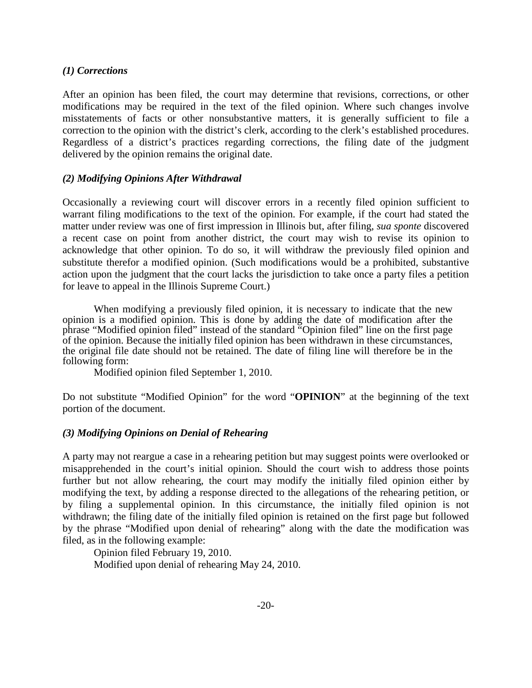#### *(1) Corrections*

After an opinion has been filed, the court may determine that revisions, corrections, or other modifications may be required in the text of the filed opinion. Where such changes involve misstatements of facts or other nonsubstantive matters, it is generally sufficient to file a correction to the opinion with the district's clerk, according to the clerk's established procedures. Regardless of a district's practices regarding corrections, the filing date of the judgment delivered by the opinion remains the original date.

#### <span id="page-26-0"></span>*(2) Modifying Opinions After Withdrawal*

Occasionally a reviewing court will discover errors in a recently filed opinion sufficient to warrant filing modifications to the text of the opinion. For example, if the court had stated the matter under review was one of first impression in Illinois but, after filing, *sua sponte* discovered a recent case on point from another district, the court may wish to revise its opinion to acknowledge that other opinion. To do so, it will withdraw the previously filed opinion and substitute therefor a modified opinion. (Such modifications would be a prohibited, substantive action upon the judgment that the court lacks the jurisdiction to take once a party files a petition for leave to appeal in the Illinois Supreme Court.)

When modifying a previously filed opinion, it is necessary to indicate that the new opinion is a modified opinion. This is done by adding the date of modification after the phrase "Modified opinion filed" instead of the standard "Opinion filed" line on the first page of the opinion. Because the initially filed opinion has been withdrawn in these circumstances, the original file date should not be retained. The date of filing line will therefore be in the following form:

Modified opinion filed September 1, 2010.

Do not substitute "Modified Opinion" for the word "**OPINION**" at the beginning of the text portion of the document.

#### <span id="page-26-1"></span>*(3) Modifying Opinions on Denial of Rehearing*

A party may not reargue a case in a rehearing petition but may suggest points were overlooked or misapprehended in the court's initial opinion. Should the court wish to address those points further but not allow rehearing, the court may modify the initially filed opinion either by modifying the text, by adding a response directed to the allegations of the rehearing petition, or by filing a supplemental opinion. In this circumstance, the initially filed opinion is not withdrawn; the filing date of the initially filed opinion is retained on the first page but followed by the phrase "Modified upon denial of rehearing" along with the date the modification was filed, as in the following example:

Opinion filed February 19, 2010. Modified upon denial of rehearing May 24, 2010.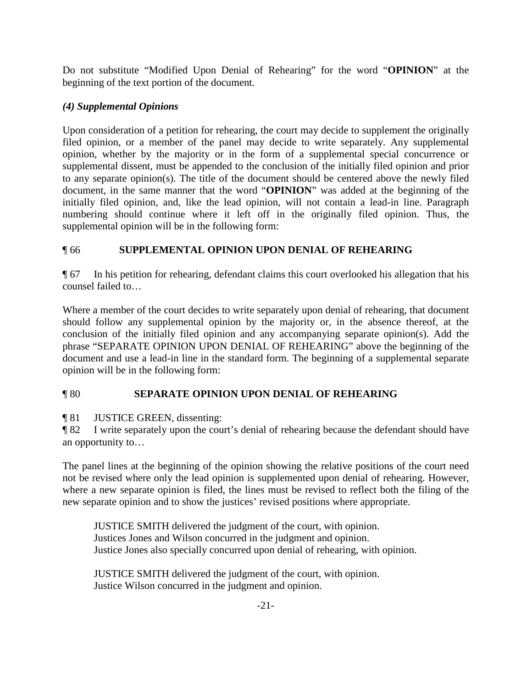Do not substitute "Modified Upon Denial of Rehearing" for the word "**OPINION**" at the beginning of the text portion of the document.

## <span id="page-27-0"></span>*(4) Supplemental Opinions*

Upon consideration of a petition for rehearing, the court may decide to supplement the originally filed opinion, or a member of the panel may decide to write separately. Any supplemental opinion, whether by the majority or in the form of a supplemental special concurrence or supplemental dissent, must be appended to the conclusion of the initially filed opinion and prior to any separate opinion(s). The title of the document should be centered above the newly filed document, in the same manner that the word "**OPINION**" was added at the beginning of the initially filed opinion, and, like the lead opinion, will not contain a lead-in line. Paragraph numbering should continue where it left off in the originally filed opinion. Thus, the supplemental opinion will be in the following form:

## ¶ 66 **SUPPLEMENTAL OPINION UPON DENIAL OF REHEARING**

¶ 67 In his petition for rehearing, defendant claims this court overlooked his allegation that his counsel failed to…

Where a member of the court decides to write separately upon denial of rehearing, that document should follow any supplemental opinion by the majority or, in the absence thereof, at the conclusion of the initially filed opinion and any accompanying separate opinion(s). Add the phrase "SEPARATE OPINION UPON DENIAL OF REHEARING" above the beginning of the document and use a lead-in line in the standard form. The beginning of a supplemental separate opinion will be in the following form:

## ¶ 80 **SEPARATE OPINION UPON DENIAL OF REHEARING**

¶ 81 JUSTICE GREEN, dissenting:

¶ 82 I write separately upon the court's denial of rehearing because the defendant should have an opportunity to…

The panel lines at the beginning of the opinion showing the relative positions of the court need not be revised where only the lead opinion is supplemented upon denial of rehearing. However, where a new separate opinion is filed, the lines must be revised to reflect both the filing of the new separate opinion and to show the justices' revised positions where appropriate.

JUSTICE SMITH delivered the judgment of the court, with opinion. Justices Jones and Wilson concurred in the judgment and opinion. Justice Jones also specially concurred upon denial of rehearing, with opinion.

JUSTICE SMITH delivered the judgment of the court, with opinion. Justice Wilson concurred in the judgment and opinion.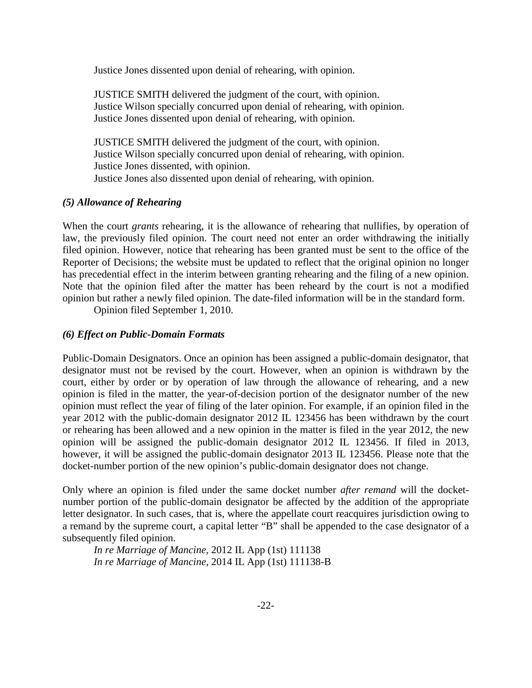Justice Jones dissented upon denial of rehearing, with opinion.

JUSTICE SMITH delivered the judgment of the court, with opinion. Justice Wilson specially concurred upon denial of rehearing, with opinion. Justice Jones dissented upon denial of rehearing, with opinion.

JUSTICE SMITH delivered the judgment of the court, with opinion. Justice Wilson specially concurred upon denial of rehearing, with opinion. Justice Jones dissented, with opinion. Justice Jones also dissented upon denial of rehearing, with opinion.

#### <span id="page-28-0"></span>*(5) Allowance of Rehearing*

When the court *grants* rehearing, it is the allowance of rehearing that nullifies, by operation of law, the previously filed opinion. The court need not enter an order withdrawing the initially filed opinion. However, notice that rehearing has been granted must be sent to the office of the Reporter of Decisions; the website must be updated to reflect that the original opinion no longer has precedential effect in the interim between granting rehearing and the filing of a new opinion. Note that the opinion filed after the matter has been reheard by the court is not a modified opinion but rather a newly filed opinion. The date-filed information will be in the standard form.

Opinion filed September 1, 2010.

#### <span id="page-28-1"></span>*(6) Effect on Public-Domain Formats*

Public-Domain Designators. Once an opinion has been assigned a public-domain designator, that designator must not be revised by the court. However, when an opinion is withdrawn by the court, either by order or by operation of law through the allowance of rehearing, and a new opinion is filed in the matter, the year-of-decision portion of the designator number of the new opinion must reflect the year of filing of the later opinion. For example, if an opinion filed in the year 2012 with the public-domain designator 2012 IL 123456 has been withdrawn by the court or rehearing has been allowed and a new opinion in the matter is filed in the year 2012, the new opinion will be assigned the public-domain designator 2012 IL 123456. If filed in 2013, however, it will be assigned the public-domain designator 2013 IL 123456. Please note that the docket-number portion of the new opinion's public-domain designator does not change.

Only where an opinion is filed under the same docket number *after remand* will the docketnumber portion of the public-domain designator be affected by the addition of the appropriate letter designator. In such cases, that is, where the appellate court reacquires jurisdiction owing to a remand by the supreme court, a capital letter "B" shall be appended to the case designator of a subsequently filed opinion.

*In re Marriage of Mancine*, 2012 IL App (1st) 111138 *In re Marriage of Mancine*, 2014 IL App (1st) 111138-B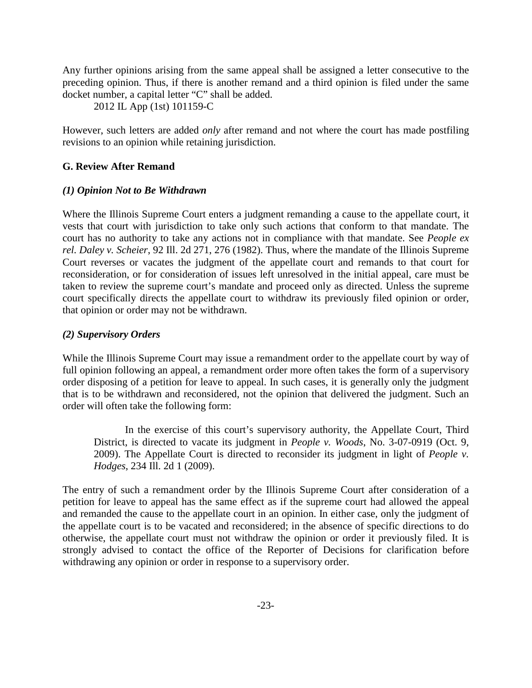Any further opinions arising from the same appeal shall be assigned a letter consecutive to the preceding opinion. Thus, if there is another remand and a third opinion is filed under the same docket number, a capital letter "C" shall be added.

2012 IL App (1st) 101159-C

However, such letters are added *only* after remand and not where the court has made postfiling revisions to an opinion while retaining jurisdiction.

#### <span id="page-29-1"></span><span id="page-29-0"></span>**G. Review After Remand**

#### *(1) Opinion Not to Be Withdrawn*

Where the Illinois Supreme Court enters a judgment remanding a cause to the appellate court, it vests that court with jurisdiction to take only such actions that conform to that mandate. The court has no authority to take any actions not in compliance with that mandate. See *People ex rel. Daley v. Scheier*, 92 Ill. 2d 271, 276 (1982). Thus, where the mandate of the Illinois Supreme Court reverses or vacates the judgment of the appellate court and remands to that court for reconsideration, or for consideration of issues left unresolved in the initial appeal, care must be taken to review the supreme court's mandate and proceed only as directed. Unless the supreme court specifically directs the appellate court to withdraw its previously filed opinion or order, that opinion or order may not be withdrawn.

#### <span id="page-29-2"></span>*(2) Supervisory Orders*

While the Illinois Supreme Court may issue a remandment order to the appellate court by way of full opinion following an appeal, a remandment order more often takes the form of a supervisory order disposing of a petition for leave to appeal. In such cases, it is generally only the judgment that is to be withdrawn and reconsidered, not the opinion that delivered the judgment. Such an order will often take the following form:

In the exercise of this court's supervisory authority, the Appellate Court, Third District, is directed to vacate its judgment in *People v. Woods*, No. 3-07-0919 (Oct. 9, 2009). The Appellate Court is directed to reconsider its judgment in light of *People v. Hodges*, 234 Ill. 2d 1 (2009).

<span id="page-29-3"></span>The entry of such a remandment order by the Illinois Supreme Court after consideration of a petition for leave to appeal has the same effect as if the supreme court had allowed the appeal and remanded the cause to the appellate court in an opinion. In either case, only the judgment of the appellate court is to be vacated and reconsidered; in the absence of specific directions to do otherwise, the appellate court must not withdraw the opinion or order it previously filed. It is strongly advised to contact the office of the Reporter of Decisions for clarification before withdrawing any opinion or order in response to a supervisory order.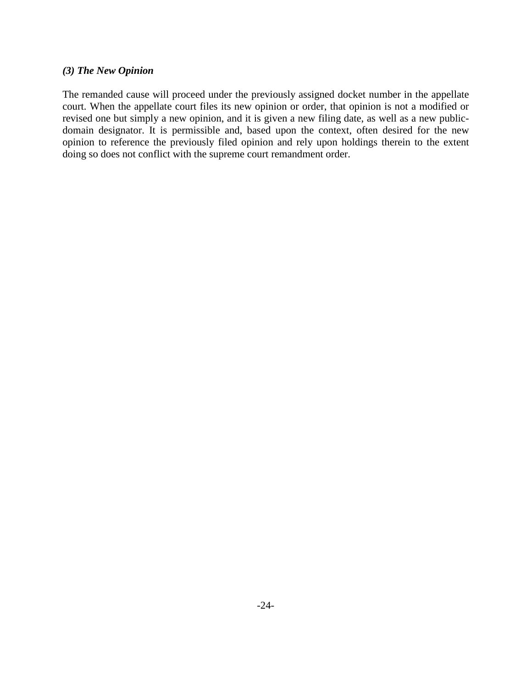#### *(3) The New Opinion*

The remanded cause will proceed under the previously assigned docket number in the appellate court. When the appellate court files its new opinion or order, that opinion is not a modified or revised one but simply a new opinion, and it is given a new filing date, as well as a new publicdomain designator. It is permissible and, based upon the context, often desired for the new opinion to reference the previously filed opinion and rely upon holdings therein to the extent doing so does not conflict with the supreme court remandment order.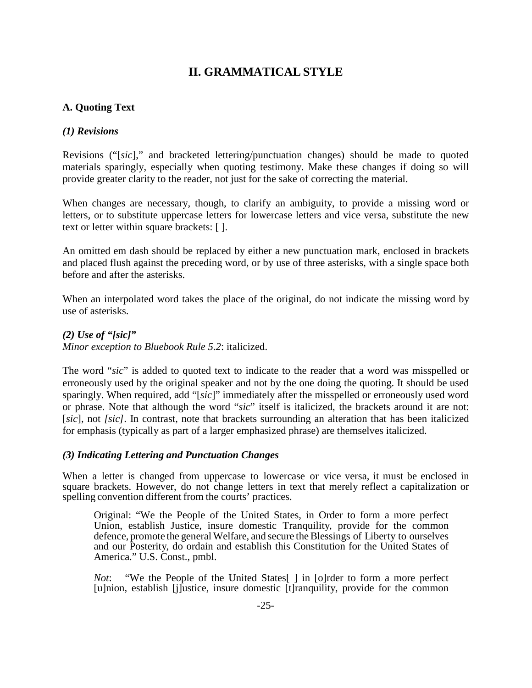## **II. GRAMMATICAL STYLE**

## <span id="page-31-2"></span><span id="page-31-1"></span><span id="page-31-0"></span>**A. Quoting Text**

## *(1) Revisions*

Revisions ("[*sic*]," and bracketed lettering/punctuation changes) should be made to quoted materials sparingly, especially when quoting testimony. Make these changes if doing so will provide greater clarity to the reader, not just for the sake of correcting the material.

When changes are necessary, though, to clarify an ambiguity, to provide a missing word or letters, or to substitute uppercase letters for lowercase letters and vice versa, substitute the new text or letter within square brackets: [ ].

An omitted em dash should be replaced by either a new punctuation mark, enclosed in brackets and placed flush against the preceding word, or by use of three asterisks, with a single space both before and after the asterisks.

When an interpolated word takes the place of the original, do not indicate the missing word by use of asterisks.

<span id="page-31-3"></span>*(2) Use of "[sic]" Minor exception to Bluebook Rule 5.2*: italicized.

The word "*sic*" is added to quoted text to indicate to the reader that a word was misspelled or erroneously used by the original speaker and not by the one doing the quoting. It should be used sparingly. When required, add "[*sic*]" immediately after the misspelled or erroneously used word or phrase. Note that although the word "*sic*" itself is italicized, the brackets around it are not: [*sic*], not *[sic]*. In contrast, note that brackets surrounding an alteration that has been italicized for emphasis (typically as part of a larger emphasized phrase) are themselves italicized.

## <span id="page-31-4"></span>*(3) Indicating Lettering and Punctuation Changes*

When a letter is changed from uppercase to lowercase or vice versa, it must be enclosed in square brackets. However, do not change letters in text that merely reflect a capitalization or spelling convention different from the courts' practices.

Original: "We the People of the United States, in Order to form a more perfect Union, establish Justice, insure domestic Tranquility, provide for the common defence, promote the general Welfare, and secure the Blessings of Liberty to ourselves and our Posterity, do ordain and establish this Constitution for the United States of America." U.S. Const., pmbl.

*Not*: "We the People of the United States<sup>[]</sup> in [o]rder to form a more perfect [u]nion, establish [j]ustice, insure domestic [t]ranquility, provide for the common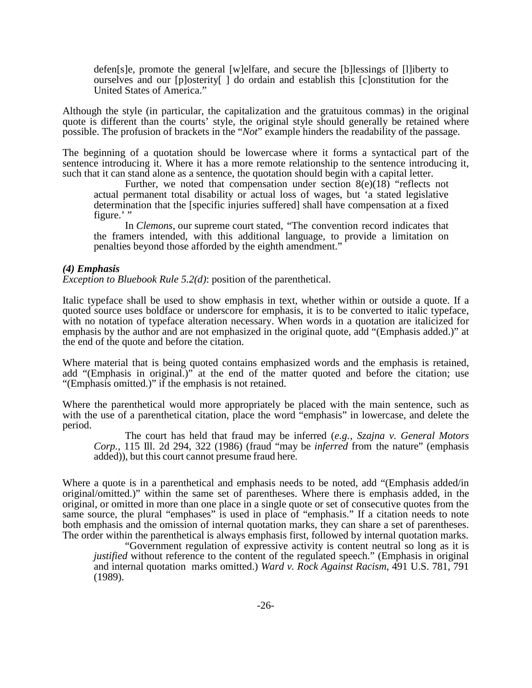defen[s]e, promote the general [w]elfare, and secure the [b]lessings of [l]iberty to ourselves and our [p]osterity[ ] do ordain and establish this [c]onstitution for the United States of America."

Although the style (in particular, the capitalization and the gratuitous commas) in the original quote is different than the courts' style, the original style should generally be retained where possible. The profusion of brackets in the "*Not*" example hinders the readability of the passage.

The beginning of a quotation should be lowercase where it forms a syntactical part of the sentence introducing it. Where it has a more remote relationship to the sentence introducing it, such that it can stand alone as a sentence, the quotation should begin with a capital letter.

Further, we noted that compensation under section  $8(e)(18)$  "reflects not actual permanent total disability or actual loss of wages, but 'a stated legislative determination that the [specific injuries suffered] shall have compensation at a fixed figure.'"

In *Clemons,* our supreme court stated, "The convention record indicates that the framers intended, with this additional language, to provide a limitation on penalties beyond those afforded by the eighth amendment."

#### <span id="page-32-0"></span>*(4) Emphasis*

*Exception to Bluebook Rule 5.2(d)*: position of the parenthetical.

Italic typeface shall be used to show emphasis in text, whether within or outside a quote. If a quoted source uses boldface or underscore for emphasis, it is to be converted to italic typeface, with no notation of typeface alteration necessary. When words in a quotation are italicized for emphasis by the author and are not emphasized in the original quote, add "(Emphasis added.)" at the end of the quote and before the citation.

Where material that is being quoted contains emphasized words and the emphasis is retained, add "(Emphasis in original.)" at the end of the matter quoted and before the citation; use "(Emphasis omitted.)" if the emphasis is not retained.

Where the parenthetical would more appropriately be placed with the main sentence, such as with the use of a parenthetical citation, place the word "emphasis" in lowercase, and delete the period.

The court has held that fraud may be inferred (*e.g.*, *Szajna v. General Motors Corp.*, 115 Ill. 2d 294, 322 (1986) (fraud "may be *inferred* from the nature" (emphasis added)), but this court cannot presume fraud here.

Where a quote is in a parenthetical and emphasis needs to be noted, add "(Emphasis added/in original/omitted.)" within the same set of parentheses. Where there is emphasis added, in the original, or omitted in more than one place in a single quote or set of consecutive quotes from the same source, the plural "emphases" is used in place of "emphasis." If a citation needs to note both emphasis and the omission of internal quotation marks, they can share a set of parentheses. The order within the parenthetical is always emphasis first, followed by internal quotation marks.

"Government regulation of expressive activity is content neutral so long as it is *justified* without reference to the content of the regulated speech." (Emphasis in original and internal quotation marks omitted.) *Ward v. Rock Against Racism*, 491 U.S. 781, 791 (1989).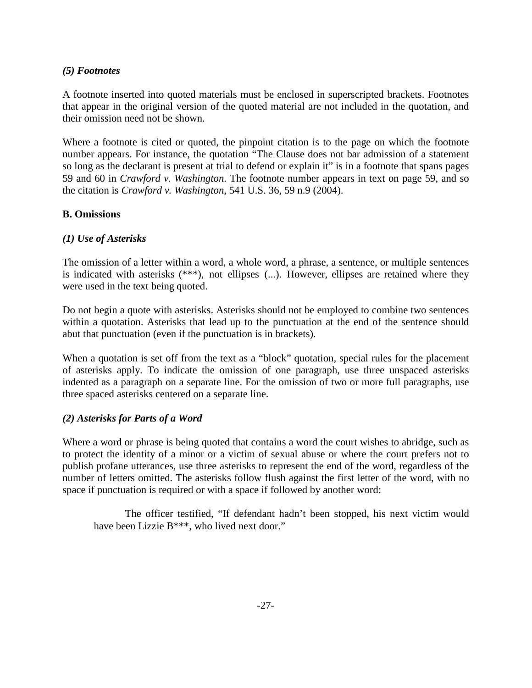## <span id="page-33-0"></span>*(5) Footnotes*

A footnote inserted into quoted materials must be enclosed in superscripted brackets. Footnotes that appear in the original version of the quoted material are not included in the quotation, and their omission need not be shown.

Where a footnote is cited or quoted, the pinpoint citation is to the page on which the footnote number appears. For instance, the quotation "The Clause does not bar admission of a statement so long as the declarant is present at trial to defend or explain it" is in a footnote that spans pages 59 and 60 in *Crawford v. Washington*. The footnote number appears in text on page 59, and so the citation is *Crawford v. Washington*, 541 U.S. 36, 59 n.9 (2004).

## <span id="page-33-2"></span><span id="page-33-1"></span>**B. Omissions**

## *(1) Use of Asterisks*

The omission of a letter within a word, a whole word, a phrase, a sentence, or multiple sentences is indicated with asterisks (\*\*\*), not ellipses (...). However, ellipses are retained where they were used in the text being quoted.

Do not begin a quote with asterisks. Asterisks should not be employed to combine two sentences within a quotation. Asterisks that lead up to the punctuation at the end of the sentence should abut that punctuation (even if the punctuation is in brackets).

When a quotation is set off from the text as a "block" quotation, special rules for the placement of asterisks apply. To indicate the omission of one paragraph, use three unspaced asterisks indented as a paragraph on a separate line. For the omission of two or more full paragraphs, use three spaced asterisks centered on a separate line.

## <span id="page-33-3"></span>*(2) Asterisks for Parts of a Word*

Where a word or phrase is being quoted that contains a word the court wishes to abridge, such as to protect the identity of a minor or a victim of sexual abuse or where the court prefers not to publish profane utterances, use three asterisks to represent the end of the word, regardless of the number of letters omitted. The asterisks follow flush against the first letter of the word, with no space if punctuation is required or with a space if followed by another word:

<span id="page-33-4"></span>The officer testified, "If defendant hadn't been stopped, his next victim would have been Lizzie B\*\*\*, who lived next door."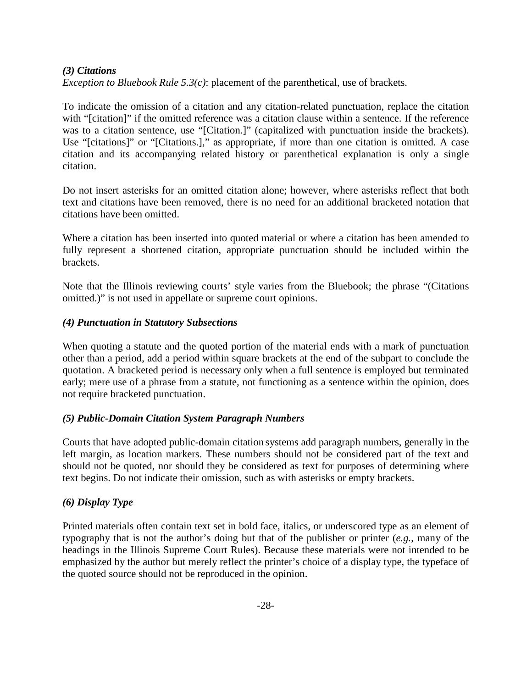## *(3) Citations*

*Exception to Bluebook Rule 5.3(c)*: placement of the parenthetical, use of brackets.

To indicate the omission of a citation and any citation-related punctuation, replace the citation with "[citation]" if the omitted reference was a citation clause within a sentence. If the reference was to a citation sentence, use "[Citation.]" (capitalized with punctuation inside the brackets). Use "[citations]" or "[Citations.]," as appropriate, if more than one citation is omitted. A case citation and its accompanying related history or parenthetical explanation is only a single citation.

Do not insert asterisks for an omitted citation alone; however, where asterisks reflect that both text and citations have been removed, there is no need for an additional bracketed notation that citations have been omitted.

Where a citation has been inserted into quoted material or where a citation has been amended to fully represent a shortened citation, appropriate punctuation should be included within the brackets.

Note that the Illinois reviewing courts' style varies from the Bluebook; the phrase "(Citations omitted.)" is not used in appellate or supreme court opinions.

## <span id="page-34-0"></span>*(4) Punctuation in Statutory Subsections*

When quoting a statute and the quoted portion of the material ends with a mark of punctuation other than a period, add a period within square brackets at the end of the subpart to conclude the quotation. A bracketed period is necessary only when a full sentence is employed but terminated early; mere use of a phrase from a statute, not functioning as a sentence within the opinion, does not require bracketed punctuation.

## <span id="page-34-1"></span>*(5) Public-Domain Citation System Paragraph Numbers*

Courts that have adopted public-domain citation systems add paragraph numbers, generally in the left margin, as location markers. These numbers should not be considered part of the text and should not be quoted, nor should they be considered as text for purposes of determining where text begins. Do not indicate their omission, such as with asterisks or empty brackets.

## <span id="page-34-2"></span>*(6) Display Type*

Printed materials often contain text set in bold face, italics, or underscored type as an element of typography that is not the author's doing but that of the publisher or printer (*e.g.*, many of the headings in the Illinois Supreme Court Rules). Because these materials were not intended to be emphasized by the author but merely reflect the printer's choice of a display type, the typeface of the quoted source should not be reproduced in the opinion.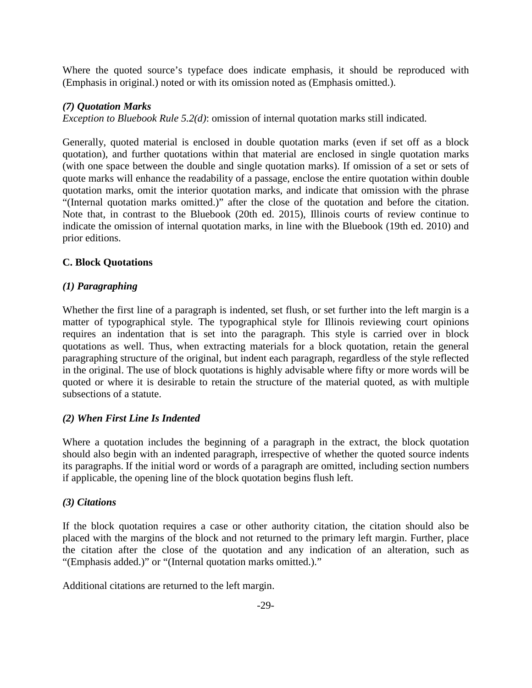Where the quoted source's typeface does indicate emphasis, it should be reproduced with (Emphasis in original.) noted or with its omission noted as (Emphasis omitted.).

## <span id="page-35-0"></span>*(7) Quotation Marks*

*Exception to Bluebook Rule 5.2(d)*: omission of internal quotation marks still indicated.

Generally, quoted material is enclosed in double quotation marks (even if set off as a block quotation), and further quotations within that material are enclosed in single quotation marks (with one space between the double and single quotation marks). If omission of a set or sets of quote marks will enhance the readability of a passage, enclose the entire quotation within double quotation marks, omit the interior quotation marks, and indicate that omission with the phrase "(Internal quotation marks omitted.)" after the close of the quotation and before the citation. Note that, in contrast to the Bluebook (20th ed. 2015), Illinois courts of review continue to indicate the omission of internal quotation marks, in line with the Bluebook (19th ed. 2010) and prior editions.

## <span id="page-35-2"></span><span id="page-35-1"></span>**C. Block Quotations**

## *(1) Paragraphing*

Whether the first line of a paragraph is indented, set flush, or set further into the left margin is a matter of typographical style. The typographical style for Illinois reviewing court opinions requires an indentation that is set into the paragraph. This style is carried over in block quotations as well. Thus, when extracting materials for a block quotation, retain the general paragraphing structure of the original, but indent each paragraph, regardless of the style reflected in the original. The use of block quotations is highly advisable where fifty or more words will be quoted or where it is desirable to retain the structure of the material quoted, as with multiple subsections of a statute.

## <span id="page-35-3"></span>*(2) When First Line Is Indented*

Where a quotation includes the beginning of a paragraph in the extract, the block quotation should also begin with an indented paragraph, irrespective of whether the quoted source indents its paragraphs. If the initial word or words of a paragraph are omitted, including section numbers if applicable, the opening line of the block quotation begins flush left.

## <span id="page-35-4"></span>*(3) Citations*

If the block quotation requires a case or other authority citation, the citation should also be placed with the margins of the block and not returned to the primary left margin. Further, place the citation after the close of the quotation and any indication of an alteration, such as "(Emphasis added.)" or "(Internal quotation marks omitted.)."

Additional citations are returned to the left margin.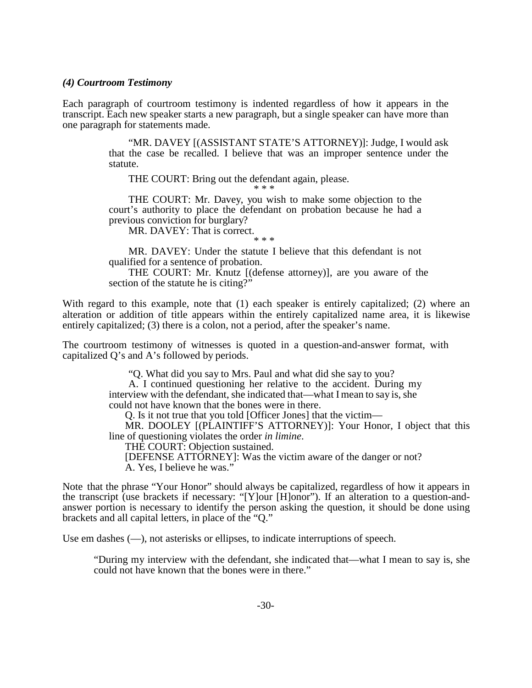#### *(4) Courtroom Testimony*

Each paragraph of courtroom testimony is indented regardless of how it appears in the transcript. Each new speaker starts a new paragraph, but a single speaker can have more than one paragraph for statements made.

> "MR. DAVEY [(ASSISTANT STATE'S ATTORNEY)]: Judge, I would ask that the case be recalled. I believe that was an improper sentence under the statute.

THE COURT: Bring out the defendant again, please.

THE COURT: Mr. Davey, you wish to make some objection to the

court's authority to place the defendant on probation because he had a previous conviction for burglary?

MR. DAVEY: That is correct.

\* \* \*

MR. DAVEY: Under the statute I believe that this defendant is not qualified for a sentence of probation.

THE COURT: Mr. Knutz [(defense attorney)], are you aware of the section of the statute he is citing?"

With regard to this example, note that (1) each speaker is entirely capitalized; (2) where an alteration or addition of title appears within the entirely capitalized name area, it is likewise entirely capitalized; (3) there is a colon, not a period, after the speaker's name.

The courtroom testimony of witnesses is quoted in a question-and-answer format, with capitalized Q's and A's followed by periods.

"Q. What did you say to Mrs. Paul and what did she say to you?

A. I continued questioning her relative to the accident. During my interview with the defendant, she indicated that—what I mean to say is, she could not have known that the bones were in there.

Q. Is it not true that you told [Officer Jones] that the victim—

MR. DOOLEY [(PLAINTIFF'S ATTORNEY)]: Your Honor, I object that this line of questioning violates the order *in limine*.

THE COURT: Objection sustained.

[DEFENSE ATTORNEY]: Was the victim aware of the danger or not? A. Yes, I believe he was."

Note that the phrase "Your Honor" should always be capitalized, regardless of how it appears in the transcript (use brackets if necessary: "[Y]our [H]onor"). If an alteration to a question-andanswer portion is necessary to identify the person asking the question, it should be done using brackets and all capital letters, in place of the "Q."

Use em dashes (—), not asterisks or ellipses, to indicate interruptions of speech.

"During my interview with the defendant, she indicated that—what I mean to say is, she could not have known that the bones were in there."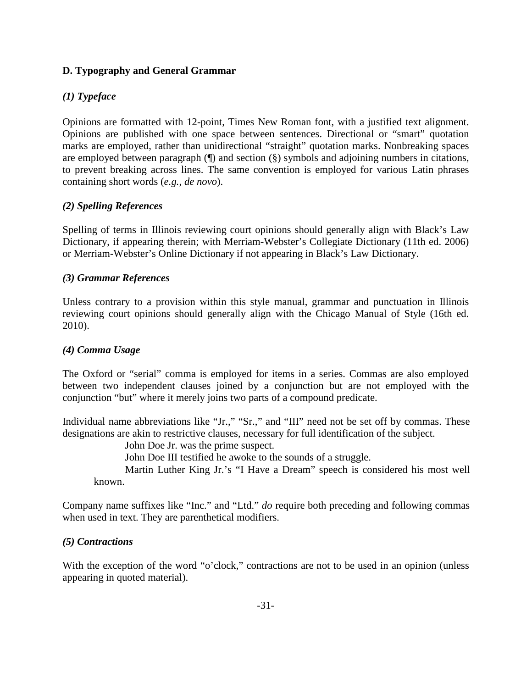## **D. Typography and General Grammar**

## *(1) Typeface*

Opinions are formatted with 12-point, Times New Roman font, with a justified text alignment. Opinions are published with one space between sentences. Directional or "smart" quotation marks are employed, rather than unidirectional "straight" quotation marks. Nonbreaking spaces are employed between paragraph (¶) and section (§) symbols and adjoining numbers in citations, to prevent breaking across lines. The same convention is employed for various Latin phrases containing short words (*e.g.*, *de novo*).

## *(2) Spelling References*

Spelling of terms in Illinois reviewing court opinions should generally align with Black's Law Dictionary, if appearing therein; with Merriam-Webster's Collegiate Dictionary (11th ed. 2006) or Merriam-Webster's Online Dictionary if not appearing in Black's Law Dictionary.

## *(3) Grammar References*

Unless contrary to a provision within this style manual, grammar and punctuation in Illinois reviewing court opinions should generally align with the Chicago Manual of Style (16th ed. 2010).

## *(4) Comma Usage*

The Oxford or "serial" comma is employed for items in a series. Commas are also employed between two independent clauses joined by a conjunction but are not employed with the conjunction "but" where it merely joins two parts of a compound predicate.

Individual name abbreviations like "Jr.," "Sr.," and "III" need not be set off by commas. These designations are akin to restrictive clauses, necessary for full identification of the subject.

John Doe Jr. was the prime suspect.

John Doe III testified he awoke to the sounds of a struggle.

Martin Luther King Jr.'s "I Have a Dream" speech is considered his most well known.

Company name suffixes like "Inc." and "Ltd." *do* require both preceding and following commas when used in text. They are parenthetical modifiers.

## *(5) Contractions*

With the exception of the word "o'clock," contractions are not to be used in an opinion (unless appearing in quoted material).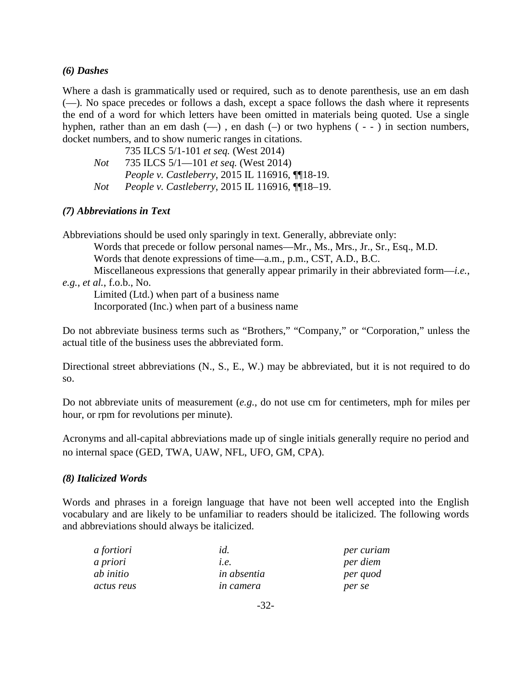## *(6) Dashes*

Where a dash is grammatically used or required, such as to denote parenthesis, use an em dash (—). No space precedes or follows a dash, except a space follows the dash where it represents the end of a word for which letters have been omitted in materials being quoted. Use a single hyphen, rather than an em dash (—) , en dash (–) or two hyphens ( - - ) in section numbers, docket numbers, and to show numeric ranges in citations.

|     | 735 ILCS 5/1-101 et seq. (West 2014)                    |
|-----|---------------------------------------------------------|
| Not | 735 ILCS $5/1$ —101 <i>et seq.</i> (West 2014)          |
|     | <i>People v. Castleberry, 2015 IL 116916, [[18-19.]</i> |
| Not | <i>People v. Castleberry, 2015 IL 116916, [[18-19.]</i> |

## *(7) Abbreviations in Text*

Abbreviations should be used only sparingly in text. Generally, abbreviate only:

Words that precede or follow personal names—Mr., Ms., Mrs., Jr., Sr., Esq., M.D.

Words that denote expressions of time—a.m., p.m., CST, A.D., B.C.

Miscellaneous expressions that generally appear primarily in their abbreviated form—*i.e.*, *e.g.*, *et al.*, f.o.b., No.

Limited (Ltd.) when part of a business name

Incorporated (Inc.) when part of a business name

Do not abbreviate business terms such as "Brothers," "Company," or "Corporation," unless the actual title of the business uses the abbreviated form.

Directional street abbreviations (N., S., E., W.) may be abbreviated, but it is not required to do so.

Do not abbreviate units of measurement (*e.g.*, do not use cm for centimeters, mph for miles per hour, or rpm for revolutions per minute).

Acronyms and all-capital abbreviations made up of single initials generally require no period and no internal space (GED, TWA, UAW, NFL, UFO, GM, CPA).

## *(8) Italicized Words*

Words and phrases in a foreign language that have not been well accepted into the English vocabulary and are likely to be unfamiliar to readers should be italicized. The following words and abbreviations should always be italicized.

| a fortiori | id.                | per curiam |
|------------|--------------------|------------|
| a priori   | l.e.               | per diem   |
| ab initio  | <i>in absentia</i> | per quod   |
| actus reus | <i>in camera</i>   | per se     |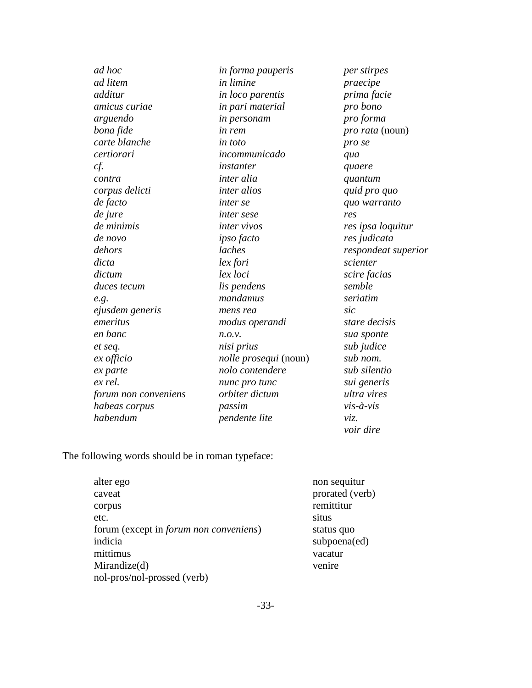| ad hoc               | in forma pauperis            | per stirpes         |
|----------------------|------------------------------|---------------------|
| ad litem             | in limine                    | praecipe            |
| additur              | in loco parentis             | prima facie         |
| <i>amicus curiae</i> | in pari material             | pro bono            |
| arguendo             | in personam                  | pro forma           |
| bona fide            | <i>in rem</i>                | pro rata (noun)     |
| carte blanche        | in toto                      | pro se              |
| certiorari           | incommunicado                | qua                 |
| cf.                  | instanter                    | quaere              |
| contra               | inter alia                   | quantum             |
| corpus delicti       | inter alios                  | quid pro quo        |
| de facto             | <i>inter se</i>              | quo warranto        |
| de jure              | <i>inter sese</i>            | res                 |
| de minimis           | inter vivos                  | res ipsa loquitur   |
| de novo              | ipso facto                   | res judicata        |
| dehors               | laches                       | respondeat superior |
| dicta                | lex fori                     | scienter            |
| dictum               | lex loci                     | scire facias        |
| duces tecum          | lis pendens                  | semble              |
| e.g.                 | mandamus                     | seriatim            |
| ejusdem generis      | mens rea                     | sic                 |
| emeritus             | modus operandi               | stare decisis       |
| en banc              | n.o.v.                       | sua sponte          |
| et seq.              | nisi prius                   | sub judice          |
| ex officio           | <i>nolle prosequi</i> (noun) | sub nom.            |
| ex parte             | nolo contendere              | sub silentio        |
| ex rel.              | nunc pro tunc                | sui generis         |
| forum non conveniens | orbiter dictum               | ultra vires         |
| habeas corpus        | passim                       | $vis - à - vis$     |
| habendum             | pendente lite                | νiz.                |
|                      |                              |                     |

The following words should be in roman typeface:

| alter ego                                      | non sequitur    |
|------------------------------------------------|-----------------|
| caveat                                         | prorated (verb) |
| corpus                                         | remittitur      |
| etc.                                           | situs           |
| forum (except in <i>forum non conveniens</i> ) | status quo      |
| indicia                                        | subpoena(ed)    |
| mittimus                                       | vacatur         |
| Mirandize(d)                                   | venire          |
| nol-pros/nol-prossed (verb)                    |                 |
|                                                |                 |

*voir dire*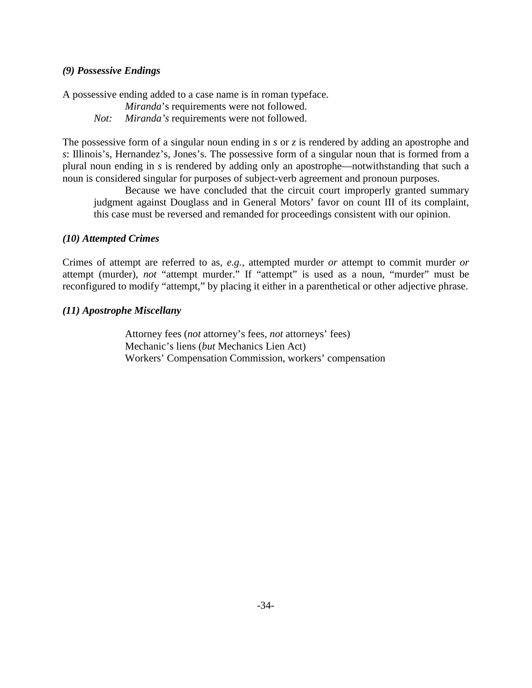## *(9) Possessive Endings*

A possessive ending added to a case name is in roman typeface.

*Miranda*'s requirements were not followed. *Not: Miranda's* requirements were not followed.

The possessive form of a singular noun ending in *s* or *z* is rendered by adding an apostrophe and *s*: Illinois's, Hernandez's, Jones's. The possessive form of a singular noun that is formed from a plural noun ending in *s* is rendered by adding only an apostrophe—notwithstanding that such a noun is considered singular for purposes of subject-verb agreement and pronoun purposes.

Because we have concluded that the circuit court improperly granted summary judgment against Douglass and in General Motors' favor on count III of its complaint, this case must be reversed and remanded for proceedings consistent with our opinion.

#### *(10) Attempted Crimes*

Crimes of attempt are referred to as, *e.g.*, attempted murder *or* attempt to commit murder *or* attempt (murder), *not* "attempt murder." If "attempt" is used as a noun, "murder" must be reconfigured to modify "attempt," by placing it either in a parenthetical or other adjective phrase.

### *(11) Apostrophe Miscellany*

Attorney fees (*not* attorney's fees, *not* attorneys' fees) Mechanic's liens (*but* Mechanics Lien Act) Workers' Compensation Commission, workers' compensation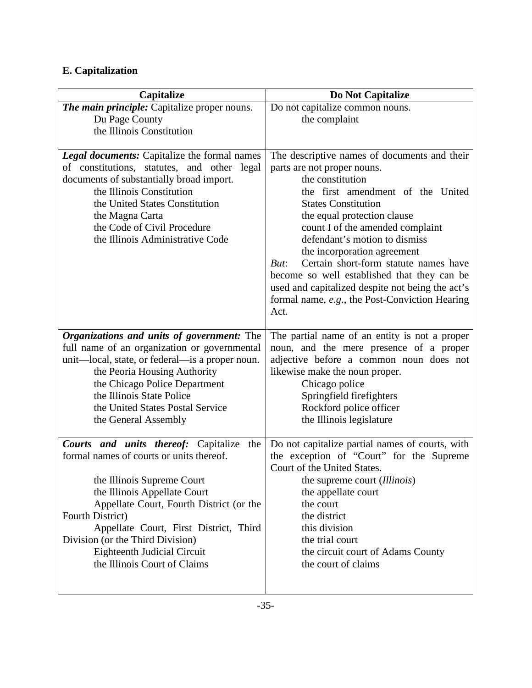# **E. Capitalization**

| Capitalize                                                                                                                                                                                                                                                                                                                                                                       | Do Not Capitalize                                                                                                                                                                                                                                                                                                                                                                                                                                                                                                   |
|----------------------------------------------------------------------------------------------------------------------------------------------------------------------------------------------------------------------------------------------------------------------------------------------------------------------------------------------------------------------------------|---------------------------------------------------------------------------------------------------------------------------------------------------------------------------------------------------------------------------------------------------------------------------------------------------------------------------------------------------------------------------------------------------------------------------------------------------------------------------------------------------------------------|
| The main principle: Capitalize proper nouns.<br>Du Page County<br>the Illinois Constitution                                                                                                                                                                                                                                                                                      | Do not capitalize common nouns.<br>the complaint                                                                                                                                                                                                                                                                                                                                                                                                                                                                    |
| <b>Legal documents:</b> Capitalize the formal names<br>of constitutions, statutes, and other legal<br>documents of substantially broad import.<br>the Illinois Constitution<br>the United States Constitution<br>the Magna Carta<br>the Code of Civil Procedure<br>the Illinois Administrative Code                                                                              | The descriptive names of documents and their<br>parts are not proper nouns.<br>the constitution<br>the first amendment of the United<br><b>States Constitution</b><br>the equal protection clause<br>count I of the amended complaint<br>defendant's motion to dismiss<br>the incorporation agreement<br>Certain short-form statute names have<br>But:<br>become so well established that they can be<br>used and capitalized despite not being the act's<br>formal name, e.g., the Post-Conviction Hearing<br>Act. |
| Organizations and units of government: The<br>full name of an organization or governmental<br>unit—local, state, or federal—is a proper noun.<br>the Peoria Housing Authority<br>the Chicago Police Department<br>the Illinois State Police<br>the United States Postal Service<br>the General Assembly                                                                          | The partial name of an entity is not a proper<br>noun, and the mere presence of a proper<br>adjective before a common noun does not<br>likewise make the noun proper.<br>Chicago police<br>Springfield firefighters<br>Rockford police officer<br>the Illinois legislature                                                                                                                                                                                                                                          |
| <b>Courts and units thereof:</b> Capitalize<br>the<br>formal names of courts or units thereof.<br>the Illinois Supreme Court<br>the Illinois Appellate Court<br>Appellate Court, Fourth District (or the<br>Fourth District)<br>Appellate Court, First District, Third<br>Division (or the Third Division)<br><b>Eighteenth Judicial Circuit</b><br>the Illinois Court of Claims | Do not capitalize partial names of courts, with<br>the exception of "Court" for the Supreme<br>Court of the United States.<br>the supreme court (Illinois)<br>the appellate court<br>the court<br>the district<br>this division<br>the trial court<br>the circuit court of Adams County<br>the court of claims                                                                                                                                                                                                      |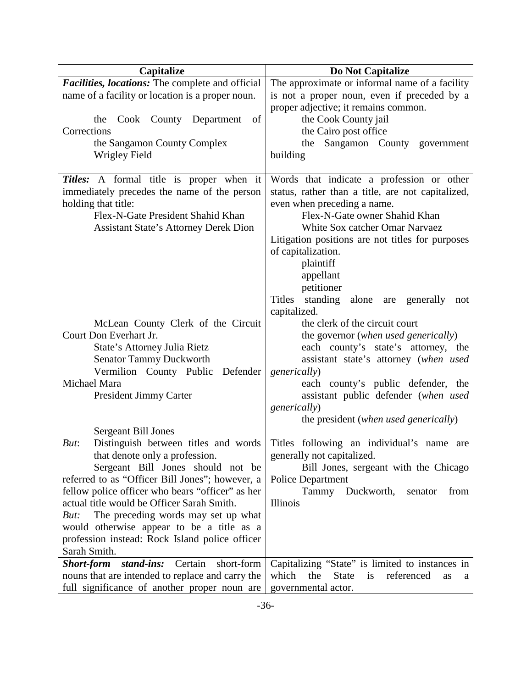| Capitalize                                                                                                                                                                                          | Do Not Capitalize                                                                                                                                                                                                                                                                                                  |
|-----------------------------------------------------------------------------------------------------------------------------------------------------------------------------------------------------|--------------------------------------------------------------------------------------------------------------------------------------------------------------------------------------------------------------------------------------------------------------------------------------------------------------------|
| Facilities, locations: The complete and official                                                                                                                                                    | The approximate or informal name of a facility                                                                                                                                                                                                                                                                     |
| name of a facility or location is a proper noun.                                                                                                                                                    | is not a proper noun, even if preceded by a                                                                                                                                                                                                                                                                        |
| Cook County Department<br>of<br>the<br>Corrections<br>the Sangamon County Complex<br><b>Wrigley Field</b>                                                                                           | proper adjective; it remains common.<br>the Cook County jail<br>the Cairo post office<br>Sangamon County government<br>the<br>building                                                                                                                                                                             |
| Titles: A formal title is proper when it<br>immediately precedes the name of the person<br>holding that title:<br>Flex-N-Gate President Shahid Khan<br><b>Assistant State's Attorney Derek Dion</b> | Words that indicate a profession or other<br>status, rather than a title, are not capitalized,<br>even when preceding a name.<br>Flex-N-Gate owner Shahid Khan<br>White Sox catcher Omar Narvaez<br>Litigation positions are not titles for purposes<br>of capitalization.<br>plaintiff<br>appellant<br>petitioner |
| McLean County Clerk of the Circuit<br>Court Don Everhart Jr.                                                                                                                                        | standing<br><b>Titles</b><br>alone<br>generally<br>are<br>not<br>capitalized.<br>the clerk of the circuit court<br>the governor (when used generically)                                                                                                                                                            |
| State's Attorney Julia Rietz<br>Senator Tammy Duckworth<br>Vermilion County Public<br>Defender                                                                                                      | each county's state's attorney, the<br>assistant state's attorney (when used<br><i>generically</i> )                                                                                                                                                                                                               |
| Michael Mara<br>President Jimmy Carter                                                                                                                                                              | each county's public defender, the<br>assistant public defender (when used<br>generically)<br>the president (when used generically)                                                                                                                                                                                |
| Sergeant Bill Jones<br>Distinguish between titles and words<br>But:<br>that denote only a profession.<br>Sergeant Bill Jones should not be                                                          | Titles following an individual's name are<br>generally not capitalized.<br>Bill Jones, sergeant with the Chicago                                                                                                                                                                                                   |
| referred to as "Officer Bill Jones"; however, a                                                                                                                                                     | <b>Police Department</b>                                                                                                                                                                                                                                                                                           |
| fellow police officer who bears "officer" as her                                                                                                                                                    | Tammy Duckworth,<br>from<br>senator                                                                                                                                                                                                                                                                                |
| actual title would be Officer Sarah Smith.                                                                                                                                                          | Illinois                                                                                                                                                                                                                                                                                                           |
| The preceding words may set up what<br>But:                                                                                                                                                         |                                                                                                                                                                                                                                                                                                                    |
| would otherwise appear to be a title as a<br>profession instead: Rock Island police officer                                                                                                         |                                                                                                                                                                                                                                                                                                                    |
| Sarah Smith.                                                                                                                                                                                        |                                                                                                                                                                                                                                                                                                                    |
| stand-ins: Certain short-form<br><b>Short-form</b>                                                                                                                                                  | Capitalizing "State" is limited to instances in                                                                                                                                                                                                                                                                    |
| nouns that are intended to replace and carry the                                                                                                                                                    | the<br><b>State</b><br>referenced<br>which<br>is<br>as<br>a                                                                                                                                                                                                                                                        |
| full significance of another proper noun are                                                                                                                                                        | governmental actor.                                                                                                                                                                                                                                                                                                |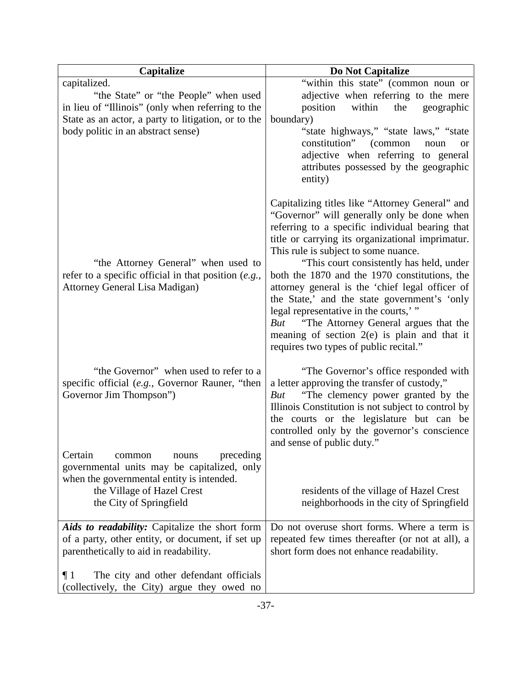| Capitalize                                                                                                                                                                                              | Do Not Capitalize                                                                                                                                                                                                                                                                                                                                                                                                                                                                                                                                                                                                                 |
|---------------------------------------------------------------------------------------------------------------------------------------------------------------------------------------------------------|-----------------------------------------------------------------------------------------------------------------------------------------------------------------------------------------------------------------------------------------------------------------------------------------------------------------------------------------------------------------------------------------------------------------------------------------------------------------------------------------------------------------------------------------------------------------------------------------------------------------------------------|
| capitalized.<br>"the State" or "the People" when used<br>in lieu of "Illinois" (only when referring to the<br>State as an actor, a party to litigation, or to the<br>body politic in an abstract sense) | "within this state" (common noun or<br>adjective when referring to the mere<br>within<br>position<br>the<br>geographic<br>boundary)<br>"state highways," "state laws," "state"<br>constitution"<br>(common<br>noun<br><b>or</b><br>adjective when referring to general<br>attributes possessed by the geographic<br>entity)                                                                                                                                                                                                                                                                                                       |
| "the Attorney General" when used to<br>refer to a specific official in that position $(e.g.,$<br><b>Attorney General Lisa Madigan)</b>                                                                  | Capitalizing titles like "Attorney General" and<br>"Governor" will generally only be done when<br>referring to a specific individual bearing that<br>title or carrying its organizational imprimatur.<br>This rule is subject to some nuance.<br>"This court consistently has held, under<br>both the 1870 and the 1970 constitutions, the<br>attorney general is the 'chief legal officer of<br>the State,' and the state government's 'only<br>legal representative in the courts,"<br>"The Attorney General argues that the<br>But<br>meaning of section $2(e)$ is plain and that it<br>requires two types of public recital." |
| "the Governor" when used to refer to a<br>specific official (e.g., Governor Rauner, "then<br>Governor Jim Thompson")<br>Certain<br>common<br>nouns<br>preceding                                         | "The Governor's office responded with<br>a letter approving the transfer of custody,"<br>"The clemency power granted by the<br>But<br>Illinois Constitution is not subject to control by<br>the courts or the legislature but can be<br>controlled only by the governor's conscience<br>and sense of public duty."                                                                                                                                                                                                                                                                                                                |
| governmental units may be capitalized, only<br>when the governmental entity is intended.<br>the Village of Hazel Crest<br>the City of Springfield                                                       | residents of the village of Hazel Crest<br>neighborhoods in the city of Springfield                                                                                                                                                                                                                                                                                                                                                                                                                                                                                                                                               |
| Aids to readability: Capitalize the short form<br>of a party, other entity, or document, if set up<br>parenthetically to aid in readability.                                                            | Do not overuse short forms. Where a term is<br>repeated few times thereafter (or not at all), a<br>short form does not enhance readability.                                                                                                                                                                                                                                                                                                                                                                                                                                                                                       |
| The city and other defendant officials<br>$\P1$<br>(collectively, the City) argue they owed no                                                                                                          |                                                                                                                                                                                                                                                                                                                                                                                                                                                                                                                                                                                                                                   |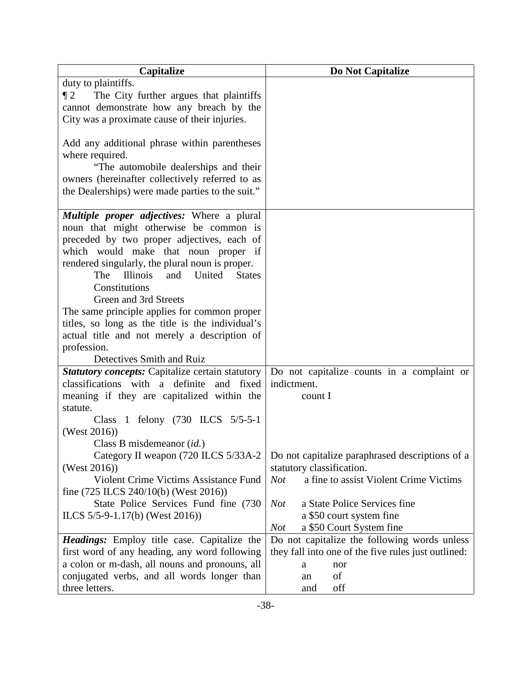| Capitalize                                                                                              | Do Not Capitalize                                         |
|---------------------------------------------------------------------------------------------------------|-----------------------------------------------------------|
| duty to plaintiffs.                                                                                     |                                                           |
| The City further argues that plaintiffs<br>$\P 2$                                                       |                                                           |
| cannot demonstrate how any breach by the                                                                |                                                           |
| City was a proximate cause of their injuries.                                                           |                                                           |
|                                                                                                         |                                                           |
| Add any additional phrase within parentheses                                                            |                                                           |
| where required.                                                                                         |                                                           |
| "The automobile dealerships and their<br>owners (hereinafter collectively referred to as                |                                                           |
| the Dealerships) were made parties to the suit."                                                        |                                                           |
|                                                                                                         |                                                           |
| <b>Multiple proper adjectives:</b> Where a plural                                                       |                                                           |
| noun that might otherwise be common is                                                                  |                                                           |
| preceded by two proper adjectives, each of                                                              |                                                           |
| which would make that noun proper if                                                                    |                                                           |
| rendered singularly, the plural noun is proper.                                                         |                                                           |
| <b>Illinois</b><br>and United<br>The<br><b>States</b>                                                   |                                                           |
| Constitutions                                                                                           |                                                           |
| Green and 3rd Streets                                                                                   |                                                           |
| The same principle applies for common proper                                                            |                                                           |
| titles, so long as the title is the individual's                                                        |                                                           |
| actual title and not merely a description of                                                            |                                                           |
| profession.                                                                                             |                                                           |
| Detectives Smith and Ruiz                                                                               |                                                           |
| <b>Statutory concepts:</b> Capitalize certain statutory<br>classifications with a definite<br>and fixed | Do not capitalize counts in a complaint or<br>indictment. |
| meaning if they are capitalized within the                                                              | count I                                                   |
| statute.                                                                                                |                                                           |
| Class 1 felony (730 ILCS 5/5-5-1                                                                        |                                                           |
| (West $2016$ ))                                                                                         |                                                           |
| Class B misdemeanor (id.)                                                                               |                                                           |
| Category II weapon (720 ILCS 5/33A-2                                                                    | Do not capitalize paraphrased descriptions of a           |
| (West $2016$ ))                                                                                         | statutory classification.                                 |
| Violent Crime Victims Assistance Fund                                                                   | a fine to assist Violent Crime Victims<br><b>Not</b>      |
| fine $(725$ ILCS $240/10(b)$ (West $2016$ ))                                                            |                                                           |
| State Police Services Fund fine (730)                                                                   | a State Police Services fine<br>Not                       |
| ILCS $5/5-9-1.17(b)$ (West 2016))                                                                       | a \$50 court system fine                                  |
|                                                                                                         | a \$50 Court System fine<br><b>Not</b>                    |
| <b>Headings:</b> Employ title case. Capitalize the                                                      | Do not capitalize the following words unless              |
| first word of any heading, any word following                                                           | they fall into one of the five rules just outlined:       |
| a colon or m-dash, all nouns and pronouns, all                                                          | nor<br>a                                                  |
| conjugated verbs, and all words longer than                                                             | of<br>an                                                  |
| three letters.                                                                                          | off<br>and                                                |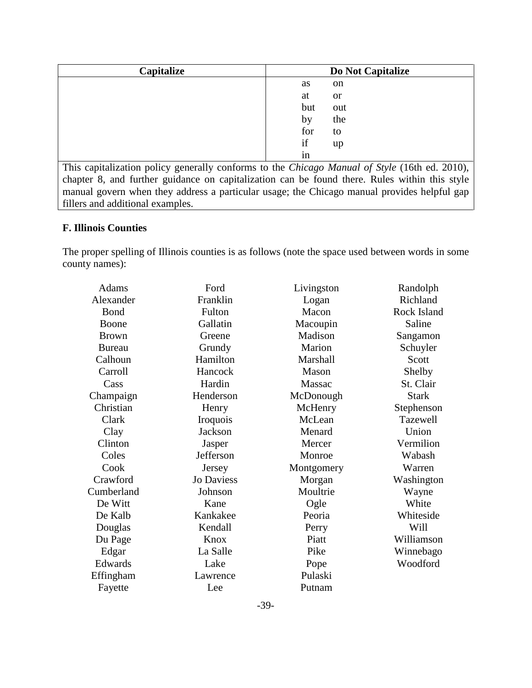| Capitalize | Do Not Capitalize   |
|------------|---------------------|
|            | as<br>on            |
|            | at<br><sub>or</sub> |
|            | but<br>out          |
|            | the<br>by           |
|            | for<br>to           |
|            | if<br>up            |
|            | 1n                  |

This capitalization policy generally conforms to the *Chicago Manual of Style* (16th ed. 2010), chapter 8, and further guidance on capitalization can be found there. Rules within this style manual govern when they address a particular usage; the Chicago manual provides helpful gap fillers and additional examples.

## **F. Illinois Counties**

The proper spelling of Illinois counties is as follows (note the space used between words in some county names):

|                   |                                        | Randolph                                                 |
|-------------------|----------------------------------------|----------------------------------------------------------|
|                   |                                        | Richland                                                 |
|                   |                                        | Rock Island                                              |
|                   |                                        | Saline                                                   |
| Greene            | Madison                                | Sangamon                                                 |
| Grundy            | Marion                                 | Schuyler                                                 |
| Hamilton          | Marshall                               | Scott                                                    |
| Hancock           | Mason                                  | Shelby                                                   |
| Hardin            | Massac                                 | St. Clair                                                |
| Henderson         | McDonough                              | <b>Stark</b>                                             |
| Henry             | McHenry                                | Stephenson                                               |
| Iroquois          | McLean                                 | Tazewell                                                 |
| <b>Jackson</b>    | Menard                                 | Union                                                    |
| Jasper            | Mercer                                 | Vermilion                                                |
| Jefferson         | Monroe                                 | Wabash                                                   |
| Jersey            | Montgomery                             | Warren                                                   |
| <b>Jo Daviess</b> | Morgan                                 | Washington                                               |
| Johnson           | Moultrie                               | Wayne                                                    |
| Kane              |                                        | White                                                    |
| Kankakee          | Peoria                                 | Whiteside                                                |
| Kendall           | Perry                                  | Will                                                     |
| Knox              | Piatt                                  | Williamson                                               |
| La Salle          | Pike                                   | Winnebago                                                |
| Lake              |                                        | Woodford                                                 |
| Lawrence          | Pulaski                                |                                                          |
| Lee               | Putnam                                 |                                                          |
|                   | Ford<br>Franklin<br>Fulton<br>Gallatin | Livingston<br>Logan<br>Macon<br>Macoupin<br>Ogle<br>Pope |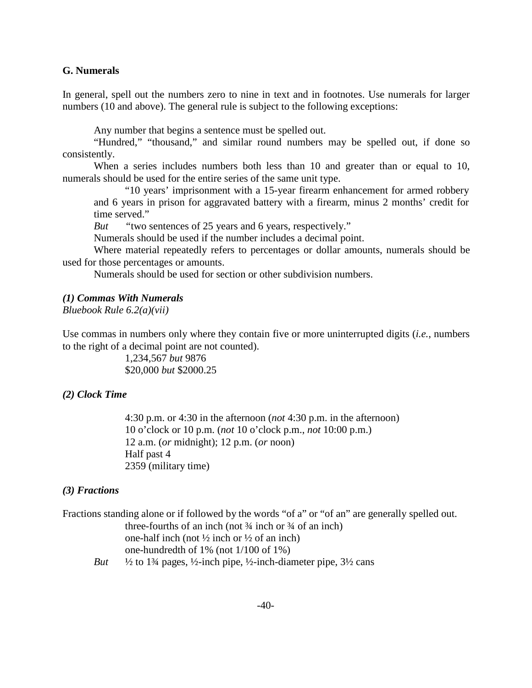#### **G. Numerals**

In general, spell out the numbers zero to nine in text and in footnotes. Use numerals for larger numbers (10 and above). The general rule is subject to the following exceptions:

Any number that begins a sentence must be spelled out.

"Hundred," "thousand," and similar round numbers may be spelled out, if done so consistently.

When a series includes numbers both less than 10 and greater than or equal to 10, numerals should be used for the entire series of the same unit type.

"10 years' imprisonment with a 15-year firearm enhancement for armed robbery and 6 years in prison for aggravated battery with a firearm, minus 2 months' credit for time served."

*But "*two sentences of 25 years and 6 years, respectively."

Numerals should be used if the number includes a decimal point.

Where material repeatedly refers to percentages or dollar amounts, numerals should be used for those percentages or amounts.

Numerals should be used for section or other subdivision numbers.

#### *(1) Commas With Numerals*

*Bluebook Rule 6.2(a)(vii)*

Use commas in numbers only where they contain five or more uninterrupted digits (*i.e.*, numbers to the right of a decimal point are not counted).

> 1,234,567 *but* 9876 \$20,000 *but* \$2000.25

## *(2) Clock Time*

4:30 p.m. or 4:30 in the afternoon (*not* 4:30 p.m. in the afternoon) 10 o'clock or 10 p.m. (*not* 10 o'clock p.m., *not* 10:00 p.m.) 12 a.m. (*or* midnight); 12 p.m. (*or* noon) Half past 4 2359 (military time)

#### *(3) Fractions*

|     | Fractions standing alone or if followed by the words "of a" or "of an" are generally spelled out.                                      |
|-----|----------------------------------------------------------------------------------------------------------------------------------------|
|     | three-fourths of an inch (not $\frac{3}{4}$ inch or $\frac{3}{4}$ of an inch)                                                          |
|     | one-half inch (not $\frac{1}{2}$ inch or $\frac{1}{2}$ of an inch)                                                                     |
|     | one-hundredth of $1\%$ (not $1/100$ of $1\%$ )                                                                                         |
| But | $\frac{1}{2}$ to 1 <sup>3</sup> / <sub>2</sub> pages, $\frac{1}{2}$ -inch pipe, $\frac{1}{2}$ -inch-diameter pipe, $\frac{31}{2}$ cans |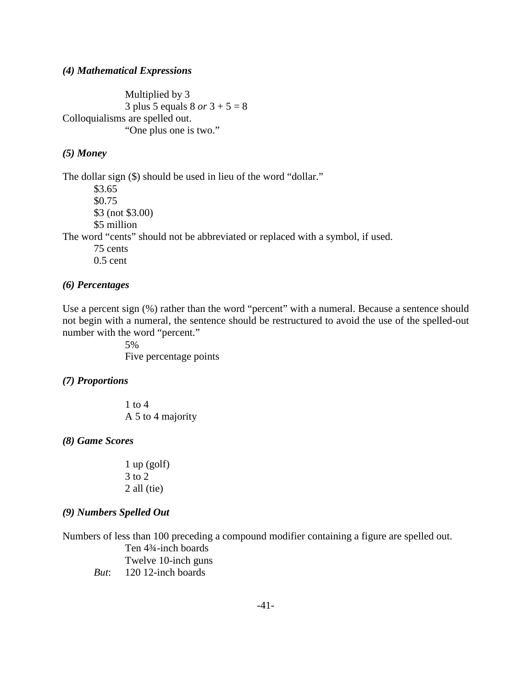#### *(4) Mathematical Expressions*

Multiplied by 3 3 plus 5 equals 8 *or* 3 + 5 = 8 Colloquialisms are spelled out. "One plus one is two."

## *(5) Money*

The dollar sign (\$) should be used in lieu of the word "dollar."

\$3.65 \$0.75 \$3 (not \$3.00) \$5 million The word "cents" should not be abbreviated or replaced with a symbol, if used. 75 cents 0.5 cent

#### *(6) Percentages*

Use a percent sign (%) rather than the word "percent" with a numeral. Because a sentence should not begin with a numeral, the sentence should be restructured to avoid the use of the spelled-out number with the word "percent."

> 5% Five percentage points

#### *(7) Proportions*

1 to 4 A 5 to 4 majority

#### *(8) Game Scores*

 $1$  up (golf) 3 to 2 2 all (tie)

## *(9) Numbers Spelled Out*

Numbers of less than 100 preceding a compound modifier containing a figure are spelled out. Ten 4¾-inch boards Twelve 10-inch guns *But*: 120 12-inch boards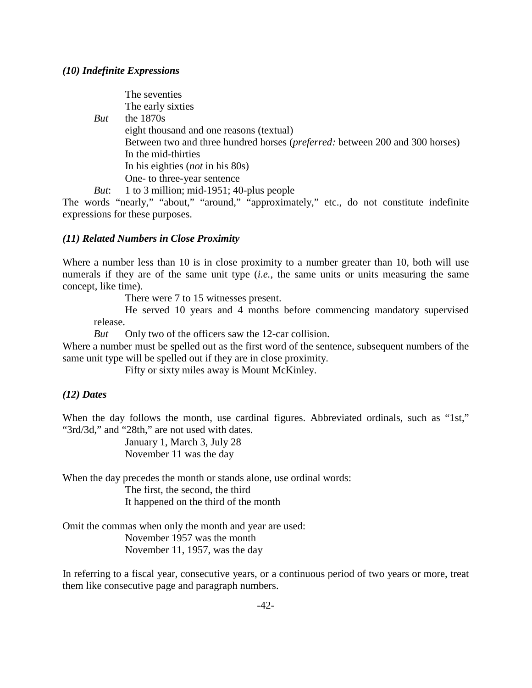#### *(10) Indefinite Expressions*

The seventies The early sixties *But* the 1870s eight thousand and one reasons (textual) Between two and three hundred horses (*preferred:* between 200 and 300 horses) In the mid-thirties In his eighties (*not* in his 80s) One- to three-year sentence *But*: 1 to 3 million; mid-1951; 40-plus people

The words "nearly," "about," "around," "approximately," etc., do not constitute indefinite expressions for these purposes.

#### *(11) Related Numbers in Close Proximity*

Where a number less than 10 is in close proximity to a number greater than 10, both will use numerals if they are of the same unit type (*i.e.*, the same units or units measuring the same concept, like time).

There were 7 to 15 witnesses present.

He served 10 years and 4 months before commencing mandatory supervised release.

*But* Only two of the officers saw the 12-car collision.

Where a number must be spelled out as the first word of the sentence, subsequent numbers of the same unit type will be spelled out if they are in close proximity.

Fifty or sixty miles away is Mount McKinley.

#### *(12) Dates*

When the day follows the month, use cardinal figures. Abbreviated ordinals, such as "1st," "3rd/3d," and "28th," are not used with dates.

> January 1, March 3, July 28 November 11 was the day

When the day precedes the month or stands alone, use ordinal words: The first, the second, the third It happened on the third of the month

Omit the commas when only the month and year are used: November 1957 was the month November 11, 1957, was the day

In referring to a fiscal year, consecutive years, or a continuous period of two years or more, treat them like consecutive page and paragraph numbers.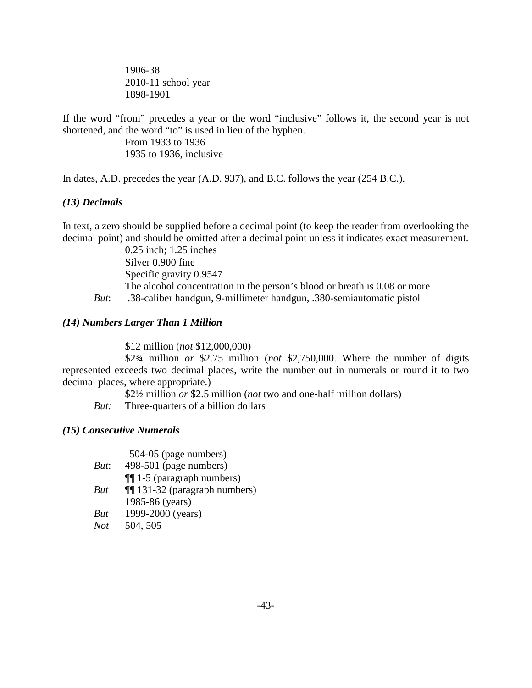1906-38 2010-11 school year 1898-1901

If the word "from" precedes a year or the word "inclusive" follows it, the second year is not shortened, and the word "to" is used in lieu of the hyphen.

> From 1933 to 1936 1935 to 1936, inclusive

In dates, A.D. precedes the year (A.D. 937), and B.C. follows the year (254 B.C.).

## *(13) Decimals*

In text, a zero should be supplied before a decimal point (to keep the reader from overlooking the decimal point) and should be omitted after a decimal point unless it indicates exact measurement.

0.25 inch; 1.25 inches Silver 0.900 fine Specific gravity 0.9547 The alcohol concentration in the person's blood or breath is 0.08 or more *But*: .38-caliber handgun, 9-millimeter handgun, .380-semiautomatic pistol

## *(14) Numbers Larger Than 1 Million*

\$12 million (*not* \$12,000,000)

\$2¾ million *or* \$2.75 million (*not* \$2,750,000. Where the number of digits represented exceeds two decimal places, write the number out in numerals or round it to two decimal places, where appropriate.)

\$2½ million *or* \$2.5 million (*not* two and one-half million dollars)

*But:* Three-quarters of a billion dollars

## *(15) Consecutive Numerals*

|            | 504-05 (page numbers)                 |
|------------|---------------------------------------|
| But:       | 498-501 (page numbers)                |
|            | $\P$ [1-5 (paragraph numbers)         |
| But        | <b>114</b> 131-32 (paragraph numbers) |
|            | 1985-86 (years)                       |
| But        | 1999-2000 (years)                     |
| <b>Not</b> | 504, 505                              |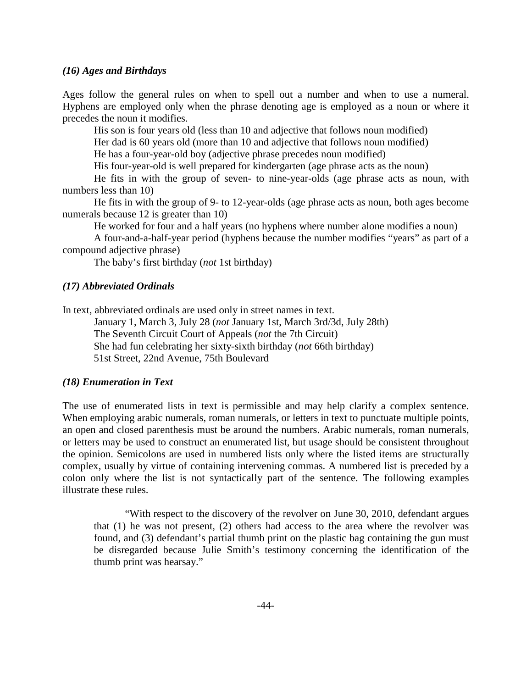#### *(16) Ages and Birthdays*

Ages follow the general rules on when to spell out a number and when to use a numeral. Hyphens are employed only when the phrase denoting age is employed as a noun or where it precedes the noun it modifies.

His son is four years old (less than 10 and adjective that follows noun modified)

Her dad is 60 years old (more than 10 and adjective that follows noun modified)

He has a four-year-old boy (adjective phrase precedes noun modified)

His four-year-old is well prepared for kindergarten (age phrase acts as the noun)

He fits in with the group of seven- to nine-year-olds (age phrase acts as noun, with numbers less than 10)

He fits in with the group of 9- to 12-year-olds (age phrase acts as noun, both ages become numerals because 12 is greater than 10)

He worked for four and a half years (no hyphens where number alone modifies a noun)

A four-and-a-half-year period (hyphens because the number modifies "years" as part of a compound adjective phrase)

The baby's first birthday (*not* 1st birthday)

#### *(17) Abbreviated Ordinals*

In text, abbreviated ordinals are used only in street names in text.

January 1, March 3, July 28 (*not* January 1st, March 3rd/3d, July 28th) The Seventh Circuit Court of Appeals (*not* the 7th Circuit) She had fun celebrating her sixty-sixth birthday (*not* 66th birthday) 51st Street, 22nd Avenue, 75th Boulevard

#### *(18) Enumeration in Text*

The use of enumerated lists in text is permissible and may help clarify a complex sentence. When employing arabic numerals, roman numerals, or letters in text to punctuate multiple points, an open and closed parenthesis must be around the numbers. Arabic numerals, roman numerals, or letters may be used to construct an enumerated list, but usage should be consistent throughout the opinion. Semicolons are used in numbered lists only where the listed items are structurally complex, usually by virtue of containing intervening commas. A numbered list is preceded by a colon only where the list is not syntactically part of the sentence. The following examples illustrate these rules.

"With respect to the discovery of the revolver on June 30, 2010, defendant argues that (1) he was not present, (2) others had access to the area where the revolver was found, and (3) defendant's partial thumb print on the plastic bag containing the gun must be disregarded because Julie Smith's testimony concerning the identification of the thumb print was hearsay."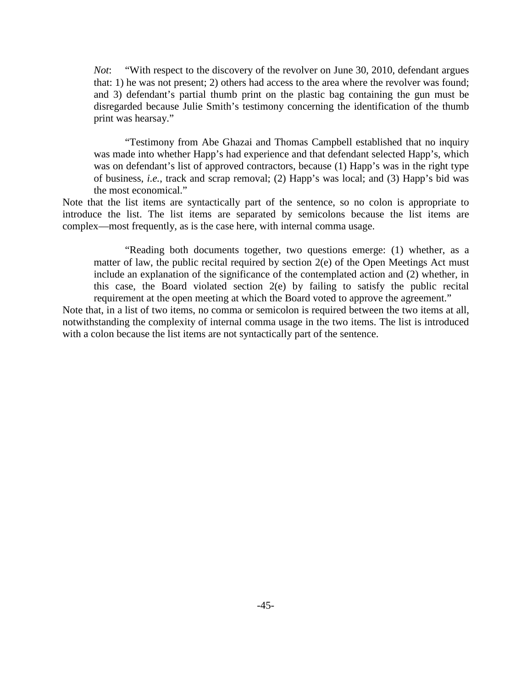*Not*: "With respect to the discovery of the revolver on June 30, 2010, defendant argues that: 1) he was not present; 2) others had access to the area where the revolver was found; and 3) defendant's partial thumb print on the plastic bag containing the gun must be disregarded because Julie Smith's testimony concerning the identification of the thumb print was hearsay."

"Testimony from Abe Ghazai and Thomas Campbell established that no inquiry was made into whether Happ's had experience and that defendant selected Happ's, which was on defendant's list of approved contractors, because (1) Happ's was in the right type of business, *i.e.*, track and scrap removal; (2) Happ's was local; and (3) Happ's bid was the most economical."

Note that the list items are syntactically part of the sentence, so no colon is appropriate to introduce the list. The list items are separated by semicolons because the list items are complex—most frequently, as is the case here, with internal comma usage.

"Reading both documents together, two questions emerge: (1) whether, as a matter of law, the public recital required by section 2(e) of the Open Meetings Act must include an explanation of the significance of the contemplated action and (2) whether, in this case, the Board violated section 2(e) by failing to satisfy the public recital requirement at the open meeting at which the Board voted to approve the agreement."

Note that, in a list of two items, no comma or semicolon is required between the two items at all, notwithstanding the complexity of internal comma usage in the two items. The list is introduced with a colon because the list items are not syntactically part of the sentence.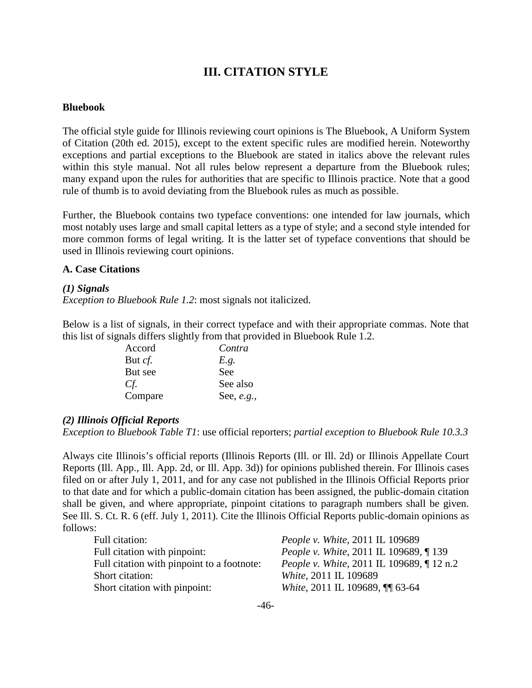## **III. CITATION STYLE**

#### **Bluebook**

The official style guide for Illinois reviewing court opinions is The Bluebook, A Uniform System of Citation (20th ed. 2015), except to the extent specific rules are modified herein. Noteworthy exceptions and partial exceptions to the Bluebook are stated in italics above the relevant rules within this style manual. Not all rules below represent a departure from the Bluebook rules; many expand upon the rules for authorities that are specific to Illinois practice. Note that a good rule of thumb is to avoid deviating from the Bluebook rules as much as possible.

Further, the Bluebook contains two typeface conventions: one intended for law journals, which most notably uses large and small capital letters as a type of style; and a second style intended for more common forms of legal writing. It is the latter set of typeface conventions that should be used in Illinois reviewing court opinions.

#### **A. Case Citations**

#### *(1) Signals*

*Exception to Bluebook Rule 1.2*: most signals not italicized.

Below is a list of signals, in their correct typeface and with their appropriate commas. Note that this list of signals differs slightly from that provided in Bluebook Rule 1.2.

| Accord         | Contra       |
|----------------|--------------|
| But <i>cf.</i> | E.g.         |
| But see        | See          |
| Cf.            | See also     |
| Compare        | See, $e.g.,$ |

#### *(2) Illinois Official Reports*

*Exception to Bluebook Table T1*: use official reporters; *partial exception to Bluebook Rule 10.3.3*

Always cite Illinois's official reports (Illinois Reports (Ill. or Ill. 2d) or Illinois Appellate Court Reports (Ill. App., Ill. App. 2d, or Ill. App. 3d)) for opinions published therein. For Illinois cases filed on or after July 1, 2011, and for any case not published in the Illinois Official Reports prior to that date and for which a public-domain citation has been assigned, the public-domain citation shall be given, and where appropriate, pinpoint citations to paragraph numbers shall be given. See Ill. S. Ct. R. 6 (eff. July 1, 2011). Cite the Illinois Official Reports public-domain opinions as follows:

| Full citation:                             | <i>People v. White, 2011 IL 109689</i>           |
|--------------------------------------------|--------------------------------------------------|
| Full citation with pinpoint:               | <i>People v. White, 2011 IL 109689, 139</i>      |
| Full citation with pinpoint to a footnote: | <i>People v. White, 2011 IL 109689, [12 n.2]</i> |
| Short citation:                            | <i>White, 2011 IL 109689</i>                     |
| Short citation with pinpoint:              | White, 2011 IL 109689, ¶ 63-64                   |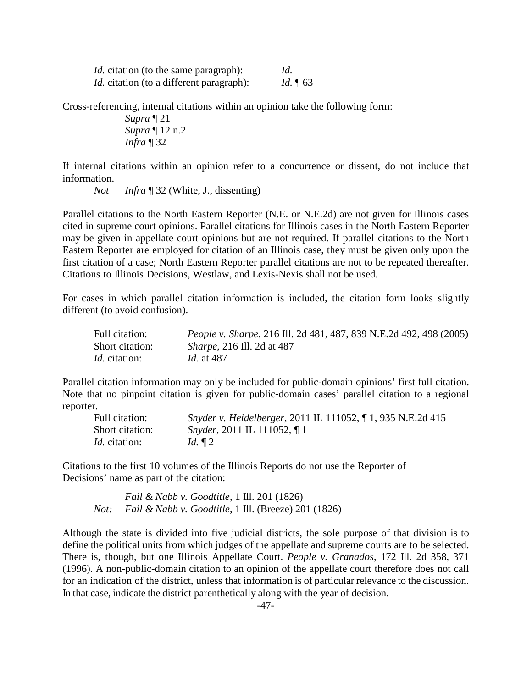| <i>Id.</i> citation (to the same paragraph):    | Id.         |
|-------------------------------------------------|-------------|
| <i>Id.</i> citation (to a different paragraph): | Id. $\P$ 63 |

Cross-referencing, internal citations within an opinion take the following form:

*Supra* ¶ 21 *Supra* ¶ 12 n.2 *Infra* ¶ 32

If internal citations within an opinion refer to a concurrence or dissent, do not include that information.

*Not Infra* ¶ 32 (White, J., dissenting)

Parallel citations to the North Eastern Reporter (N.E. or N.E.2d) are not given for Illinois cases cited in supreme court opinions. Parallel citations for Illinois cases in the North Eastern Reporter may be given in appellate court opinions but are not required. If parallel citations to the North Eastern Reporter are employed for citation of an Illinois case, they must be given only upon the first citation of a case; North Eastern Reporter parallel citations are not to be repeated thereafter. Citations to Illinois Decisions, Westlaw, and Lexis-Nexis shall not be used.

For cases in which parallel citation information is included, the citation form looks slightly different (to avoid confusion).

| Full citation:       | <i>People v. Sharpe, 216 Ill. 2d 481, 487, 839 N.E.2d 492, 498 (2005)</i> |
|----------------------|---------------------------------------------------------------------------|
| Short citation:      | <i>Sharpe</i> , 216 Ill. 2d at 487                                        |
| <i>Id.</i> citation: | <i>Id.</i> at 487                                                         |

Parallel citation information may only be included for public-domain opinions' first full citation. Note that no pinpoint citation is given for public-domain cases' parallel citation to a regional reporter.

| Full citation:       | Snyder v. Heidelberger, 2011 IL 111052, ¶ 1, 935 N.E.2d 415 |
|----------------------|-------------------------------------------------------------|
| Short citation:      | <i>Snyder</i> , 2011 IL 111052, $\P$ 1                      |
| <i>Id.</i> citation: | Id. $\P$ 2                                                  |

Citations to the first 10 volumes of the Illinois Reports do not use the Reporter of Decisions' name as part of the citation:

*Fail & Nabb v. Goodtitle*, 1 Ill. 201 (1826) *Not: Fail & Nabb v. Goodtitle*, 1 Ill. (Breeze) 201 (1826)

Although the state is divided into five judicial districts, the sole purpose of that division is to define the political units from which judges of the appellate and supreme courts are to be selected. There is, though, but one Illinois Appellate Court. *People v. Granados*, 172 Ill. 2d 358, 371 (1996). A non-public-domain citation to an opinion of the appellate court therefore does not call for an indication of the district, unless that information is of particular relevance to the discussion. In that case, indicate the district parenthetically along with the year of decision.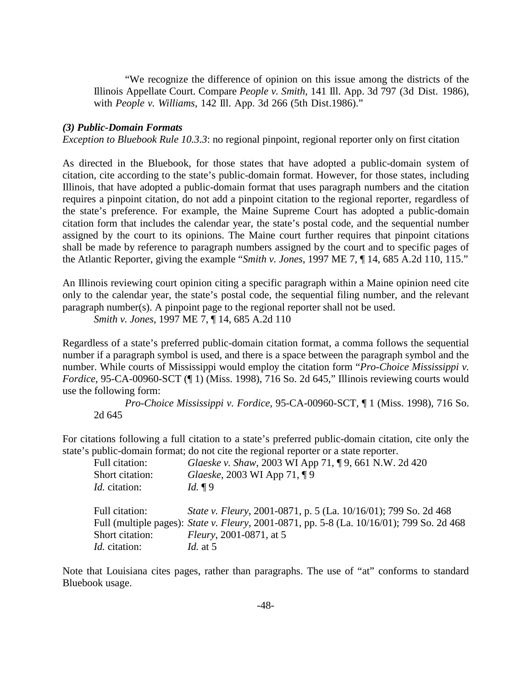"We recognize the difference of opinion on this issue among the districts of the Illinois Appellate Court. Compare *People v. Smith*, 141 Ill. App. 3d 797 (3d Dist. 1986), with *People v. Williams*, 142 Ill. App. 3d 266 (5th Dist.1986)."

#### *(3) Public-Domain Formats*

*Exception to Bluebook Rule 10.3.3:* no regional pinpoint, regional reporter only on first citation

As directed in the Bluebook, for those states that have adopted a public-domain system of citation, cite according to the state's public-domain format. However, for those states, including Illinois, that have adopted a public-domain format that uses paragraph numbers and the citation requires a pinpoint citation, do not add a pinpoint citation to the regional reporter, regardless of the state's preference. For example, the Maine Supreme Court has adopted a public-domain citation form that includes the calendar year, the state's postal code, and the sequential number assigned by the court to its opinions. The Maine court further requires that pinpoint citations shall be made by reference to paragraph numbers assigned by the court and to specific pages of the Atlantic Reporter, giving the example "*Smith v. Jones*, 1997 ME 7, ¶ 14, 685 A.2d 110, 115."

An Illinois reviewing court opinion citing a specific paragraph within a Maine opinion need cite only to the calendar year, the state's postal code, the sequential filing number, and the relevant paragraph number(s). A pinpoint page to the regional reporter shall not be used.

*Smith v. Jones*, 1997 ME 7, ¶ 14, 685 A.2d 110

Regardless of a state's preferred public-domain citation format, a comma follows the sequential number if a paragraph symbol is used, and there is a space between the paragraph symbol and the number. While courts of Mississippi would employ the citation form "*Pro-Choice Mississippi v. Fordice*, 95-CA-00960-SCT (¶ 1) (Miss. 1998), 716 So. 2d 645," Illinois reviewing courts would use the following form:

*Pro-Choice Mississippi v. Fordice*, 95-CA-00960-SCT, ¶ 1 (Miss. 1998), 716 So. 2d 645

For citations following a full citation to a state's preferred public-domain citation, cite only the state's public-domain format; do not cite the regional reporter or a state reporter.

| Full citation:       | Glaeske v. Shaw, 2003 WI App 71, ¶9, 661 N.W. 2d 420                                              |
|----------------------|---------------------------------------------------------------------------------------------------|
| Short citation:      | Glaeske, 2003 WI App 71, 19                                                                       |
| <i>Id.</i> citation: | Id. $\P9$                                                                                         |
| Full citation:       | State v. Fleury, 2001-0871, p. 5 (La. 10/16/01); 799 So. 2d 468                                   |
|                      |                                                                                                   |
|                      | Full (multiple pages): <i>State v. Fleury</i> , 2001-0871, pp. 5-8 (La. 10/16/01); 799 So. 2d 468 |
| Short citation:      | <i>Fleury</i> , 2001-0871, at 5                                                                   |
| <i>Id.</i> citation: | <i>Id.</i> at 5                                                                                   |

Note that Louisiana cites pages, rather than paragraphs. The use of "at" conforms to standard Bluebook usage.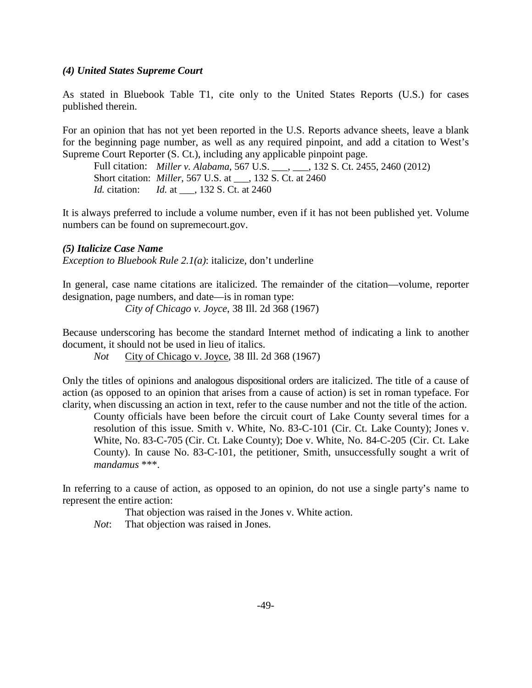#### *(4) United States Supreme Court*

As stated in Bluebook Table T1, cite only to the United States Reports (U.S.) for cases published therein.

For an opinion that has not yet been reported in the U.S. Reports advance sheets, leave a blank for the beginning page number, as well as any required pinpoint, and add a citation to West's Supreme Court Reporter (S. Ct.), including any applicable pinpoint page.

Full citation: *Miller v. Alabama*, 567 U.S. \_\_\_, \_\_\_, 132 S. Ct. 2455, 2460 (2012) Short citation: *Miller*, 567 U.S. at \_\_\_, 132 S. Ct. at 2460 *Id.* citation: *Id.* at , 132 S. Ct. at 2460

It is always preferred to include a volume number, even if it has not been published yet. Volume numbers can be found on supremecourt.gov.

#### *(5) Italicize Case Name*

*Exception to Bluebook Rule 2.1(a)*: italicize, don't underline

In general, case name citations are italicized. The remainder of the citation—volume, reporter designation, page numbers, and date—is in roman type:

*City of Chicago v. Joyce*, 38 Ill. 2d 368 (1967)

Because underscoring has become the standard Internet method of indicating a link to another document, it should not be used in lieu of italics.

*Not* City of Chicago v. Joyce, 38 Ill. 2d 368 (1967)

Only the titles of opinions and analogous dispositional orders are italicized. The title of a cause of action (as opposed to an opinion that arises from a cause of action) is set in roman typeface. For clarity, when discussing an action in text, refer to the cause number and not the title of the action.

County officials have been before the circuit court of Lake County several times for a resolution of this issue. Smith v. White, No. 83-C-101 (Cir. Ct. Lake County); Jones v. White, No. 83-C-705 (Cir. Ct. Lake County); Doe v. White, No. 84-C-205 (Cir. Ct. Lake County). In cause No. 83-C-101, the petitioner, Smith, unsuccessfully sought a writ of *mandamus* \*\*\*.

In referring to a cause of action, as opposed to an opinion, do not use a single party's name to represent the entire action:

That objection was raised in the Jones v. White action.

*Not*: That objection was raised in Jones.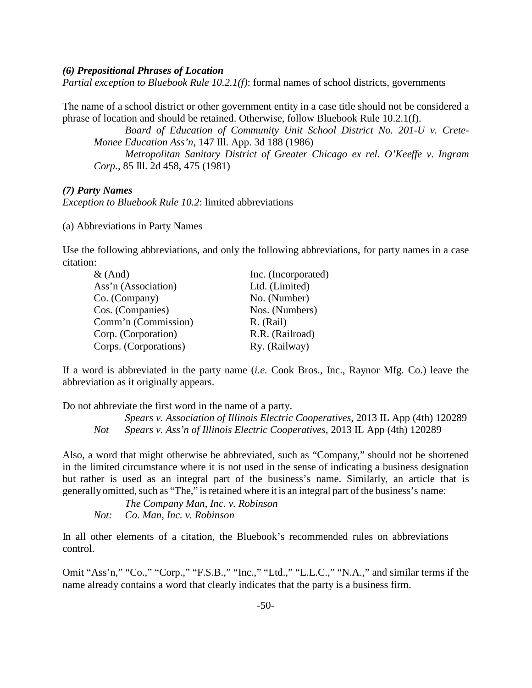#### *(6) Prepositional Phrases of Location*

*Partial exception to Bluebook Rule 10.2.1(f)*: formal names of school districts, governments

The name of a school district or other government entity in a case title should not be considered a phrase of location and should be retained. Otherwise, follow Bluebook Rule 10.2.1(f).

*Board of Education of Community Unit School District No. 201-U v. Crete-Monee Education Ass'n*, 147 Ill. App. 3d 188 (1986) *Metropolitan Sanitary District of Greater Chicago ex rel. O'Keeffe v. Ingram* 

*Corp.*, 85 Ill. 2d 458, 475 (1981)

#### *(7) Party Names*

*Exception to Bluebook Rule 10.2*: limited abbreviations

(a) Abbreviations in Party Names

Use the following abbreviations, and only the following abbreviations, for party names in a case citation:

| $\&$ (And)            | Inc. (Incorporated) |
|-----------------------|---------------------|
| Ass'n (Association)   | Ltd. (Limited)      |
| Co. (Company)         | No. (Number)        |
| Cos. (Companies)      | Nos. (Numbers)      |
| Comm'n (Commission)   | R. (Rail)           |
| Corp. (Corporation)   | R.R. (Railroad)     |
| Corps. (Corporations) | Ry. (Railway)       |

If a word is abbreviated in the party name (*i.e.* Cook Bros., Inc., Raynor Mfg. Co.) leave the abbreviation as it originally appears.

Do not abbreviate the first word in the name of a party.

*Spears v. Association of Illinois Electric Cooperatives*, 2013 IL App (4th) 120289 *Not Spears v. Ass'n of Illinois Electric Cooperatives*, 2013 IL App (4th) 120289

Also, a word that might otherwise be abbreviated, such as "Company," should not be shortened in the limited circumstance where it is not used in the sense of indicating a business designation but rather is used as an integral part of the business's name. Similarly, an article that is generally omitted, such as "The," is retained where it is an integral part of the business's name:

*The Company Man, Inc. v. Robinson Not: Co. Man, Inc. v. Robinson*

In all other elements of a citation, the Bluebook's recommended rules on abbreviations control.

Omit "Ass'n," "Co.," "Corp.," "F.S.B.," "Inc.," "Ltd.," "L.L.C.," "N.A.," and similar terms if the name already contains a word that clearly indicates that the party is a business firm.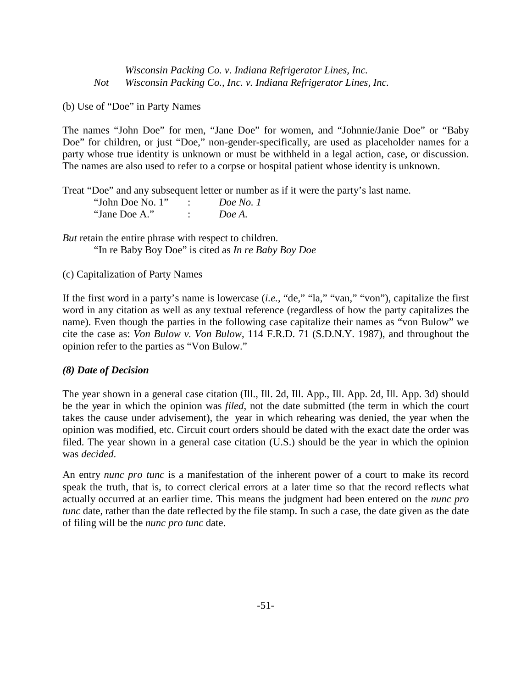*Wisconsin Packing Co. v. Indiana Refrigerator Lines, Inc. Not Wisconsin Packing Co., Inc. v. Indiana Refrigerator Lines, Inc.*

(b) Use of "Doe" in Party Names

The names "John Doe" for men, "Jane Doe" for women, and "Johnnie/Janie Doe" or "Baby Doe" for children, or just "Doe," non-gender-specifically, are used as placeholder names for a party whose true identity is unknown or must be withheld in a legal action, case, or discussion. The names are also used to refer to a corpse or hospital patient whose identity is unknown.

Treat "Doe" and any subsequent letter or number as if it were the party's last name.

| "John Doe No. 1" | Doe No. 1 |
|------------------|-----------|
| "Jane Doe A."    | Doe A.    |

*But* retain the entire phrase with respect to children. "In re Baby Boy Doe" is cited as *In re Baby Boy Doe*

(c) Capitalization of Party Names

If the first word in a party's name is lowercase (*i.e.*, "de," "la," "van," "von"), capitalize the first word in any citation as well as any textual reference (regardless of how the party capitalizes the name). Even though the parties in the following case capitalize their names as "von Bulow" we cite the case as: *Von Bulow v. Von Bulow*, 114 F.R.D. 71 (S.D.N.Y. 1987), and throughout the opinion refer to the parties as "Von Bulow."

#### *(8) Date of Decision*

The year shown in a general case citation (Ill., Ill. 2d, Ill. App., Ill. App. 2d, Ill. App. 3d) should be the year in which the opinion was *filed*, not the date submitted (the term in which the court takes the cause under advisement), the year in which rehearing was denied, the year when the opinion was modified, etc. Circuit court orders should be dated with the exact date the order was filed. The year shown in a general case citation (U.S.) should be the year in which the opinion was *decided*.

An entry *nunc pro tunc* is a manifestation of the inherent power of a court to make its record speak the truth, that is, to correct clerical errors at a later time so that the record reflects what actually occurred at an earlier time. This means the judgment had been entered on the *nunc pro tunc* date, rather than the date reflected by the file stamp. In such a case, the date given as the date of filing will be the *nunc pro tunc* date.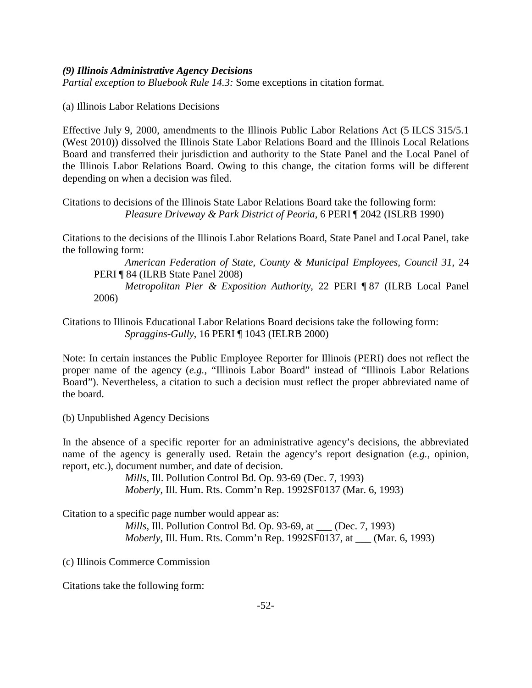#### *(9) Illinois Administrative Agency Decisions*

*Partial exception to Bluebook Rule 14.3:* Some exceptions in citation format.

(a) Illinois Labor Relations Decisions

Effective July 9, 2000, amendments to the Illinois Public Labor Relations Act (5 ILCS 315/5.1 (West 2010)) dissolved the Illinois State Labor Relations Board and the Illinois Local Relations Board and transferred their jurisdiction and authority to the State Panel and the Local Panel of the Illinois Labor Relations Board. Owing to this change, the citation forms will be different depending on when a decision was filed.

Citations to decisions of the Illinois State Labor Relations Board take the following form: *Pleasure Driveway & Park District of Peoria*, 6 PERI ¶ 2042 (ISLRB 1990)

Citations to the decisions of the Illinois Labor Relations Board, State Panel and Local Panel, take the following form:

*American Federation of State, County & Municipal Employees, Council 31*, 24 PERI ¶ 84 (ILRB State Panel 2008)

*Metropolitan Pier & Exposition Authority*, 22 PERI ¶ 87 (ILRB Local Panel 2006)

Citations to Illinois Educational Labor Relations Board decisions take the following form: *Spraggins-Gully*, 16 PERI ¶ 1043 (IELRB 2000)

Note: In certain instances the Public Employee Reporter for Illinois (PERI) does not reflect the proper name of the agency (*e.g.*, "Illinois Labor Board" instead of "Illinois Labor Relations Board"). Nevertheless, a citation to such a decision must reflect the proper abbreviated name of the board.

(b) Unpublished Agency Decisions

In the absence of a specific reporter for an administrative agency's decisions, the abbreviated name of the agency is generally used. Retain the agency's report designation (*e.g.*, opinion, report, etc.), document number, and date of decision.

> *Mills*, Ill. Pollution Control Bd. Op. 93-69 (Dec. 7, 1993) *Moberly*, Ill. Hum. Rts. Comm'n Rep. 1992SF0137 (Mar. 6, 1993)

Citation to a specific page number would appear as:

*Mills*, Ill. Pollution Control Bd. Op. 93-69, at \_\_\_ (Dec. 7, 1993) *Moberly*, Ill. Hum. Rts. Comm'n Rep. 1992SF0137, at \_\_\_ (Mar. 6, 1993)

(c) Illinois Commerce Commission

Citations take the following form: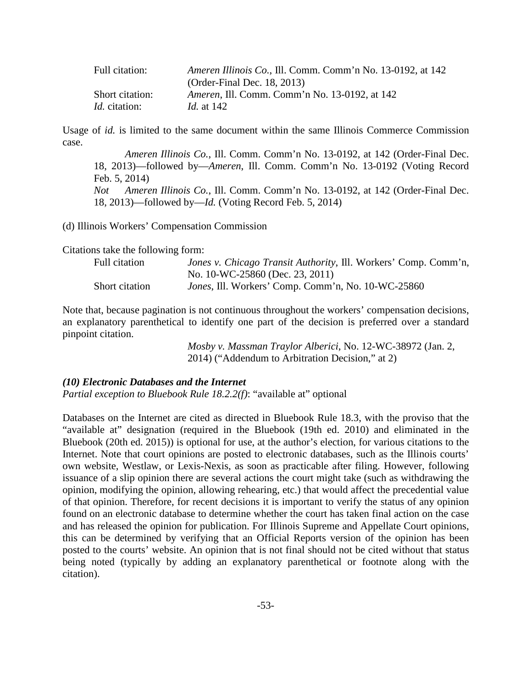| Full citation:       | <i>Ameren Illinois Co., Ill. Comm. Comm'n No. 13-0192, at 142</i> |
|----------------------|-------------------------------------------------------------------|
|                      | (Order-Final Dec. 18, 2013)                                       |
| Short citation:      | <i>Ameren, Ill. Comm. Comm'n No. 13-0192, at 142</i>              |
| <i>Id.</i> citation: | <i>Id.</i> at 142                                                 |

Usage of *id.* is limited to the same document within the same Illinois Commerce Commission case.

*Ameren Illinois Co.*, Ill. Comm. Comm'n No. 13-0192, at 142 (Order-Final Dec. 18, 2013)—followed by—*Ameren*, Ill. Comm. Comm'n No. 13-0192 (Voting Record Feb. 5, 2014) *Not Ameren Illinois Co.*, Ill. Comm. Comm'n No. 13-0192, at 142 (Order-Final Dec. 18, 2013)—followed by—*Id.* (Voting Record Feb. 5, 2014)

(d) Illinois Workers' Compensation Commission

Citations take the following form:

| Full citation  | <i>Jones v. Chicago Transit Authority, Ill. Workers' Comp. Comm'n,</i> |
|----------------|------------------------------------------------------------------------|
|                | No. 10-WC-25860 (Dec. 23, 2011)                                        |
| Short citation | <i>Jones</i> , Ill. Workers' Comp. Comm'n, No. 10-WC-25860             |

Note that, because pagination is not continuous throughout the workers' compensation decisions, an explanatory parenthetical to identify one part of the decision is preferred over a standard pinpoint citation.

> *Mosby v. Massman Traylor Alberici*, No. 12-WC-38972 (Jan. 2, 2014) ("Addendum to Arbitration Decision," at 2)

#### *(10) Electronic Databases and the Internet*

*Partial exception to Bluebook Rule 18.2.2(f)*: "available at" optional

Databases on the Internet are cited as directed in Bluebook Rule 18.3, with the proviso that the "available at" designation (required in the Bluebook (19th ed. 2010) and eliminated in the Bluebook (20th ed. 2015)) is optional for use, at the author's election, for various citations to the Internet. Note that court opinions are posted to electronic databases, such as the Illinois courts' own website, Westlaw, or Lexis-Nexis, as soon as practicable after filing. However, following issuance of a slip opinion there are several actions the court might take (such as withdrawing the opinion, modifying the opinion, allowing rehearing, etc.) that would affect the precedential value of that opinion. Therefore, for recent decisions it is important to verify the status of any opinion found on an electronic database to determine whether the court has taken final action on the case and has released the opinion for publication. For Illinois Supreme and Appellate Court opinions, this can be determined by verifying that an Official Reports version of the opinion has been posted to the courts' website. An opinion that is not final should not be cited without that status being noted (typically by adding an explanatory parenthetical or footnote along with the citation).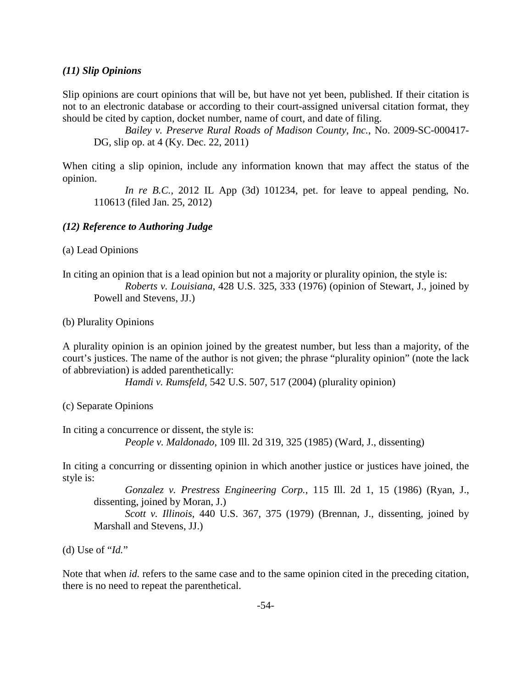#### *(11) Slip Opinions*

Slip opinions are court opinions that will be, but have not yet been, published. If their citation is not to an electronic database or according to their court-assigned universal citation format, they should be cited by caption, docket number, name of court, and date of filing.

*Bailey v. Preserve Rural Roads of Madison County, Inc.*, No. 2009-SC-000417- DG, slip op. at 4 (Ky. Dec. 22, 2011)

When citing a slip opinion, include any information known that may affect the status of the opinion.

*In re B.C.*, 2012 IL App (3d) 101234, pet. for leave to appeal pending, No. 110613 (filed Jan. 25, 2012)

#### *(12) Reference to Authoring Judge*

(a) Lead Opinions

In citing an opinion that is a lead opinion but not a majority or plurality opinion, the style is: *Roberts v. Louisiana*, 428 U.S. 325, 333 (1976) (opinion of Stewart, J., joined by Powell and Stevens, JJ.)

(b) Plurality Opinions

A plurality opinion is an opinion joined by the greatest number, but less than a majority, of the court's justices. The name of the author is not given; the phrase "plurality opinion" (note the lack of abbreviation) is added parenthetically:

*Hamdi v. Rumsfeld*, 542 U.S. 507, 517 (2004) (plurality opinion)

(c) Separate Opinions

In citing a concurrence or dissent, the style is: *People v. Maldonado*, 109 Ill. 2d 319, 325 (1985) (Ward, J., dissenting)

In citing a concurring or dissenting opinion in which another justice or justices have joined, the style is:

*Gonzalez v. Prestress Engineering Corp.*, 115 Ill. 2d 1, 15 (1986) (Ryan, J., dissenting, joined by Moran, J.)

*Scott v. Illinois*, 440 U.S. 367, 375 (1979) (Brennan, J., dissenting, joined by Marshall and Stevens, JJ.)

(d) Use of "*Id.*"

Note that when *id.* refers to the same case and to the same opinion cited in the preceding citation, there is no need to repeat the parenthetical.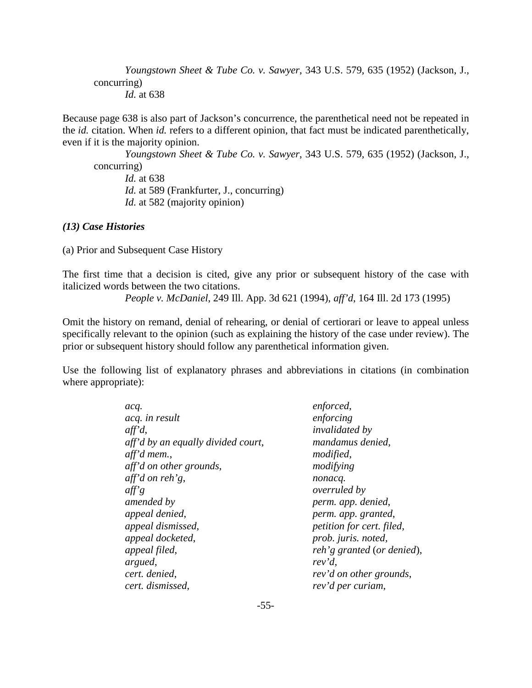*Youngstown Sheet & Tube Co. v. Sawyer*, 343 U.S. 579, 635 (1952) (Jackson, J., concurring) *Id.* at 638

Because page 638 is also part of Jackson's concurrence, the parenthetical need not be repeated in the *id.* citation. When *id.* refers to a different opinion, that fact must be indicated parenthetically, even if it is the majority opinion.

*Youngstown Sheet & Tube Co. v. Sawyer*, 343 U.S. 579, 635 (1952) (Jackson, J., concurring) *Id.* at 638

*Id.* at 589 (Frankfurter, J., concurring) *Id.* at 582 (majority opinion)

## *(13) Case Histories*

(a) Prior and Subsequent Case History

The first time that a decision is cited, give any prior or subsequent history of the case with italicized words between the two citations.

*People v. McDaniel*, 249 Ill. App. 3d 621 (1994), *aff'd*, 164 Ill. 2d 173 (1995)

Omit the history on remand, denial of rehearing, or denial of certiorari or leave to appeal unless specifically relevant to the opinion (such as explaining the history of the case under review). The prior or subsequent history should follow any parenthetical information given.

Use the following list of explanatory phrases and abbreviations in citations (in combination where appropriate):

| acq.                               | enforced,                  |
|------------------------------------|----------------------------|
| acq. in result                     | enforcing                  |
| $\alpha f^{\prime}d$ ,             | <i>invalidated by</i>      |
| aff'd by an equally divided court, | mandamus denied,           |
| aff'd mem.,                        | modified,                  |
| aff'd on other grounds,            | modifying                  |
| aff'd on reh'g,                    | nonacq.                    |
| $\theta$ aff's                     | <i>overruled by</i>        |
| amended by                         | perm. app. denied,         |
| appeal denied,                     | perm. app. granted,        |
| appeal dismissed,                  | petition for cert. filed,  |
| appeal docketed,                   | prob. juris. noted,        |
| appeal filed,                      | reh'g granted (or denied), |
| argued,                            | rev'd,                     |
| cert. denied,                      | rev'd on other grounds,    |
| cert. dismissed,                   | rev'd per curiam,          |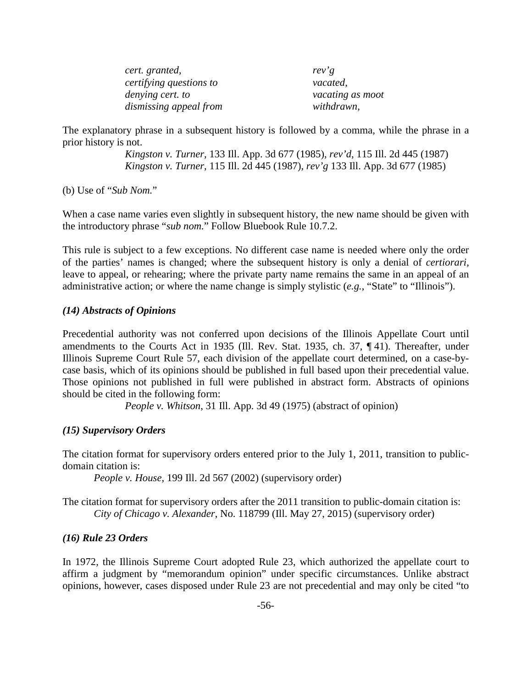*cert. granted*, *rev'g certifying questions to vacated*, *denying cert. to vacating as moot dismissing appeal from withdrawn*,

The explanatory phrase in a subsequent history is followed by a comma, while the phrase in a prior history is not.

> *Kingston v. Turner*, 133 Ill. App. 3d 677 (1985), *rev'd*, 115 Ill. 2d 445 (1987) *Kingston v. Turner*, 115 Ill. 2d 445 (1987), *rev'g* 133 Ill. App. 3d 677 (1985)

(b) Use of "*Sub Nom.*"

When a case name varies even slightly in subsequent history, the new name should be given with the introductory phrase "*sub nom.*" Follow Bluebook Rule 10.7.2.

This rule is subject to a few exceptions. No different case name is needed where only the order of the parties' names is changed; where the subsequent history is only a denial of *certiorari*, leave to appeal, or rehearing; where the private party name remains the same in an appeal of an administrative action; or where the name change is simply stylistic (*e.g.*, "State" to "Illinois").

#### *(14) Abstracts of Opinions*

Precedential authority was not conferred upon decisions of the Illinois Appellate Court until amendments to the Courts Act in 1935 (Ill. Rev. Stat. 1935, ch. 37, ¶ 41). Thereafter, under Illinois Supreme Court Rule 57, each division of the appellate court determined, on a case-bycase basis, which of its opinions should be published in full based upon their precedential value. Those opinions not published in full were published in abstract form. Abstracts of opinions should be cited in the following form:

*People v. Whitson*, 31 Ill. App. 3d 49 (1975) (abstract of opinion)

#### *(15) Supervisory Orders*

The citation format for supervisory orders entered prior to the July 1, 2011, transition to publicdomain citation is:

*People v. House*, 199 Ill. 2d 567 (2002) (supervisory order)

The citation format for supervisory orders after the 2011 transition to public-domain citation is: *City of Chicago v. Alexander*, No. 118799 (Ill. May 27, 2015) (supervisory order)

#### *(16) Rule 23 Orders*

In 1972, the Illinois Supreme Court adopted Rule 23, which authorized the appellate court to affirm a judgment by "memorandum opinion" under specific circumstances. Unlike abstract opinions, however, cases disposed under Rule 23 are not precedential and may only be cited "to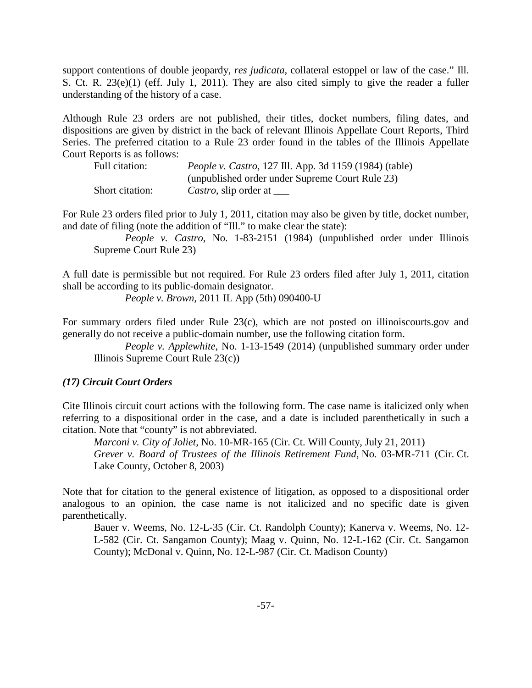support contentions of double jeopardy, *res judicata*, collateral estoppel or law of the case." Ill. S. Ct. R. 23(e)(1) (eff. July 1, 2011). They are also cited simply to give the reader a fuller understanding of the history of a case.

Although Rule 23 orders are not published, their titles, docket numbers, filing dates, and dispositions are given by district in the back of relevant Illinois Appellate Court Reports, Third Series. The preferred citation to a Rule 23 order found in the tables of the Illinois Appellate Court Reports is as follows:

| Full citation:  | <i>People v. Castro</i> , 127 Ill. App. 3d 1159 (1984) (table) |
|-----------------|----------------------------------------------------------------|
|                 | (unpublished order under Supreme Court Rule 23)                |
| Short citation: | Castro, slip order at                                          |

For Rule 23 orders filed prior to July 1, 2011, citation may also be given by title, docket number, and date of filing (note the addition of "Ill." to make clear the state):

*People v. Castro*, No. 1-83-2151 (1984) (unpublished order under Illinois Supreme Court Rule 23)

A full date is permissible but not required. For Rule 23 orders filed after July 1, 2011, citation shall be according to its public-domain designator.

*People v. Brown*, 2011 IL App (5th) 090400-U

For summary orders filed under Rule 23(c), which are not posted on illinoiscourts.gov and generally do not receive a public-domain number, use the following citation form.

*People v. Applewhite*, No. 1-13-1549 (2014) (unpublished summary order under Illinois Supreme Court Rule 23(c))

#### *(17) Circuit Court Orders*

Cite Illinois circuit court actions with the following form. The case name is italicized only when referring to a dispositional order in the case, and a date is included parenthetically in such a citation. Note that "county" is not abbreviated.

*Marconi v. City of Joliet*, No. 10-MR-165 (Cir. Ct. Will County, July 21, 2011) *Grever v. Board of Trustees of the Illinois Retirement Fund,* No. 03-MR-711 (Cir. Ct. Lake County, October 8, 2003)

Note that for citation to the general existence of litigation, as opposed to a dispositional order analogous to an opinion, the case name is not italicized and no specific date is given parenthetically.

Bauer v. Weems, No. 12-L-35 (Cir. Ct. Randolph County); Kanerva v. Weems, No. 12- L-582 (Cir. Ct. Sangamon County); Maag v. Quinn, No. 12-L-162 (Cir. Ct. Sangamon County); McDonal v. Quinn, No. 12-L-987 (Cir. Ct. Madison County)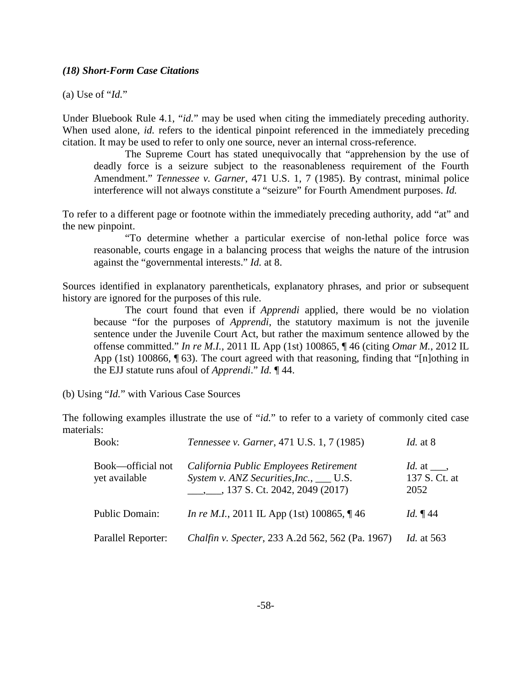#### *(18) Short-Form Case Citations*

(a) Use of "*Id.*"

Under Bluebook Rule 4.1, "*id.*" may be used when citing the immediately preceding authority. When used alone, *id.* refers to the identical pinpoint referenced in the immediately preceding citation. It may be used to refer to only one source, never an internal cross-reference.

The Supreme Court has stated unequivocally that "apprehension by the use of deadly force is a seizure subject to the reasonableness requirement of the Fourth Amendment." *Tennessee v. Garner*, 471 U.S. 1, 7 (1985). By contrast, minimal police interference will not always constitute a "seizure" for Fourth Amendment purposes. *Id.* 

To refer to a different page or footnote within the immediately preceding authority, add "at" and the new pinpoint.

"To determine whether a particular exercise of non-lethal police force was reasonable, courts engage in a balancing process that weighs the nature of the intrusion against the "governmental interests." *Id.* at 8.

Sources identified in explanatory parentheticals, explanatory phrases, and prior or subsequent history are ignored for the purposes of this rule.

The court found that even if *Apprendi* applied, there would be no violation because "for the purposes of *Apprendi*, the statutory maximum is not the juvenile sentence under the Juvenile Court Act, but rather the maximum sentence allowed by the offense committed." *In re M.I.*, 2011 IL App (1st) 100865, ¶ 46 (citing *Omar M.*, 2012 IL App (1st) 100866, ¶ 63). The court agreed with that reasoning, finding that "[n]othing in the EJJ statute runs afoul of *Apprendi*." *Id.* ¶ 44.

(b) Using "*Id.*" with Various Case Sources

The following examples illustrate the use of "*id*." to refer to a variety of commonly cited case materials:

| Book:                              | <i>Tennessee v. Garner</i> , 471 U.S. 1, 7 (1985)                                                                                  | <i>Id.</i> at 8                          |
|------------------------------------|------------------------------------------------------------------------------------------------------------------------------------|------------------------------------------|
| Book—official not<br>yet available | California Public Employees Retirement<br>System v. ANZ Securities, Inc., ___ U.S.<br>$\frac{1}{2}$ , 137 S. Ct. 2042, 2049 (2017) | Id. at $\_\_$ ,<br>137 S. Ct. at<br>2052 |
| <b>Public Domain:</b>              | <i>In re M.I.</i> , 2011 IL App (1st) 100865, $\P$ 46                                                                              | Id. $\P$ 44                              |
| Parallel Reporter:                 | Chalfin v. Specter, 233 A.2d 562, 562 (Pa. 1967)                                                                                   | <i>Id.</i> at 563                        |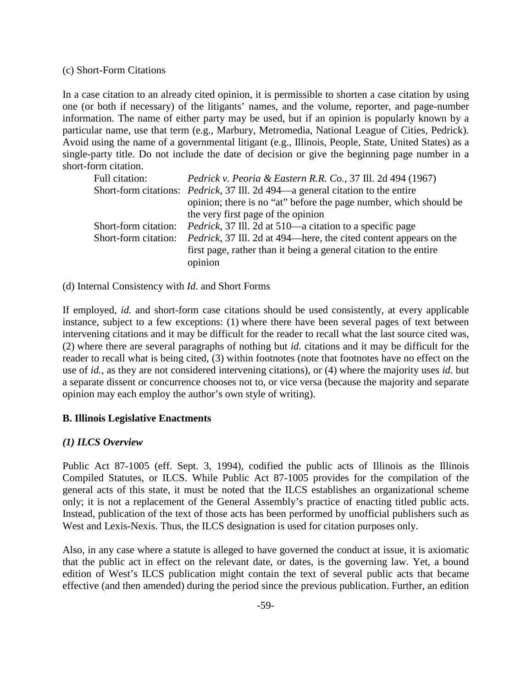#### (c) Short-Form Citations

In a case citation to an already cited opinion, it is permissible to shorten a case citation by using one (or both if necessary) of the litigants' names, and the volume, reporter, and page-number information. The name of either party may be used, but if an opinion is popularly known by a particular name, use that term (e.g., Marbury, Metromedia, National League of Cities, Pedrick). Avoid using the name of a governmental litigant (e.g., Illinois, People, State, United States) as a single-party title. Do not include the date of decision or give the beginning page number in a short-form citation.

| Full citation:       | <i>Pedrick v. Peoria &amp; Eastern R.R. Co.</i> , 37 Ill. 2d 494 (1967)                |
|----------------------|----------------------------------------------------------------------------------------|
|                      | Short-form citations: <i>Pedrick</i> , 37 III. 2d 494—a general citation to the entire |
|                      | opinion; there is no "at" before the page number, which should be                      |
|                      | the very first page of the opinion                                                     |
| Short-form citation: | <i>Pedrick</i> , 37 Ill. 2d at 510—a citation to a specific page                       |
| Short-form citation: | <i>Pedrick</i> , 37 III. 2d at 494—here, the cited content appears on the              |
|                      | first page, rather than it being a general citation to the entire                      |
|                      | opinion                                                                                |

(d) Internal Consistency with *Id.* and Short Forms

If employed, *id.* and short-form case citations should be used consistently, at every applicable instance, subject to a few exceptions: (1) where there have been several pages of text between intervening citations and it may be difficult for the reader to recall what the last source cited was, (2) where there are several paragraphs of nothing but *id.* citations and it may be difficult for the reader to recall what is being cited, (3) within footnotes (note that footnotes have no effect on the use of *id.*, as they are not considered intervening citations), or (4) where the majority uses *id.* but a separate dissent or concurrence chooses not to, or vice versa (because the majority and separate opinion may each employ the author's own style of writing).

## **B. Illinois Legislative Enactments**

## *(1) ILCS Overview*

Public Act 87-1005 (eff. Sept. 3, 1994), codified the public acts of Illinois as the Illinois Compiled Statutes, or ILCS. While Public Act 87-1005 provides for the compilation of the general acts of this state, it must be noted that the ILCS establishes an organizational scheme only; it is not a replacement of the General Assembly's practice of enacting titled public acts. Instead, publication of the text of those acts has been performed by unofficial publishers such as West and Lexis-Nexis. Thus, the ILCS designation is used for citation purposes only.

Also, in any case where a statute is alleged to have governed the conduct at issue, it is axiomatic that the public act in effect on the relevant date, or dates, is the governing law. Yet, a bound edition of West's ILCS publication might contain the text of several public acts that became effective (and then amended) during the period since the previous publication. Further, an edition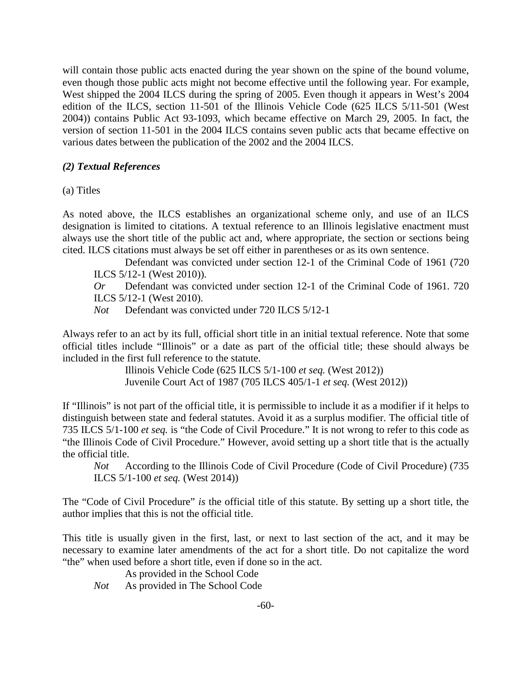will contain those public acts enacted during the year shown on the spine of the bound volume, even though those public acts might not become effective until the following year. For example, West shipped the 2004 ILCS during the spring of 2005. Even though it appears in West's 2004 edition of the ILCS, section 11-501 of the Illinois Vehicle Code (625 ILCS 5/11-501 (West 2004)) contains Public Act 93-1093, which became effective on March 29, 2005. In fact, the version of section 11-501 in the 2004 ILCS contains seven public acts that became effective on various dates between the publication of the 2002 and the 2004 ILCS.

### *(2) Textual References*

(a) Titles

As noted above, the ILCS establishes an organizational scheme only, and use of an ILCS designation is limited to citations. A textual reference to an Illinois legislative enactment must always use the short title of the public act and, where appropriate, the section or sections being cited. ILCS citations must always be set off either in parentheses or as its own sentence.

Defendant was convicted under section 12-1 of the Criminal Code of 1961 (720 ILCS 5/12-1 (West 2010)).

*Or* Defendant was convicted under section 12-1 of the Criminal Code of 1961. 720 ILCS 5/12-1 (West 2010).

*Not* Defendant was convicted under 720 ILCS 5/12-1

Always refer to an act by its full, official short title in an initial textual reference. Note that some official titles include "Illinois" or a date as part of the official title; these should always be included in the first full reference to the statute.

> Illinois Vehicle Code (625 ILCS 5/1-100 *et seq.* (West 2012)) Juvenile Court Act of 1987 (705 ILCS 405/1-1 *et seq.* (West 2012))

If "Illinois" is not part of the official title, it is permissible to include it as a modifier if it helps to distinguish between state and federal statutes. Avoid it as a surplus modifier. The official title of 735 ILCS 5/1-100 *et seq.* is "the Code of Civil Procedure." It is not wrong to refer to this code as "the Illinois Code of Civil Procedure." However, avoid setting up a short title that is the actually the official title.

*Not* According to the Illinois Code of Civil Procedure (Code of Civil Procedure) (735 ILCS 5/1-100 *et seq.* (West 2014))

The "Code of Civil Procedure" *is* the official title of this statute. By setting up a short title, the author implies that this is not the official title.

This title is usually given in the first, last, or next to last section of the act, and it may be necessary to examine later amendments of the act for a short title. Do not capitalize the word "the" when used before a short title, even if done so in the act.

As provided in the School Code

*Not* As provided in The School Code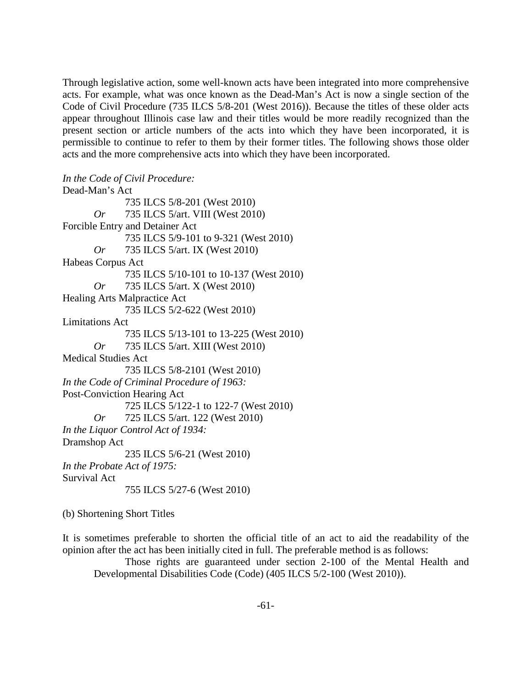Through legislative action, some well-known acts have been integrated into more comprehensive acts. For example, what was once known as the Dead-Man's Act is now a single section of the Code of Civil Procedure (735 ILCS 5/8-201 (West 2016)). Because the titles of these older acts appear throughout Illinois case law and their titles would be more readily recognized than the present section or article numbers of the acts into which they have been incorporated, it is permissible to continue to refer to them by their former titles. The following shows those older acts and the more comprehensive acts into which they have been incorporated.

*In the Code of Civil Procedure:* Dead-Man's Act 735 ILCS 5/8-201 (West 2010) *Or* 735 ILCS 5/art. VIII (West 2010) Forcible Entry and Detainer Act 735 ILCS 5/9-101 to 9-321 (West 2010) *Or* 735 ILCS 5/art. IX (West 2010) Habeas Corpus Act 735 ILCS 5/10-101 to 10-137 (West 2010) *Or* 735 ILCS 5/art. X (West 2010) Healing Arts Malpractice Act 735 ILCS 5/2-622 (West 2010) Limitations Act 735 ILCS 5/13-101 to 13-225 (West 2010) *Or* 735 ILCS 5/art. XIII (West 2010) Medical Studies Act 735 ILCS 5/8-2101 (West 2010) *In the Code of Criminal Procedure of 1963:* Post-Conviction Hearing Act 725 ILCS 5/122-1 to 122-7 (West 2010) *Or* 725 ILCS 5/art. 122 (West 2010) *In the Liquor Control Act of 1934:* Dramshop Act 235 ILCS 5/6-21 (West 2010) *In the Probate Act of 1975:* Survival Act 755 ILCS 5/27-6 (West 2010)

(b) Shortening Short Titles

It is sometimes preferable to shorten the official title of an act to aid the readability of the opinion after the act has been initially cited in full. The preferable method is as follows:

Those rights are guaranteed under section 2-100 of the Mental Health and Developmental Disabilities Code (Code) (405 ILCS 5/2-100 (West 2010)).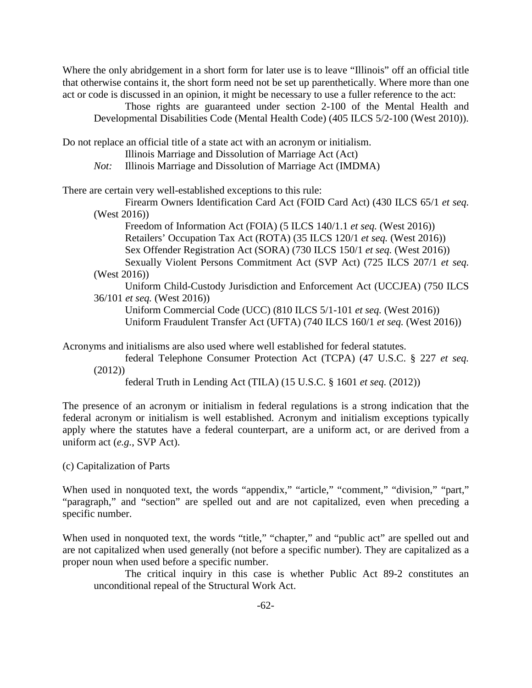Where the only abridgement in a short form for later use is to leave "Illinois" off an official title that otherwise contains it, the short form need not be set up parenthetically. Where more than one act or code is discussed in an opinion, it might be necessary to use a fuller reference to the act:

Those rights are guaranteed under section 2-100 of the Mental Health and Developmental Disabilities Code (Mental Health Code) (405 ILCS 5/2-100 (West 2010)).

Do not replace an official title of a state act with an acronym or initialism.

Illinois Marriage and Dissolution of Marriage Act (Act)

*Not:* Illinois Marriage and Dissolution of Marriage Act (IMDMA)

There are certain very well-established exceptions to this rule:

Firearm Owners Identification Card Act (FOID Card Act) (430 ILCS 65/1 *et seq.* (West 2016))

Freedom of Information Act (FOIA) (5 ILCS 140/1.1 *et seq.* (West 2016)) Retailers' Occupation Tax Act (ROTA) (35 ILCS 120/1 *et seq.* (West 2016)) Sex Offender Registration Act (SORA) (730 ILCS 150/1 *et seq.* (West 2016)) Sexually Violent Persons Commitment Act (SVP Act) (725 ILCS 207/1 *et seq.* (West 2016))

Uniform Child-Custody Jurisdiction and Enforcement Act (UCCJEA) (750 ILCS 36/101 *et seq.* (West 2016))

Uniform Commercial Code (UCC) (810 ILCS 5/1-101 *et seq.* (West 2016)) Uniform Fraudulent Transfer Act (UFTA) (740 ILCS 160/1 *et seq.* (West 2016))

Acronyms and initialisms are also used where well established for federal statutes.

federal Telephone Consumer Protection Act (TCPA) (47 U.S.C. § 227 *et seq.* (2012))

federal Truth in Lending Act (TILA) (15 U.S.C. § 1601 *et seq.* (2012))

The presence of an acronym or initialism in federal regulations is a strong indication that the federal acronym or initialism is well established. Acronym and initialism exceptions typically apply where the statutes have a federal counterpart, are a uniform act, or are derived from a uniform act (*e.g.*, SVP Act).

(c) Capitalization of Parts

When used in nonquoted text, the words "appendix," "article," "comment," "division," "part," "paragraph," and "section" are spelled out and are not capitalized, even when preceding a specific number.

When used in nonquoted text, the words "title," "chapter," and "public act" are spelled out and are not capitalized when used generally (not before a specific number). They are capitalized as a proper noun when used before a specific number.

The critical inquiry in this case is whether Public Act 89-2 constitutes an unconditional repeal of the Structural Work Act.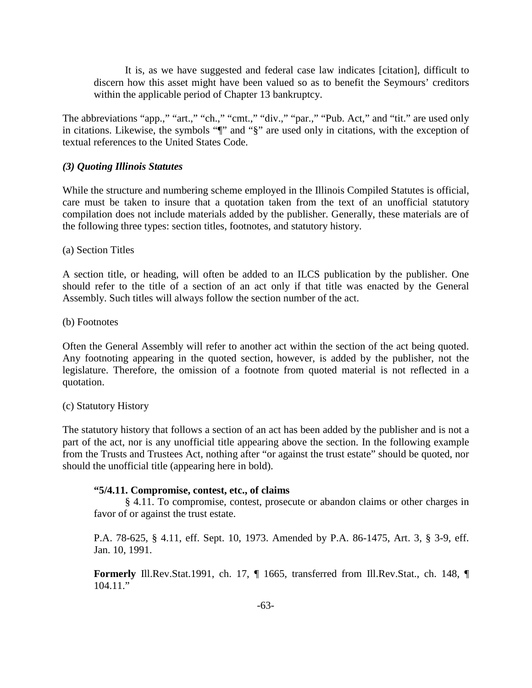It is, as we have suggested and federal case law indicates [citation], difficult to discern how this asset might have been valued so as to benefit the Seymours' creditors within the applicable period of Chapter 13 bankruptcy.

The abbreviations "app.," "art.," "ch.," "cmt.," "div.," "par.," "Pub. Act," and "tit." are used only in citations. Likewise, the symbols "¶" and "§" are used only in citations, with the exception of textual references to the United States Code.

### *(3) Quoting Illinois Statutes*

While the structure and numbering scheme employed in the Illinois Compiled Statutes is official, care must be taken to insure that a quotation taken from the text of an unofficial statutory compilation does not include materials added by the publisher. Generally, these materials are of the following three types: section titles, footnotes, and statutory history.

(a) Section Titles

A section title, or heading, will often be added to an ILCS publication by the publisher. One should refer to the title of a section of an act only if that title was enacted by the General Assembly. Such titles will always follow the section number of the act.

(b) Footnotes

Often the General Assembly will refer to another act within the section of the act being quoted. Any footnoting appearing in the quoted section, however, is added by the publisher, not the legislature. Therefore, the omission of a footnote from quoted material is not reflected in a quotation.

#### (c) Statutory History

The statutory history that follows a section of an act has been added by the publisher and is not a part of the act, nor is any unofficial title appearing above the section. In the following example from the Trusts and Trustees Act, nothing after "or against the trust estate" should be quoted, nor should the unofficial title (appearing here in bold).

#### **"5/4.11. Compromise, contest, etc., of claims**

§ 4.11. To compromise, contest, prosecute or abandon claims or other charges in favor of or against the trust estate.

P.A. 78-625, § 4.11, eff. Sept. 10, 1973. Amended by P.A. 86-1475, Art. 3, § 3-9, eff. Jan. 10, 1991.

**Formerly** Ill.Rev.Stat.1991, ch. 17, ¶ 1665, transferred from Ill.Rev.Stat., ch. 148, ¶  $104.11$ ."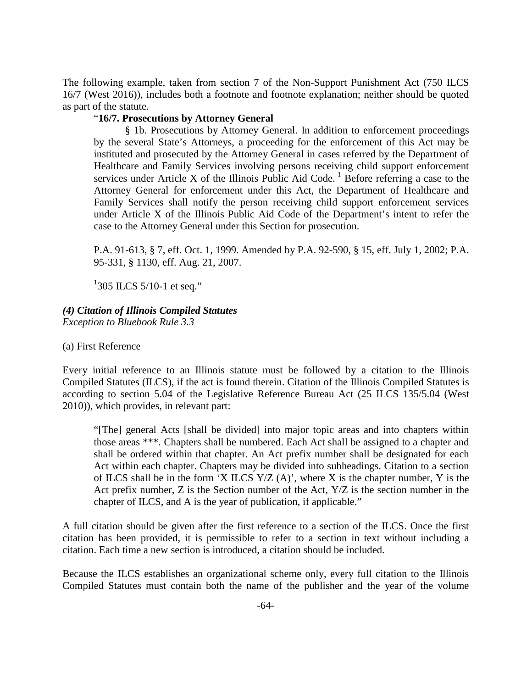The following example, taken from section 7 of the Non-Support Punishment Act (750 ILCS 16/7 (West 2016)), includes both a footnote and footnote explanation; neither should be quoted as part of the statute.

### "**16/7. Prosecutions by Attorney General**

§ 1b. Prosecutions by Attorney General. In addition to enforcement proceedings by the several State's Attorneys, a proceeding for the enforcement of this Act may be instituted and prosecuted by the Attorney General in cases referred by the Department of Healthcare and Family Services involving persons receiving child support enforcement services under Article X of the Illinois Public Aid Code.<sup>1</sup> Before referring a case to the Attorney General for enforcement under this Act, the Department of Healthcare and Family Services shall notify the person receiving child support enforcement services under Article X of the Illinois Public Aid Code of the Department's intent to refer the case to the Attorney General under this Section for prosecution.

P.A. 91-613, § 7, eff. Oct. 1, 1999. Amended by P.A. 92-590, § 15, eff. July 1, 2002; P.A. 95-331, § 1130, eff. Aug. 21, 2007.

 $1305$  ILCS 5/10-1 et seq."

## *(4) Citation of Illinois Compiled Statutes*

*Exception to Bluebook Rule 3.3*

(a) First Reference

Every initial reference to an Illinois statute must be followed by a citation to the Illinois Compiled Statutes (ILCS), if the act is found therein. Citation of the Illinois Compiled Statutes is according to section 5.04 of the Legislative Reference Bureau Act (25 ILCS 135/5.04 (West 2010)), which provides, in relevant part:

"[The] general Acts [shall be divided] into major topic areas and into chapters within those areas \*\*\*. Chapters shall be numbered. Each Act shall be assigned to a chapter and shall be ordered within that chapter. An Act prefix number shall be designated for each Act within each chapter. Chapters may be divided into subheadings. Citation to a section of ILCS shall be in the form 'X ILCS  $Y/Z(A)$ ', where X is the chapter number, Y is the Act prefix number, Z is the Section number of the Act, Y/Z is the section number in the chapter of ILCS, and A is the year of publication, if applicable."

A full citation should be given after the first reference to a section of the ILCS. Once the first citation has been provided, it is permissible to refer to a section in text without including a citation. Each time a new section is introduced, a citation should be included.

Because the ILCS establishes an organizational scheme only, every full citation to the Illinois Compiled Statutes must contain both the name of the publisher and the year of the volume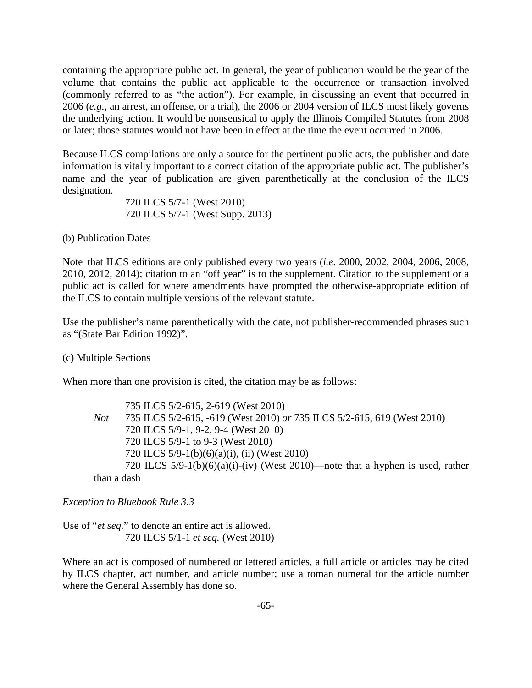containing the appropriate public act. In general, the year of publication would be the year of the volume that contains the public act applicable to the occurrence or transaction involved (commonly referred to as "the action"). For example, in discussing an event that occurred in 2006 (*e.g.*, an arrest, an offense, or a trial), the 2006 or 2004 version of ILCS most likely governs the underlying action. It would be nonsensical to apply the Illinois Compiled Statutes from 2008 or later; those statutes would not have been in effect at the time the event occurred in 2006.

Because ILCS compilations are only a source for the pertinent public acts, the publisher and date information is vitally important to a correct citation of the appropriate public act. The publisher's name and the year of publication are given parenthetically at the conclusion of the ILCS designation.

> 720 ILCS 5/7-1 (West 2010) 720 ILCS 5/7-1 (West Supp. 2013)

(b) Publication Dates

Note that ILCS editions are only published every two years (*i.e.* 2000, 2002, 2004, 2006, 2008, 2010, 2012, 2014); citation to an "off year" is to the supplement. Citation to the supplement or a public act is called for where amendments have prompted the otherwise-appropriate edition of the ILCS to contain multiple versions of the relevant statute.

Use the publisher's name parenthetically with the date, not publisher-recommended phrases such as "(State Bar Edition 1992)".

(c) Multiple Sections

When more than one provision is cited, the citation may be as follows:

735 ILCS 5/2-615, 2-619 (West 2010) *Not* 735 ILCS 5/2-615, -619 (West 2010) *or* 735 ILCS 5/2-615, 619 (West 2010) 720 ILCS 5/9-1, 9-2, 9-4 (West 2010) 720 ILCS 5/9-1 to 9-3 (West 2010) 720 ILCS 5/9-1(b)(6)(a)(i), (ii) (West 2010) 720 ILCS 5/9-1(b)(6)(a)(i)-(iv) (West 2010)—note that a hyphen is used, rather than a dash

*Exception to Bluebook Rule 3.3*

Use of "*et seq.*" to denote an entire act is allowed. 720 ILCS 5/1-1 *et seq.* (West 2010)

Where an act is composed of numbered or lettered articles, a full article or articles may be cited by ILCS chapter, act number, and article number; use a roman numeral for the article number where the General Assembly has done so.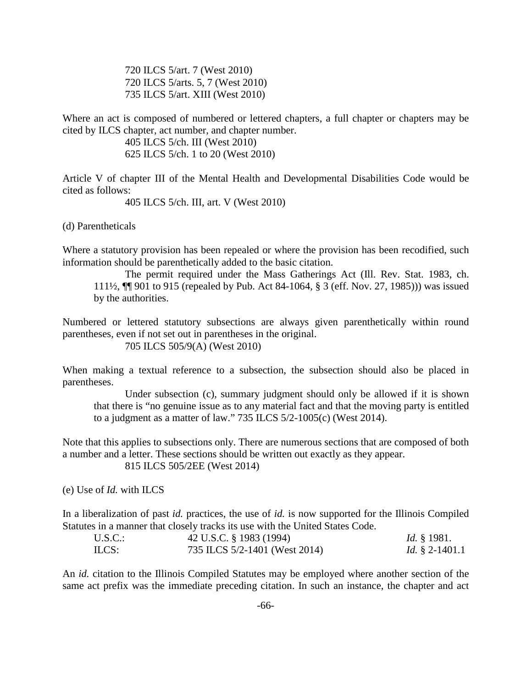720 ILCS 5/art. 7 (West 2010) 720 ILCS 5/arts. 5, 7 (West 2010) 735 ILCS 5/art. XIII (West 2010)

Where an act is composed of numbered or lettered chapters, a full chapter or chapters may be cited by ILCS chapter, act number, and chapter number.

> 405 ILCS 5/ch. III (West 2010) 625 ILCS 5/ch. 1 to 20 (West 2010)

Article V of chapter III of the Mental Health and Developmental Disabilities Code would be cited as follows:

405 ILCS 5/ch. III, art. V (West 2010)

(d) Parentheticals

Where a statutory provision has been repealed or where the provision has been recodified, such information should be parenthetically added to the basic citation.

The permit required under the Mass Gatherings Act (Ill. Rev. Stat. 1983, ch. 111½, ¶¶ 901 to 915 (repealed by Pub. Act 84-1064, § 3 (eff. Nov. 27, 1985))) was issued by the authorities.

Numbered or lettered statutory subsections are always given parenthetically within round parentheses, even if not set out in parentheses in the original.

705 ILCS 505/9(A) (West 2010)

When making a textual reference to a subsection, the subsection should also be placed in parentheses.

Under subsection (c), summary judgment should only be allowed if it is shown that there is "no genuine issue as to any material fact and that the moving party is entitled to a judgment as a matter of law." 735 ILCS 5/2-1005(c) (West 2014).

Note that this applies to subsections only. There are numerous sections that are composed of both a number and a letter. These sections should be written out exactly as they appear. 815 ILCS 505/2EE (West 2014)

(e) Use of *Id.* with ILCS

In a liberalization of past *id.* practices, the use of *id.* is now supported for the Illinois Compiled Statutes in a manner that closely tracks its use with the United States Code.

| U.S.C. | 42 U.S.C. § 1983 (1994)       | <i>Id.</i> § 1981.    |
|--------|-------------------------------|-----------------------|
| ILCS:  | 735 ILCS 5/2-1401 (West 2014) | <i>Id.</i> § 2-1401.1 |

An *id.* citation to the Illinois Compiled Statutes may be employed where another section of the same act prefix was the immediate preceding citation. In such an instance, the chapter and act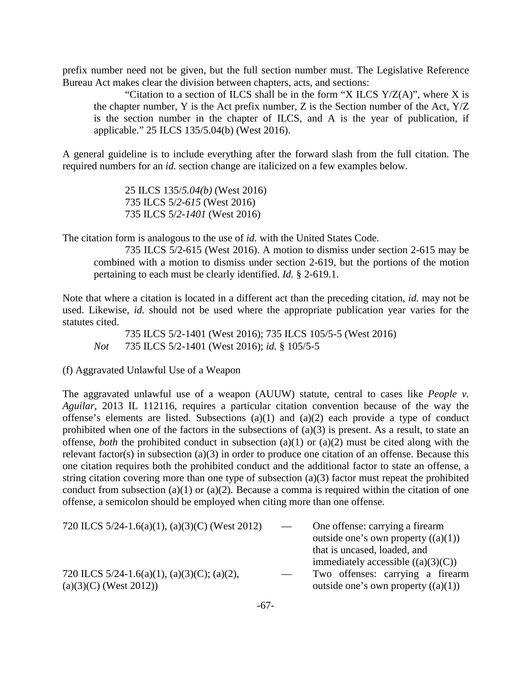prefix number need not be given, but the full section number must. The Legislative Reference Bureau Act makes clear the division between chapters, acts, and sections:

"Citation to a section of ILCS shall be in the form "X ILCS  $Y/Z(A)$ ", where X is the chapter number, Y is the Act prefix number, Z is the Section number of the Act,  $Y/Z$ is the section number in the chapter of ILCS, and A is the year of publication, if applicable." 25 ILCS 135/5.04(b) (West 2016).

A general guideline is to include everything after the forward slash from the full citation. The required numbers for an *id.* section change are italicized on a few examples below.

> 25 ILCS 135/*5.04(b)* (West 2016) 735 ILCS 5/*2-615* (West 2016) 735 ILCS 5/*2-1401* (West 2016)

The citation form is analogous to the use of *id.* with the United States Code.

735 ILCS 5/2-615 (West 2016). A motion to dismiss under section 2-615 may be combined with a motion to dismiss under section 2-619, but the portions of the motion pertaining to each must be clearly identified. *Id.* § 2-619.1.

Note that where a citation is located in a different act than the preceding citation, *id.* may not be used. Likewise, *id.* should not be used where the appropriate publication year varies for the statutes cited.

735 ILCS 5/2-1401 (West 2016); 735 ILCS 105/5-5 (West 2016) *Not* 735 ILCS 5/2-1401 (West 2016); *id.* § 105/5-5

(f) Aggravated Unlawful Use of a Weapon

The aggravated unlawful use of a weapon (AUUW) statute, central to cases like *People v. Aguilar*, 2013 IL 112116, requires a particular citation convention because of the way the offense's elements are listed. Subsections (a)(1) and (a)(2) each provide a type of conduct prohibited when one of the factors in the subsections of  $(a)(3)$  is present. As a result, to state an offense, *both* the prohibited conduct in subsection (a)(1) or (a)(2) must be cited along with the relevant factor(s) in subsection (a)(3) in order to produce one citation of an offense. Because this one citation requires both the prohibited conduct and the additional factor to state an offense, a string citation covering more than one type of subsection (a)(3) factor must repeat the prohibited conduct from subsection (a)(1) or (a)(2). Because a comma is required within the citation of one offense, a semicolon should be employed when citing more than one offense.

| 720 ILCS $5/24$ -1.6(a)(1), (a)(3)(C) (West 2012) | $\overline{\phantom{a}}$ | One offense: carrying a firearm       |
|---------------------------------------------------|--------------------------|---------------------------------------|
|                                                   |                          | outside one's own property $((a)(1))$ |
|                                                   |                          | that is uncased, loaded, and          |
|                                                   |                          | immediately accessible $((a)(3)(C))$  |
| 720 ILCS 5/24-1.6(a)(1), (a)(3)(C); (a)(2),       | $\overline{\phantom{a}}$ | Two offenses: carrying a firearm      |
| $(a)(3)(C)$ (West 2012))                          |                          | outside one's own property $((a)(1))$ |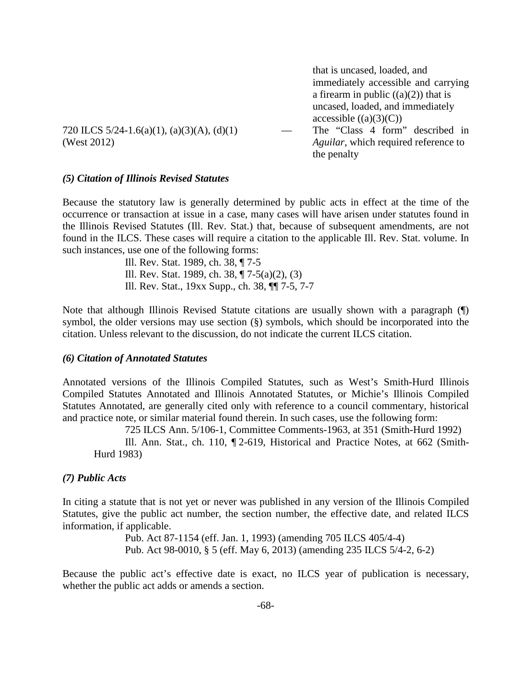that is uncased, loaded, and immediately accessible and carrying a firearm in public  $((a)(2))$  that is uncased, loaded, and immediately accessible  $((a)(3)(C))$ 

720 ILCS 5/24-1.6(a)(1), (a)(3)(A), (d)(1) — The "Class 4 form" described in (West 2012) *Aguilar*, which required reference to the penalty

# *(5) Citation of Illinois Revised Statutes*

Because the statutory law is generally determined by public acts in effect at the time of the occurrence or transaction at issue in a case, many cases will have arisen under statutes found in the Illinois Revised Statutes (Ill. Rev. Stat.) that, because of subsequent amendments, are not found in the ILCS. These cases will require a citation to the applicable Ill. Rev. Stat. volume. In such instances, use one of the following forms:

> Ill. Rev. Stat. 1989, ch. 38, ¶ 7-5 Ill. Rev. Stat. 1989, ch. 38, ¶ 7-5(a)(2), (3) Ill. Rev. Stat., 19xx Supp., ch. 38, ¶¶ 7-5, 7-7

Note that although Illinois Revised Statute citations are usually shown with a paragraph (¶) symbol, the older versions may use section (§) symbols, which should be incorporated into the citation. Unless relevant to the discussion, do not indicate the current ILCS citation.

## *(6) Citation of Annotated Statutes*

Annotated versions of the Illinois Compiled Statutes, such as West's Smith-Hurd Illinois Compiled Statutes Annotated and Illinois Annotated Statutes, or Michie's Illinois Compiled Statutes Annotated, are generally cited only with reference to a council commentary, historical and practice note, or similar material found therein. In such cases, use the following form:

725 ILCS Ann. 5/106-1, Committee Comments-1963, at 351 (Smith-Hurd 1992)

Ill. Ann. Stat., ch. 110, ¶ 2-619, Historical and Practice Notes, at 662 (Smith-Hurd 1983)

## *(7) Public Acts*

In citing a statute that is not yet or never was published in any version of the Illinois Compiled Statutes, give the public act number, the section number, the effective date, and related ILCS information, if applicable.

> Pub. Act 87-1154 (eff. Jan. 1, 1993) (amending 705 ILCS 405/4-4) Pub. Act 98-0010, § 5 (eff. May 6, 2013) (amending 235 ILCS 5/4-2, 6-2)

Because the public act's effective date is exact, no ILCS year of publication is necessary, whether the public act adds or amends a section.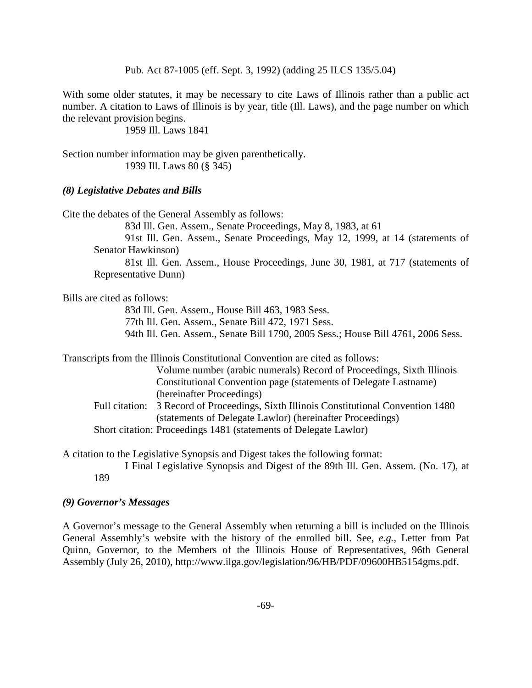Pub. Act 87-1005 (eff. Sept. 3, 1992) (adding 25 ILCS 135/5.04)

With some older statutes, it may be necessary to cite Laws of Illinois rather than a public act number. A citation to Laws of Illinois is by year, title (Ill. Laws), and the page number on which the relevant provision begins.

1959 Ill. Laws 1841

Section number information may be given parenthetically. 1939 Ill. Laws 80 (§ 345)

## *(8) Legislative Debates and Bills*

Cite the debates of the General Assembly as follows:

83d Ill. Gen. Assem., Senate Proceedings, May 8, 1983, at 61

91st Ill. Gen. Assem., Senate Proceedings, May 12, 1999, at 14 (statements of Senator Hawkinson)

81st Ill. Gen. Assem., House Proceedings, June 30, 1981, at 717 (statements of Representative Dunn)

Bills are cited as follows:

83d Ill. Gen. Assem., House Bill 463, 1983 Sess.

77th Ill. Gen. Assem., Senate Bill 472, 1971 Sess.

94th Ill. Gen. Assem., Senate Bill 1790, 2005 Sess.; House Bill 4761, 2006 Sess.

Transcripts from the Illinois Constitutional Convention are cited as follows:

Volume number (arabic numerals) Record of Proceedings, Sixth Illinois Constitutional Convention page (statements of Delegate Lastname) (hereinafter Proceedings)

Full citation: 3 Record of Proceedings, Sixth Illinois Constitutional Convention 1480 (statements of Delegate Lawlor) (hereinafter Proceedings) Short citation: Proceedings 1481 (statements of Delegate Lawlor)

A citation to the Legislative Synopsis and Digest takes the following format:

I Final Legislative Synopsis and Digest of the 89th Ill. Gen. Assem. (No. 17), at 189

# *(9) Governor's Messages*

A Governor's message to the General Assembly when returning a bill is included on the Illinois General Assembly's website with the history of the enrolled bill. See, *e.g.*, Letter from Pat Quinn, Governor, to the Members of the Illinois House of Representatives, 96th General Assembly (July 26, 2010), [http://www.ilga.gov/legislation/96/HB/PDF/09600HB5154gms.pdf.](http://www.ilga.gov/legislation/96/HB/PDF/09600HB5154gms.pdf)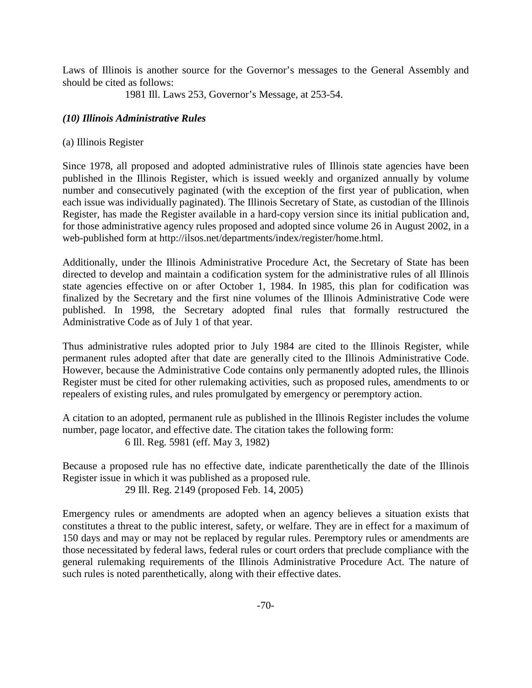Laws of Illinois is another source for the Governor's messages to the General Assembly and should be cited as follows:

1981 Ill. Laws 253, Governor's Message, at 253-54.

# *(10) Illinois Administrative Rules*

# (a) Illinois Register

Since 1978, all proposed and adopted administrative rules of Illinois state agencies have been published in the Illinois Register, which is issued weekly and organized annually by volume number and consecutively paginated (with the exception of the first year of publication, when each issue was individually paginated). The Illinois Secretary of State, as custodian of the Illinois Register, has made the Register available in a hard-copy version since its initial publication and, for those administrative agency rules proposed and adopted since volume 26 in August 2002, in a web-published form at [http://ilsos.net/departments/index/register/home.html.](http://ilsos.net/departments/index/register/home.html)

Additionally, under the Illinois Administrative Procedure Act, the Secretary of State has been directed to develop and maintain a codification system for the administrative rules of all Illinois state agencies effective on or after October 1, 1984. In 1985, this plan for codification was finalized by the Secretary and the first nine volumes of the Illinois Administrative Code were published. In 1998, the Secretary adopted final rules that formally restructured the Administrative Code as of July 1 of that year.

Thus administrative rules adopted prior to July 1984 are cited to the Illinois Register, while permanent rules adopted after that date are generally cited to the Illinois Administrative Code. However, because the Administrative Code contains only permanently adopted rules, the Illinois Register must be cited for other rulemaking activities, such as proposed rules, amendments to or repealers of existing rules, and rules promulgated by emergency or peremptory action.

A citation to an adopted, permanent rule as published in the Illinois Register includes the volume number, page locator, and effective date. The citation takes the following form: 6 Ill. Reg. 5981 (eff. May 3, 1982)

Because a proposed rule has no effective date, indicate parenthetically the date of the Illinois Register issue in which it was published as a proposed rule. 29 Ill. Reg. 2149 (proposed Feb. 14, 2005)

Emergency rules or amendments are adopted when an agency believes a situation exists that constitutes a threat to the public interest, safety, or welfare. They are in effect for a maximum of 150 days and may or may not be replaced by regular rules. Peremptory rules or amendments are those necessitated by federal laws, federal rules or court orders that preclude compliance with the general rulemaking requirements of the Illinois Administrative Procedure Act. The nature of such rules is noted parenthetically, along with their effective dates.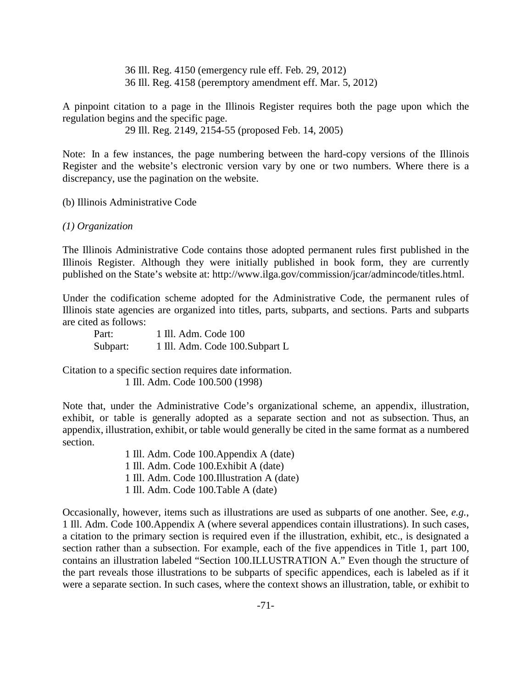36 Ill. Reg. 4150 (emergency rule eff. Feb. 29, 2012) 36 Ill. Reg. 4158 (peremptory amendment eff. Mar. 5, 2012)

A pinpoint citation to a page in the Illinois Register requires both the page upon which the regulation begins and the specific page.

29 Ill. Reg. 2149, 2154-55 (proposed Feb. 14, 2005)

Note: In a few instances, the page numbering between the hard-copy versions of the Illinois Register and the website's electronic version vary by one or two numbers. Where there is a discrepancy, use the pagination on the website.

(b) Illinois Administrative Code

### *(1) Organization*

The Illinois Administrative Code contains those adopted permanent rules first published in the Illinois Register. Although they were initially published in book form, they are currently published on the State's website at: [http://www.ilga.gov/commission/jcar/admincode/titles.html.](http://www.ilga.gov/commission/jcar/admincode/titles.html)

Under the codification scheme adopted for the Administrative Code, the permanent rules of Illinois state agencies are organized into titles, parts, subparts, and sections. Parts and subparts are cited as follows:

| Part:    | 1 Ill. Adm. Code 100            |
|----------|---------------------------------|
| Subpart: | 1 Ill. Adm. Code 100. Subpart L |

Citation to a specific section requires date information. 1 Ill. Adm. Code 100.500 (1998)

Note that, under the Administrative Code's organizational scheme, an appendix, illustration, exhibit, or table is generally adopted as a separate section and not as subsection. Thus, an appendix, illustration, exhibit, or table would generally be cited in the same format as a numbered section.

> 1 Ill. Adm. Code 100.Appendix A (date) 1 Ill. Adm. Code 100.Exhibit A (date) 1 Ill. Adm. Code 100.Illustration A (date) 1 Ill. Adm. Code 100.Table A (date)

Occasionally, however, items such as illustrations are used as subparts of one another. See, *e.g.*, 1 Ill. Adm. Code 100.Appendix A (where several appendices contain illustrations). In such cases, a citation to the primary section is required even if the illustration, exhibit, etc., is designated a section rather than a subsection. For example, each of the five appendices in Title 1, part 100, contains an illustration labeled "Section 100.ILLUSTRATION A." Even though the structure of the part reveals those illustrations to be subparts of specific appendices, each is labeled as if it were a separate section. In such cases, where the context shows an illustration, table, or exhibit to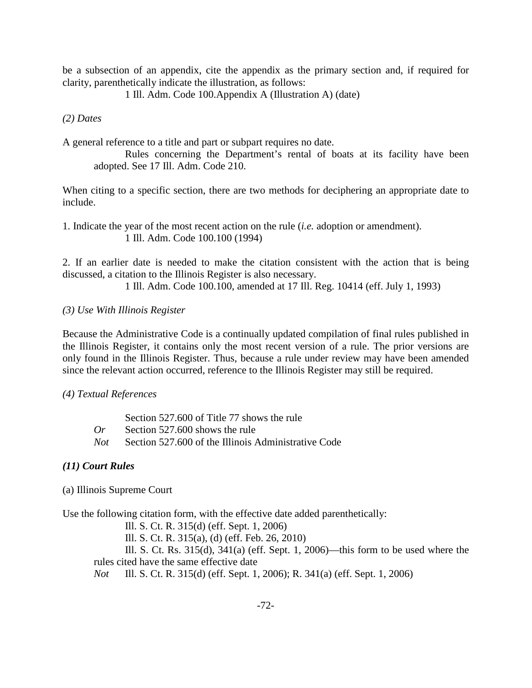be a subsection of an appendix, cite the appendix as the primary section and, if required for clarity, parenthetically indicate the illustration, as follows:

1 Ill. Adm. Code 100.Appendix A (Illustration A) (date)

*(2) Dates*

A general reference to a title and part or subpart requires no date.

Rules concerning the Department's rental of boats at its facility have been adopted. See 17 Ill. Adm. Code 210.

When citing to a specific section, there are two methods for deciphering an appropriate date to include.

1. Indicate the year of the most recent action on the rule (*i.e.* adoption or amendment). 1 Ill. Adm. Code 100.100 (1994)

2. If an earlier date is needed to make the citation consistent with the action that is being discussed, a citation to the Illinois Register is also necessary.

1 Ill. Adm. Code 100.100, amended at 17 Ill. Reg. 10414 (eff. July 1, 1993)

## *(3) Use With Illinois Register*

Because the Administrative Code is a continually updated compilation of final rules published in the Illinois Register, it contains only the most recent version of a rule. The prior versions are only found in the Illinois Register. Thus, because a rule under review may have been amended since the relevant action occurred, reference to the Illinois Register may still be required.

*(4) Textual References*

|       | Section 527,600 of Title 77 shows the rule          |
|-------|-----------------------------------------------------|
| $O_r$ | Section 527.600 shows the rule                      |
| Not   | Section 527,600 of the Illinois Administrative Code |

#### *(11) Court Rules*

(a) Illinois Supreme Court

Use the following citation form, with the effective date added parenthetically:

Ill. S. Ct. R. 315(d) (eff. Sept. 1, 2006)

Ill. S. Ct. R. 315(a), (d) (eff. Feb. 26, 2010)

Ill. S. Ct. Rs. 315(d), 341(a) (eff. Sept. 1, 2006)—this form to be used where the rules cited have the same effective date

*Not* Ill. S. Ct. R. 315(d) (eff. Sept. 1, 2006); R. 341(a) (eff. Sept. 1, 2006)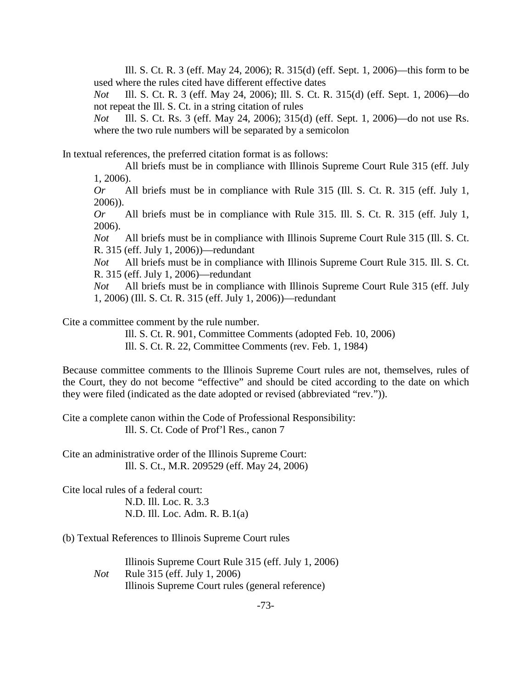Ill. S. Ct. R. 3 (eff. May 24, 2006); R. 315(d) (eff. Sept. 1, 2006)—this form to be used where the rules cited have different effective dates

*Not* Ill. S. Ct. R. 3 (eff. May 24, 2006); Ill. S. Ct. R. 315(d) (eff. Sept. 1, 2006)—do not repeat the Ill. S. Ct. in a string citation of rules

*Not* Ill. S. Ct. Rs. 3 (eff. May 24, 2006); 315(d) (eff. Sept. 1, 2006)—do not use Rs. where the two rule numbers will be separated by a semicolon

In textual references, the preferred citation format is as follows:

All briefs must be in compliance with Illinois Supreme Court Rule 315 (eff. July 1, 2006).

*Or* All briefs must be in compliance with Rule 315 (Ill. S. Ct. R. 315 (eff. July 1, 2006)).

*Or* All briefs must be in compliance with Rule 315. Ill. S. Ct. R. 315 (eff. July 1, 2006).

*Not* All briefs must be in compliance with Illinois Supreme Court Rule 315 (Ill. S. Ct. R. 315 (eff. July 1, 2006))—redundant

*Not* All briefs must be in compliance with Illinois Supreme Court Rule 315. Ill. S. Ct. R. 315 (eff. July 1, 2006)—redundant

*Not* All briefs must be in compliance with Illinois Supreme Court Rule 315 (eff. July 1, 2006) (Ill. S. Ct. R. 315 (eff. July 1, 2006))—redundant

Cite a committee comment by the rule number.

Ill. S. Ct. R. 901, Committee Comments (adopted Feb. 10, 2006)

Ill. S. Ct. R. 22, Committee Comments (rev. Feb. 1, 1984)

Because committee comments to the Illinois Supreme Court rules are not, themselves, rules of the Court, they do not become "effective" and should be cited according to the date on which they were filed (indicated as the date adopted or revised (abbreviated "rev.")).

Cite a complete canon within the Code of Professional Responsibility: Ill. S. Ct. Code of Prof'l Res., canon 7

Cite an administrative order of the Illinois Supreme Court: Ill. S. Ct., M.R. 209529 (eff. May 24, 2006)

Cite local rules of a federal court: N.D. Ill. Loc. R. 3.3 N.D. Ill. Loc. Adm. R. B.1(a)

(b) Textual References to Illinois Supreme Court rules

Illinois Supreme Court Rule 315 (eff. July 1, 2006) *Not* Rule 315 (eff. July 1, 2006) Illinois Supreme Court rules (general reference)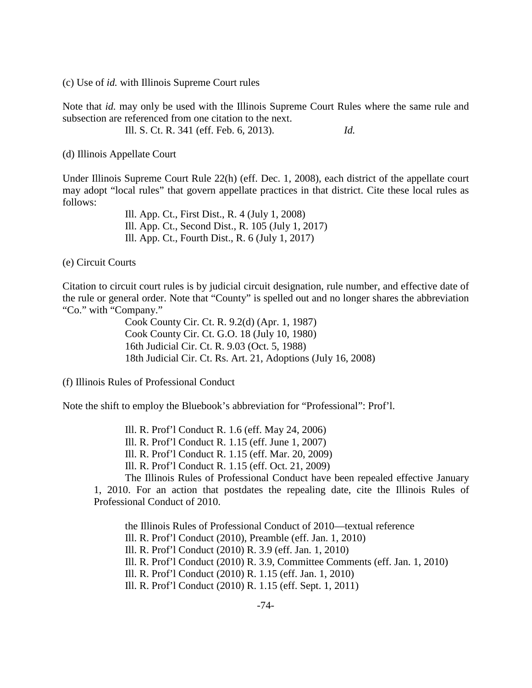(c) Use of *id.* with Illinois Supreme Court rules

Note that *id.* may only be used with the Illinois Supreme Court Rules where the same rule and subsection are referenced from one citation to the next.

Ill. S. Ct. R. 341 (eff. Feb. 6, 2013). *Id.*

(d) Illinois Appellate Court

Under Illinois Supreme Court Rule 22(h) (eff. Dec. 1, 2008), each district of the appellate court may adopt "local rules" that govern appellate practices in that district. Cite these local rules as follows:

> Ill. App. Ct., First Dist., R. 4 (July 1, 2008) Ill. App. Ct., Second Dist., R. 105 (July 1, 2017) Ill. App. Ct., Fourth Dist., R. 6 (July 1, 2017)

(e) Circuit Courts

Citation to circuit court rules is by judicial circuit designation, rule number, and effective date of the rule or general order. Note that "County" is spelled out and no longer shares the abbreviation "Co." with "Company."

> Cook County Cir. Ct. R. 9.2(d) (Apr. 1, 1987) Cook County Cir. Ct. G.O. 18 (July 10, 1980) 16th Judicial Cir. Ct. R. 9.03 (Oct. 5, 1988) 18th Judicial Cir. Ct. Rs. Art. 21, Adoptions (July 16, 2008)

(f) Illinois Rules of Professional Conduct

Note the shift to employ the Bluebook's abbreviation for "Professional": Prof'l.

Ill. R. Prof'l Conduct R. 1.6 (eff. May 24, 2006) Ill. R. Prof'l Conduct R. 1.15 (eff. June 1, 2007) Ill. R. Prof'l Conduct R. 1.15 (eff. Mar. 20, 2009) Ill. R. Prof'l Conduct R. 1.15 (eff. Oct. 21, 2009) The Illinois Rules of Professional Conduct have been repealed effective January

1, 2010. For an action that postdates the repealing date, cite the Illinois Rules of Professional Conduct of 2010.

the Illinois Rules of Professional Conduct of 2010—textual reference Ill. R. Prof'l Conduct (2010), Preamble (eff. Jan. 1, 2010) Ill. R. Prof'l Conduct (2010) R. 3.9 (eff. Jan. 1, 2010) Ill. R. Prof'l Conduct (2010) R. 3.9, Committee Comments (eff. Jan. 1, 2010) Ill. R. Prof'l Conduct (2010) R. 1.15 (eff. Jan. 1, 2010) Ill. R. Prof'l Conduct (2010) R. 1.15 (eff. Sept. 1, 2011)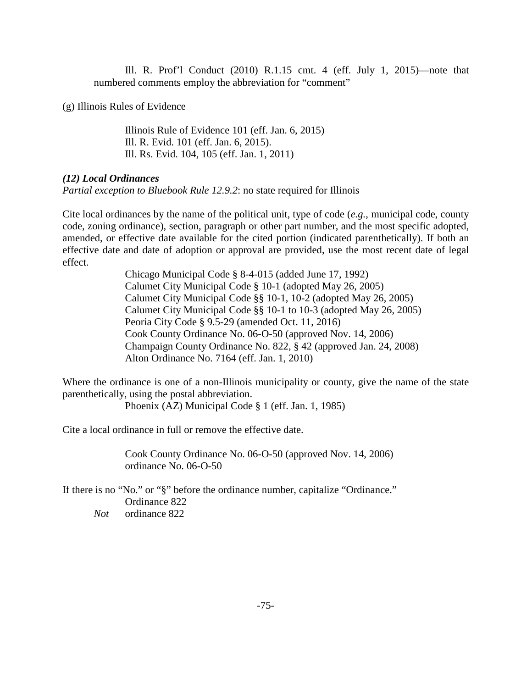Ill. R. Prof'l Conduct (2010) R.1.15 cmt. 4 (eff. July 1, 2015)—note that numbered comments employ the abbreviation for "comment"

(g) Illinois Rules of Evidence

Illinois Rule of Evidence 101 (eff. Jan. 6, 2015) Ill. R. Evid. 101 (eff. Jan. 6, 2015). Ill. Rs. Evid. 104, 105 (eff. Jan. 1, 2011)

# *(12) Local Ordinances*

*Partial exception to Bluebook Rule 12.9.2*: no state required for Illinois

Cite local ordinances by the name of the political unit, type of code (*e.g.*, municipal code, county code, zoning ordinance), section, paragraph or other part number, and the most specific adopted, amended, or effective date available for the cited portion (indicated parenthetically). If both an effective date and date of adoption or approval are provided, use the most recent date of legal effect.

> Chicago Municipal Code § 8-4-015 (added June 17, 1992) Calumet City Municipal Code § 10-1 (adopted May 26, 2005) Calumet City Municipal Code §§ 10-1, 10-2 (adopted May 26, 2005) Calumet City Municipal Code §§ 10-1 to 10-3 (adopted May 26, 2005) Peoria City Code § 9.5-29 (amended Oct. 11, 2016) Cook County Ordinance No. 06-O-50 (approved Nov. 14, 2006) Champaign County Ordinance No. 822, § 42 (approved Jan. 24, 2008) Alton Ordinance No. 7164 (eff. Jan. 1, 2010)

Where the ordinance is one of a non-Illinois municipality or county, give the name of the state parenthetically, using the postal abbreviation.

Phoenix (AZ) Municipal Code § 1 (eff. Jan. 1, 1985)

Cite a local ordinance in full or remove the effective date.

Cook County Ordinance No. 06-O-50 (approved Nov. 14, 2006) ordinance No. 06-O-50

If there is no "No." or "§" before the ordinance number, capitalize "Ordinance." Ordinance 822 *Not* ordinance 822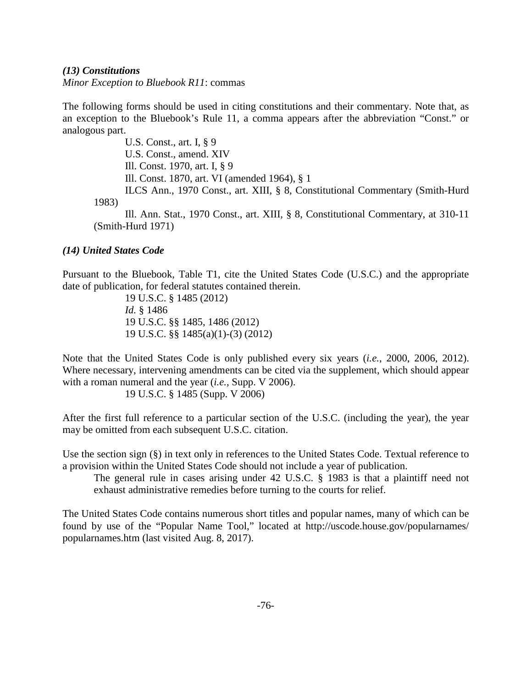## *(13) Constitutions*

*Minor Exception to Bluebook R11*: commas

The following forms should be used in citing constitutions and their commentary. Note that, as an exception to the Bluebook's Rule 11, a comma appears after the abbreviation "Const." or analogous part.

U.S. Const., art. I, § 9 U.S. Const., amend. XIV Ill. Const. 1970, art. I, § 9 Ill. Const. 1870, art. VI (amended 1964), § 1 ILCS Ann., 1970 Const., art. XIII, § 8, Constitutional Commentary (Smith-Hurd 1983) Ill. Ann. Stat., 1970 Const., art. XIII, § 8, Constitutional Commentary, at 310-11 (Smith-Hurd 1971)

*(14) United States Code*

Pursuant to the Bluebook, Table T1, cite the United States Code (U.S.C.) and the appropriate date of publication, for federal statutes contained therein.

19 U.S.C. § 1485 (2012) *Id.* § 1486 19 U.S.C. §§ 1485, 1486 (2012) 19 U.S.C. §§ 1485(a)(1)-(3) (2012)

Note that the United States Code is only published every six years (*i.e.*, 2000, 2006, 2012). Where necessary, intervening amendments can be cited via the supplement, which should appear with a roman numeral and the year (*i.e.*, Supp. V 2006).

19 U.S.C. § 1485 (Supp. V 2006)

After the first full reference to a particular section of the U.S.C. (including the year), the year may be omitted from each subsequent U.S.C. citation.

Use the section sign (§) in text only in references to the United States Code. Textual reference to a provision within the United States Code should not include a year of publication.

The general rule in cases arising under 42 U.S.C. § 1983 is that a plaintiff need not exhaust administrative remedies before turning to the courts for relief.

The United States Code contains numerous short titles and popular names, many of which can be found by use of the "Popular Name Tool," located at [http://uscode.house.gov/popularnames/](http://uscode.house.gov/popularnames/popularnames.htm) [popularnames.htm](http://uscode.house.gov/popularnames/popularnames.htm) (last visited Aug. 8, 2017).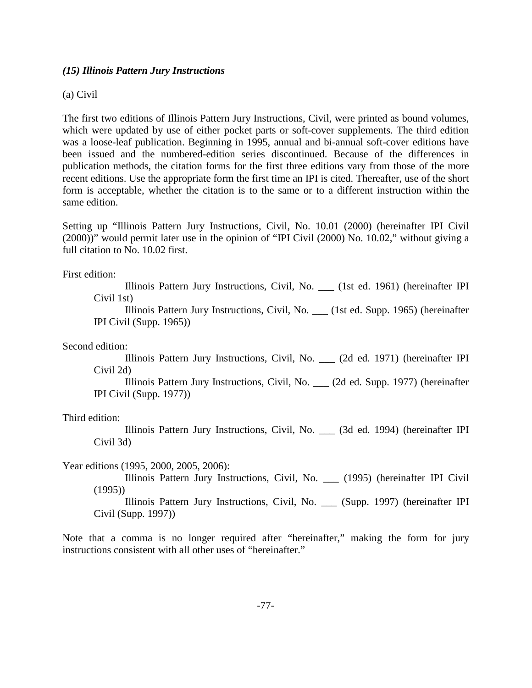## *(15) Illinois Pattern Jury Instructions*

## (a) Civil

The first two editions of Illinois Pattern Jury Instructions, Civil, were printed as bound volumes, which were updated by use of either pocket parts or soft-cover supplements. The third edition was a loose-leaf publication. Beginning in 1995, annual and bi-annual soft-cover editions have been issued and the numbered-edition series discontinued. Because of the differences in publication methods, the citation forms for the first three editions vary from those of the more recent editions. Use the appropriate form the first time an IPI is cited. Thereafter, use of the short form is acceptable, whether the citation is to the same or to a different instruction within the same edition.

Setting up "Illinois Pattern Jury Instructions, Civil, No. 10.01 (2000) (hereinafter IPI Civil (2000))" would permit later use in the opinion of "IPI Civil (2000) No. 10.02," without giving a full citation to No. 10.02 first.

First edition:

Illinois Pattern Jury Instructions, Civil, No. \_\_\_ (1st ed. 1961) (hereinafter IPI Civil 1st)

Illinois Pattern Jury Instructions, Civil, No. \_\_\_ (1st ed. Supp. 1965) (hereinafter IPI Civil (Supp. 1965))

Second edition:

Illinois Pattern Jury Instructions, Civil, No. \_\_\_ (2d ed. 1971) (hereinafter IPI Civil 2d)

Illinois Pattern Jury Instructions, Civil, No. \_\_\_ (2d ed. Supp. 1977) (hereinafter IPI Civil (Supp. 1977))

Third edition:

Illinois Pattern Jury Instructions, Civil, No. \_\_\_ (3d ed. 1994) (hereinafter IPI Civil 3d)

Year editions (1995, 2000, 2005, 2006):

Illinois Pattern Jury Instructions, Civil, No. \_\_\_ (1995) (hereinafter IPI Civil (1995))

Illinois Pattern Jury Instructions, Civil, No. \_\_\_ (Supp. 1997) (hereinafter IPI Civil (Supp. 1997))

Note that a comma is no longer required after "hereinafter," making the form for jury instructions consistent with all other uses of "hereinafter."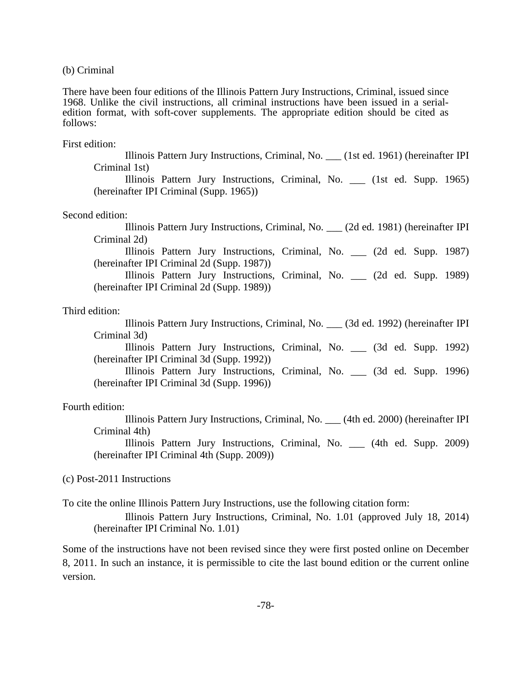(b) Criminal

There have been four editions of the Illinois Pattern Jury Instructions, Criminal, issued since 1968. Unlike the civil instructions, all criminal instructions have been issued in a serialedition format, with soft-cover supplements. The appropriate edition should be cited as follows:

First edition:

Illinois Pattern Jury Instructions, Criminal, No. \_\_\_ (1st ed. 1961) (hereinafter IPI Criminal 1st)

Illinois Pattern Jury Instructions, Criminal, No. \_\_\_ (1st ed. Supp. 1965) (hereinafter IPI Criminal (Supp. 1965))

#### Second edition:

Illinois Pattern Jury Instructions, Criminal, No. \_\_\_ (2d ed. 1981) (hereinafter IPI Criminal 2d)

Illinois Pattern Jury Instructions, Criminal, No. \_\_\_ (2d ed. Supp. 1987) (hereinafter IPI Criminal 2d (Supp. 1987))

Illinois Pattern Jury Instructions, Criminal, No. \_\_\_ (2d ed. Supp. 1989) (hereinafter IPI Criminal 2d (Supp. 1989))

### Third edition:

Illinois Pattern Jury Instructions, Criminal, No. \_\_\_ (3d ed. 1992) (hereinafter IPI Criminal 3d)

Illinois Pattern Jury Instructions, Criminal, No. \_\_\_ (3d ed. Supp. 1992) (hereinafter IPI Criminal 3d (Supp. 1992))

Illinois Pattern Jury Instructions, Criminal, No. \_\_\_ (3d ed. Supp. 1996) (hereinafter IPI Criminal 3d (Supp. 1996))

### Fourth edition:

Illinois Pattern Jury Instructions, Criminal, No. \_\_\_ (4th ed. 2000) (hereinafter IPI Criminal 4th)

Illinois Pattern Jury Instructions, Criminal, No. \_\_\_ (4th ed. Supp. 2009) (hereinafter IPI Criminal 4th (Supp. 2009))

(c) Post-2011 Instructions

To cite the online Illinois Pattern Jury Instructions, use the following citation form:

Illinois Pattern Jury Instructions, Criminal, No. 1.01 (approved July 18, 2014) (hereinafter IPI Criminal No. 1.01)

Some of the instructions have not been revised since they were first posted online on December 8, 2011. In such an instance, it is permissible to cite the last bound edition or the current online version.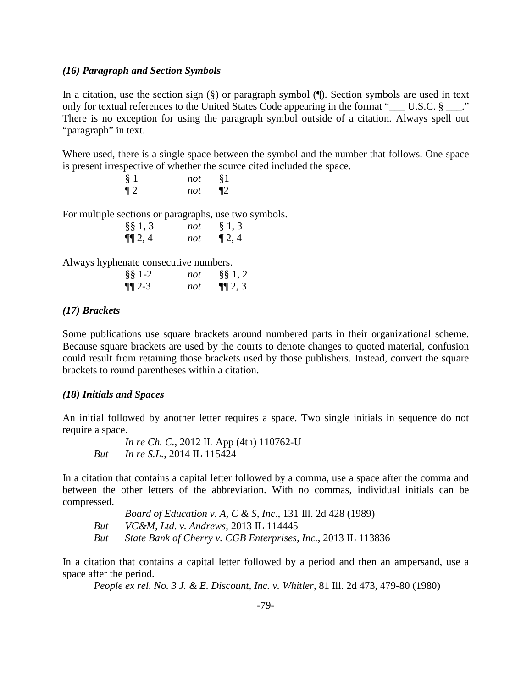## *(16) Paragraph and Section Symbols*

In a citation, use the section sign  $(\S)$  or paragraph symbol  $(\P)$ . Section symbols are used in text only for textual references to the United States Code appearing in the format " $\sim$  U.S.C. §  $\sim$ ." There is no exception for using the paragraph symbol outside of a citation. Always spell out "paragraph" in text.

Where used, there is a single space between the symbol and the number that follows. One space is present irrespective of whether the source cited included the space.

| § 1   | not | §1    |
|-------|-----|-------|
| $\P2$ | not | $\P2$ |

For multiple sections or paragraphs, use two symbols.

| $\S\S 1, 3$ | not | § 1, 3    |
|-------------|-----|-----------|
| $\P\P 2, 4$ | not | $\P$ 2, 4 |

Always hyphenate consecutive numbers.

| $§$ § 1-2    | not | $\S\S 1, 2$ |
|--------------|-----|-------------|
| $\P\P 2 - 3$ | not | $\P\P 2, 3$ |

# *(17) Brackets*

Some publications use square brackets around numbered parts in their organizational scheme. Because square brackets are used by the courts to denote changes to quoted material, confusion could result from retaining those brackets used by those publishers. Instead, convert the square brackets to round parentheses within a citation.

### *(18) Initials and Spaces*

An initial followed by another letter requires a space. Two single initials in sequence do not require a space.

*In re Ch. C.*, 2012 IL App (4th) 110762-U *But In re S.L.*, 2014 IL 115424

In a citation that contains a capital letter followed by a comma, use a space after the comma and between the other letters of the abbreviation. With no commas, individual initials can be compressed.

*Board of Education v. A, C & S, Inc.*, 131 Ill. 2d 428 (1989) *But VC&M, Ltd. v. Andrews*, 2013 IL 114445 *But State Bank of Cherry v. CGB Enterprises, Inc.*, 2013 IL 113836

In a citation that contains a capital letter followed by a period and then an ampersand, use a space after the period.

*People ex rel. No. 3 J. & E. Discount, Inc. v. Whitler*, 81 Ill. 2d 473, 479-80 (1980)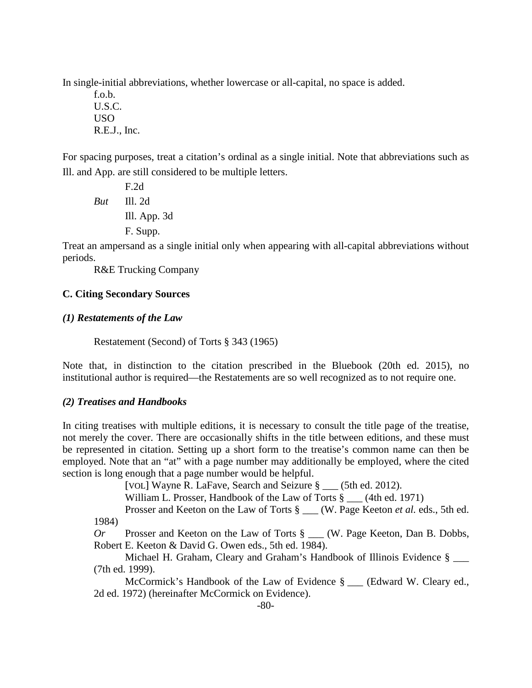In single-initial abbreviations, whether lowercase or all-capital, no space is added.

f.o.b. U.S.C. USO R.E.J., Inc.

For spacing purposes, treat a citation's ordinal as a single initial. Note that abbreviations such as Ill. and App. are still considered to be multiple letters.

F.2d *But* Ill. 2d Ill. App. 3d F. Supp.

Treat an ampersand as a single initial only when appearing with all-capital abbreviations without periods.

R&E Trucking Company

# **C. Citing Secondary Sources**

# *(1) Restatements of the Law*

Restatement (Second) of Torts § 343 (1965)

Note that, in distinction to the citation prescribed in the Bluebook (20th ed. 2015), no institutional author is required—the Restatements are so well recognized as to not require one.

# *(2) Treatises and Handbooks*

In citing treatises with multiple editions, it is necessary to consult the title page of the treatise, not merely the cover. There are occasionally shifts in the title between editions, and these must be represented in citation. Setting up a short form to the treatise's common name can then be employed. Note that an "at" with a page number may additionally be employed, where the cited section is long enough that a page number would be helpful.

[VOL] Wayne R. LaFave, Search and Seizure § \_\_\_ (5th ed. 2012).

William L. Prosser, Handbook of the Law of Torts § (4th ed. 1971)

Prosser and Keeton on the Law of Torts § \_\_\_ (W. Page Keeton *et al.* eds., 5th ed. 1984)

*Or* Prosser and Keeton on the Law of Torts § \_\_\_ (W. Page Keeton, Dan B. Dobbs, Robert E. Keeton & David G. Owen eds., 5th ed. 1984).

Michael H. Graham, Cleary and Graham's Handbook of Illinois Evidence § (7th ed. 1999).

McCormick's Handbook of the Law of Evidence § \_\_\_ (Edward W. Cleary ed., 2d ed. 1972) (hereinafter McCormick on Evidence).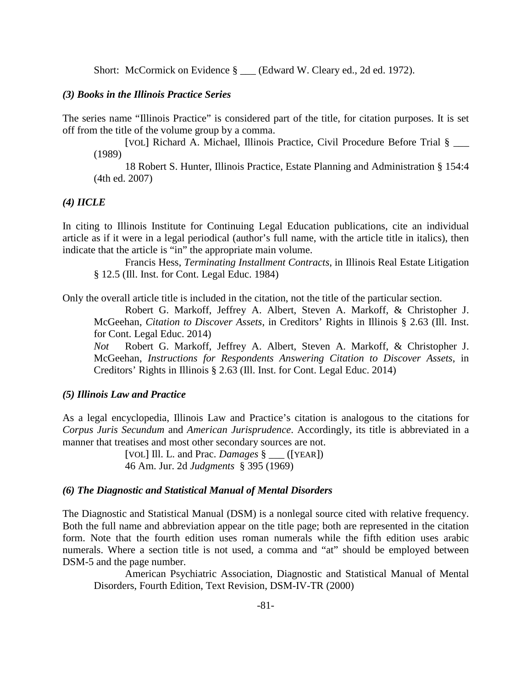Short: McCormick on Evidence § \_\_\_ (Edward W. Cleary ed., 2d ed. 1972).

### *(3) Books in the Illinois Practice Series*

The series name "Illinois Practice" is considered part of the title, for citation purposes. It is set off from the title of the volume group by a comma.

[VOL] Richard A. Michael, Illinois Practice, Civil Procedure Before Trial § \_\_\_ (1989)

18 Robert S. Hunter, Illinois Practice, Estate Planning and Administration § 154:4 (4th ed. 2007)

## *(4) IICLE*

In citing to Illinois Institute for Continuing Legal Education publications, cite an individual article as if it were in a legal periodical (author's full name, with the article title in italics), then indicate that the article is "in" the appropriate main volume.

Francis Hess, *Terminating Installment Contracts*, in Illinois Real Estate Litigation § 12.5 (Ill. Inst. for Cont. Legal Educ. 1984)

Only the overall article title is included in the citation, not the title of the particular section.

Robert G. Markoff, Jeffrey A. Albert, Steven A. Markoff, & Christopher J. McGeehan, *Citation to Discover Assets*, in Creditors' Rights in Illinois § 2.63 (Ill. Inst. for Cont. Legal Educ. 2014)

*Not* Robert G. Markoff, Jeffrey A. Albert, Steven A. Markoff, & Christopher J. McGeehan, *Instructions for Respondents Answering Citation to Discover Assets*, in Creditors' Rights in Illinois § 2.63 (Ill. Inst. for Cont. Legal Educ. 2014)

## *(5) Illinois Law and Practice*

As a legal encyclopedia, Illinois Law and Practice's citation is analogous to the citations for *Corpus Juris Secundum* and *American Jurisprudence*. Accordingly, its title is abbreviated in a manner that treatises and most other secondary sources are not.

> [VOL] Ill. L. and Prac. *Damages* § \_\_\_ ([YEAR]) 46 Am. Jur. 2d *Judgments* § 395 (1969)

#### *(6) The Diagnostic and Statistical Manual of Mental Disorders*

The Diagnostic and Statistical Manual (DSM) is a nonlegal source cited with relative frequency. Both the full name and abbreviation appear on the title page; both are represented in the citation form. Note that the fourth edition uses roman numerals while the fifth edition uses arabic numerals. Where a section title is not used, a comma and "at" should be employed between DSM-5 and the page number.

American Psychiatric Association, Diagnostic and Statistical Manual of Mental Disorders, Fourth Edition, Text Revision, DSM-IV-TR (2000)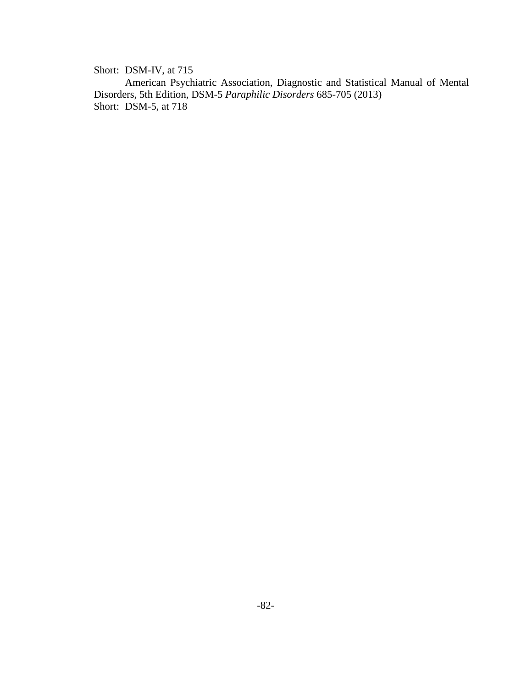Short: DSM-IV, at 715

American Psychiatric Association, Diagnostic and Statistical Manual of Mental Disorders, 5th Edition, DSM-5 *Paraphilic Disorders* 685-705 (2013) Short: DSM-5, at 718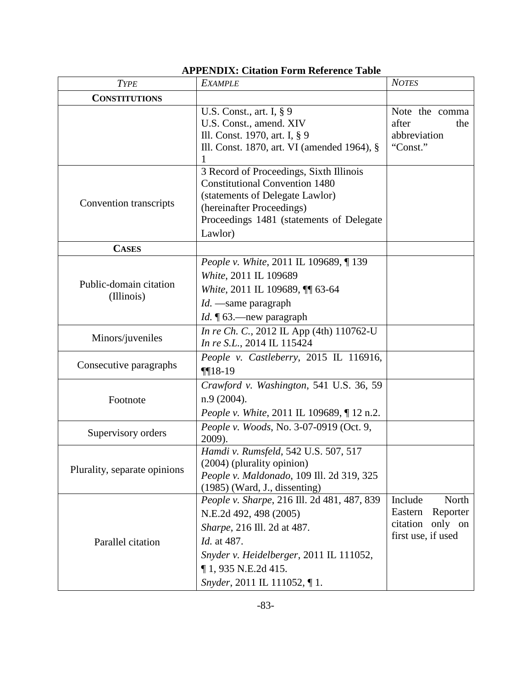| <b>TYPE</b>                          | <b>EXAMPLE</b>                                                                                                                                                                                                            | <b>NOTES</b>                                                                         |
|--------------------------------------|---------------------------------------------------------------------------------------------------------------------------------------------------------------------------------------------------------------------------|--------------------------------------------------------------------------------------|
| <b>CONSTITUTIONS</b>                 |                                                                                                                                                                                                                           |                                                                                      |
|                                      | U.S. Const., art. I, $\S$ 9<br>U.S. Const., amend. XIV<br>Ill. Const. 1970, art. I, § 9<br>Ill. Const. 1870, art. VI (amended 1964), §<br>1                                                                               | Note the comma<br>after<br>the<br>abbreviation<br>"Const."                           |
| Convention transcripts               | 3 Record of Proceedings, Sixth Illinois<br><b>Constitutional Convention 1480</b><br>(statements of Delegate Lawlor)<br>(hereinafter Proceedings)<br>Proceedings 1481 (statements of Delegate<br>Lawlor)                   |                                                                                      |
| <b>CASES</b>                         |                                                                                                                                                                                                                           |                                                                                      |
| Public-domain citation<br>(Illinois) | People v. White, 2011 IL 109689, ¶ 139<br>White, 2011 IL 109689<br>White, 2011 IL 109689, 11 63-64<br>$Id.$ —same paragraph<br>Id. ¶ 63.—new paragraph                                                                    |                                                                                      |
| Minors/juveniles                     | In re Ch. C., 2012 IL App (4th) 110762-U<br>In re S.L., 2014 IL 115424                                                                                                                                                    |                                                                                      |
| Consecutive paragraphs               | People v. Castleberry, 2015 IL 116916,<br>$\P[18-19]$                                                                                                                                                                     |                                                                                      |
| Footnote                             | Crawford v. Washington, 541 U.S. 36, 59<br>n.9 (2004).<br><i>People v. White, 2011 IL 109689, [12 n.2.]</i>                                                                                                               |                                                                                      |
| Supervisory orders                   | People v. Woods, No. 3-07-0919 (Oct. 9,<br>2009).                                                                                                                                                                         |                                                                                      |
| Plurality, separate opinions         | Hamdi v. Rumsfeld, 542 U.S. 507, 517<br>(2004) (plurality opinion)<br>People v. Maldonado, 109 Ill. 2d 319, 325<br>$(1985)$ (Ward, J., dissenting)                                                                        |                                                                                      |
| Parallel citation                    | People v. Sharpe, 216 Ill. 2d 481, 487, 839<br>N.E.2d 492, 498 (2005)<br>Sharpe, 216 Ill. 2d at 487.<br>Id. at 487.<br>Snyder v. Heidelberger, 2011 IL 111052,<br>$\P$ 1, 935 N.E.2d 415.<br>Snyder, 2011 IL 111052, ¶ 1. | Include<br>North<br>Eastern<br>Reporter<br>citation<br>only on<br>first use, if used |

# **APPENDIX: Citation Form Reference Table**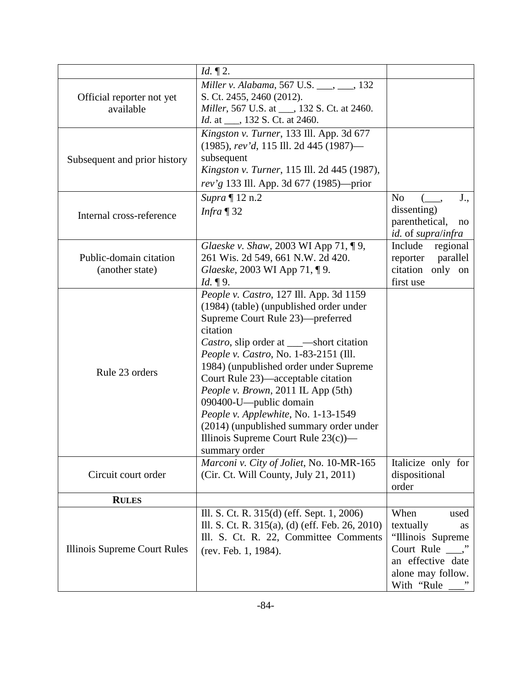|                                           | $Id. \P 2.$                                                                                                                                                                                                                                                                                                                                                                                                                                                             |                                                                                                                                        |
|-------------------------------------------|-------------------------------------------------------------------------------------------------------------------------------------------------------------------------------------------------------------------------------------------------------------------------------------------------------------------------------------------------------------------------------------------------------------------------------------------------------------------------|----------------------------------------------------------------------------------------------------------------------------------------|
| Official reporter not yet<br>available    | Miller v. Alabama, 567 U.S. ___, ___, 132<br>S. Ct. 2455, 2460 (2012).<br>Miller, 567 U.S. at ___, 132 S. Ct. at 2460.<br><i>Id.</i> at ____, 132 S. Ct. at 2460.                                                                                                                                                                                                                                                                                                       |                                                                                                                                        |
| Subsequent and prior history              | Kingston v. Turner, 133 Ill. App. 3d 677<br>$(1985)$ , rev'd, 115 Ill. 2d 445 (1987)—<br>subsequent<br>Kingston v. Turner, 115 Ill. 2d 445 (1987),<br>rev'g 133 Ill. App. 3d 677 (1985)—prior                                                                                                                                                                                                                                                                           |                                                                                                                                        |
| Internal cross-reference                  | Supra ¶ 12 n.2<br><i>Infra</i> $\P$ 32                                                                                                                                                                                                                                                                                                                                                                                                                                  | N <sub>o</sub><br>J.,<br>dissenting)<br>parenthetical,<br>no<br><i>id.</i> of <i>supra/infra</i>                                       |
| Public-domain citation<br>(another state) | Glaeske v. Shaw, 2003 WI App 71, ¶ 9,<br>261 Wis. 2d 549, 661 N.W. 2d 420.<br>Glaeske, 2003 WI App 71, ¶ 9.<br>Id. $\P$ 9.                                                                                                                                                                                                                                                                                                                                              | Include<br>regional<br>parallel<br>reporter<br>citation<br>only on<br>first use                                                        |
| Rule 23 orders                            | People v. Castro, 127 Ill. App. 3d 1159<br>(1984) (table) (unpublished order under<br>Supreme Court Rule 23)-preferred<br>citation<br>People v. Castro, No. 1-83-2151 (Ill.<br>1984) (unpublished order under Supreme<br>Court Rule 23)—acceptable citation<br>People v. Brown, 2011 IL App (5th)<br>090400-U—public domain<br>People v. Applewhite, No. 1-13-1549<br>(2014) (unpublished summary order under<br>Illinois Supreme Court Rule $23(c)$ —<br>summary order |                                                                                                                                        |
| Circuit court order                       | Marconi v. City of Joliet, No. 10-MR-165<br>(Cir. Ct. Will County, July 21, 2011)                                                                                                                                                                                                                                                                                                                                                                                       | Italicize only for<br>dispositional<br>order                                                                                           |
| <b>RULES</b>                              |                                                                                                                                                                                                                                                                                                                                                                                                                                                                         |                                                                                                                                        |
| Illinois Supreme Court Rules              | Ill. S. Ct. R. 315(d) (eff. Sept. 1, 2006)<br>Ill. S. Ct. R. 315(a), (d) (eff. Feb. 26, 2010)<br>Ill. S. Ct. R. 22, Committee Comments<br>(rev. Feb. 1, 1984).                                                                                                                                                                                                                                                                                                          | When<br>used<br>textually<br>as<br>"Illinois Supreme<br>Court Rule $\_\cdot$ "<br>an effective date<br>alone may follow.<br>With "Rule |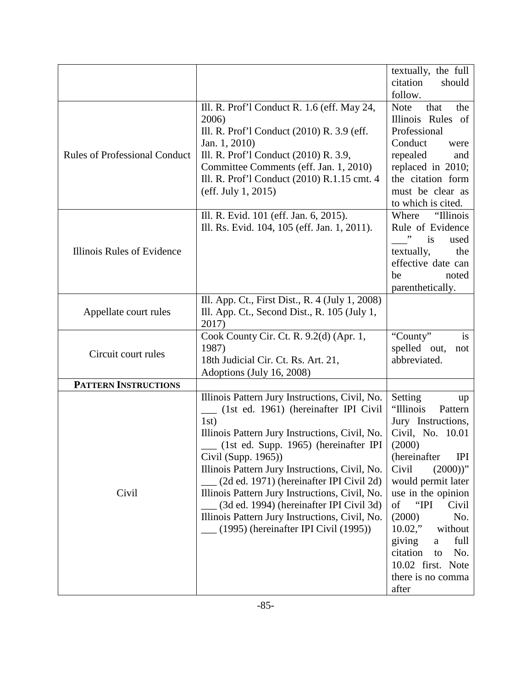|                                      |                                                                                                                                                                                                                                                                                                                                                                                                                                                                                                          | textually, the full<br>citation<br>should                                                                                                                                                                                                                                                                                                                      |
|--------------------------------------|----------------------------------------------------------------------------------------------------------------------------------------------------------------------------------------------------------------------------------------------------------------------------------------------------------------------------------------------------------------------------------------------------------------------------------------------------------------------------------------------------------|----------------------------------------------------------------------------------------------------------------------------------------------------------------------------------------------------------------------------------------------------------------------------------------------------------------------------------------------------------------|
|                                      |                                                                                                                                                                                                                                                                                                                                                                                                                                                                                                          | follow.                                                                                                                                                                                                                                                                                                                                                        |
| <b>Rules of Professional Conduct</b> | Ill. R. Prof'l Conduct R. 1.6 (eff. May 24,<br>2006)<br>Ill. R. Prof'l Conduct (2010) R. 3.9 (eff.<br>Jan. 1, 2010)<br>Ill. R. Prof'l Conduct (2010) R. 3.9,<br>Committee Comments (eff. Jan. 1, 2010)<br>Ill. R. Prof'l Conduct (2010) R.1.15 cmt. 4<br>(eff. July 1, 2015)                                                                                                                                                                                                                             | <b>Note</b><br>that<br>the<br>Illinois Rules of<br>Professional<br>Conduct<br>were<br>repealed<br>and<br>replaced in 2010;<br>the citation form<br>must be clear as<br>to which is cited.                                                                                                                                                                      |
| Illinois Rules of Evidence           | Ill. R. Evid. 101 (eff. Jan. 6, 2015).<br>Ill. Rs. Evid. 104, 105 (eff. Jan. 1, 2011).                                                                                                                                                                                                                                                                                                                                                                                                                   | Where<br>"Illinois<br>Rule of Evidence<br>is<br>used<br>textually,<br>the<br>effective date can<br>be<br>noted<br>parenthetically.                                                                                                                                                                                                                             |
| Appellate court rules                | Ill. App. Ct., First Dist., R. 4 (July 1, 2008)<br>Ill. App. Ct., Second Dist., R. 105 (July 1,<br>2017)                                                                                                                                                                                                                                                                                                                                                                                                 |                                                                                                                                                                                                                                                                                                                                                                |
| Circuit court rules                  | Cook County Cir. Ct. R. 9.2(d) (Apr. 1,<br>1987)<br>18th Judicial Cir. Ct. Rs. Art. 21,<br>Adoptions (July 16, 2008)                                                                                                                                                                                                                                                                                                                                                                                     | "County"<br>is<br>spelled out,<br>not<br>abbreviated.                                                                                                                                                                                                                                                                                                          |
| <b>PATTERN INSTRUCTIONS</b>          |                                                                                                                                                                                                                                                                                                                                                                                                                                                                                                          |                                                                                                                                                                                                                                                                                                                                                                |
| Civil                                | Illinois Pattern Jury Instructions, Civil, No.<br>(1st ed. 1961) (hereinafter IPI Civil<br>1st)<br>Illinois Pattern Jury Instructions, Civil, No.<br>(1st ed. Supp. 1965) (hereinafter IPI<br>Civil (Supp. 1965))<br>Illinois Pattern Jury Instructions, Civil, No.<br>(2d ed. 1971) (hereinafter IPI Civil 2d)<br>Illinois Pattern Jury Instructions, Civil, No.<br>(3d ed. 1994) (hereinafter IPI Civil 3d)<br>Illinois Pattern Jury Instructions, Civil, No.<br>(1995) (hereinafter IPI Civil (1995)) | Setting<br>up<br>"Illinois<br>Pattern<br>Jury Instructions,<br>Civil, No. 10.01<br>(2000)<br>(hereinafter<br><b>IPI</b><br>Civil<br>$(2000)$ "<br>would permit later<br>use in the opinion<br>"IPI<br>of<br>Civil<br>(2000)<br>No.<br>$10.02$ ,"<br>without<br>giving<br>full<br>a<br>citation<br>No.<br>to<br>10.02 first. Note<br>there is no comma<br>after |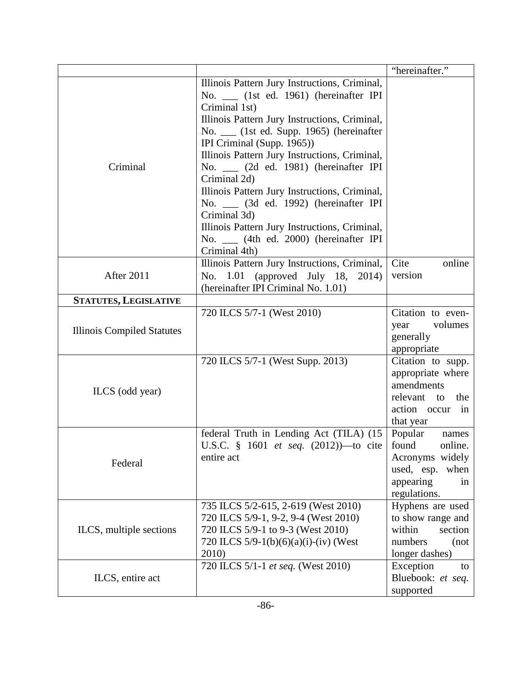|                                   |                                                                                                                                                                                                                                                                                                                                                                                                                                                                                                                                                                  | "hereinafter."                                                                                                   |
|-----------------------------------|------------------------------------------------------------------------------------------------------------------------------------------------------------------------------------------------------------------------------------------------------------------------------------------------------------------------------------------------------------------------------------------------------------------------------------------------------------------------------------------------------------------------------------------------------------------|------------------------------------------------------------------------------------------------------------------|
| Criminal                          | Illinois Pattern Jury Instructions, Criminal,<br>No. (1st ed. 1961) (hereinafter IPI<br>Criminal 1st)<br>Illinois Pattern Jury Instructions, Criminal,<br>No. __ (1st ed. Supp. 1965) (hereinafter<br>IPI Criminal (Supp. 1965))<br>Illinois Pattern Jury Instructions, Criminal,<br>No. __ (2d ed. 1981) (hereinafter IPI<br>Criminal 2d)<br>Illinois Pattern Jury Instructions, Criminal,<br>No. __ (3d ed. 1992) (hereinafter IPI<br>Criminal 3d)<br>Illinois Pattern Jury Instructions, Criminal,<br>No. __ (4th ed. 2000) (hereinafter IPI<br>Criminal 4th) |                                                                                                                  |
| After 2011                        | Illinois Pattern Jury Instructions, Criminal,<br>No. 1.01 (approved July 18,<br>2014)<br>(hereinafter IPI Criminal No. 1.01)                                                                                                                                                                                                                                                                                                                                                                                                                                     | Cite<br>online<br>version                                                                                        |
| <b>STATUTES, LEGISLATIVE</b>      |                                                                                                                                                                                                                                                                                                                                                                                                                                                                                                                                                                  |                                                                                                                  |
| <b>Illinois Compiled Statutes</b> | 720 ILCS 5/7-1 (West 2010)                                                                                                                                                                                                                                                                                                                                                                                                                                                                                                                                       | Citation to even-<br>year<br>volumes<br>generally<br>appropriate                                                 |
| ILCS (odd year)                   | 720 ILCS 5/7-1 (West Supp. 2013)                                                                                                                                                                                                                                                                                                                                                                                                                                                                                                                                 | Citation to supp.<br>appropriate where<br>amendments<br>relevant<br>to<br>the<br>action occur in<br>that year    |
| Federal                           | federal Truth in Lending Act (TILA) (15<br>U.S.C. § 1601 et seq. (2012))-to cite<br>entire act                                                                                                                                                                                                                                                                                                                                                                                                                                                                   | Popular<br>names<br>found<br>online.<br>Acronyms widely<br>used, esp.<br>when<br>appearing<br>in<br>regulations. |
| ILCS, multiple sections           | 735 ILCS 5/2-615, 2-619 (West 2010)<br>720 ILCS 5/9-1, 9-2, 9-4 (West 2010)<br>720 ILCS 5/9-1 to 9-3 (West 2010)<br>720 ILCS 5/9-1(b)(6)(a)(i)-(iv) (West<br>2010)                                                                                                                                                                                                                                                                                                                                                                                               | Hyphens are used<br>to show range and<br>within<br>section<br>numbers<br>(not)<br>longer dashes)                 |
| ILCS, entire act                  | 720 ILCS 5/1-1 et seq. (West 2010)                                                                                                                                                                                                                                                                                                                                                                                                                                                                                                                               | Exception<br>to<br>Bluebook: et seq.<br>supported                                                                |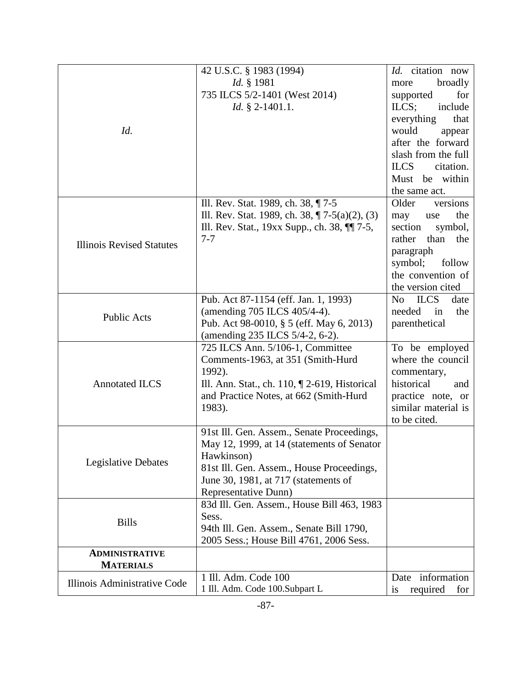|                                  | 42 U.S.C. § 1983 (1994)                           | Id. citation now             |
|----------------------------------|---------------------------------------------------|------------------------------|
|                                  | Id. § 1981                                        | broadly<br>more              |
|                                  | 735 ILCS 5/2-1401 (West 2014)                     | for<br>supported             |
|                                  | <i>Id.</i> $\S$ 2-1401.1.                         | $ILCS$ ;<br>include          |
|                                  |                                                   |                              |
|                                  |                                                   | everything<br>that           |
| Id.                              |                                                   | would<br>appear              |
|                                  |                                                   | after the forward            |
|                                  |                                                   | slash from the full          |
|                                  |                                                   | <b>ILCS</b><br>citation.     |
|                                  |                                                   | Must be within               |
|                                  |                                                   | the same act.                |
|                                  | Ill. Rev. Stat. 1989, ch. 38, ¶7-5                | versions<br>Older            |
|                                  | Ill. Rev. Stat. 1989, ch. 38, $\P$ 7-5(a)(2), (3) | the<br>may<br>use            |
|                                  | Ill. Rev. Stat., 19xx Supp., ch. 38, ¶[7-5,       | section<br>symbol,           |
| <b>Illinois Revised Statutes</b> | $7 - 7$                                           | the<br>rather<br>than        |
|                                  |                                                   | paragraph                    |
|                                  |                                                   | symbol;<br>follow            |
|                                  |                                                   | the convention of            |
|                                  |                                                   | the version cited            |
|                                  | Pub. Act 87-1154 (eff. Jan. 1, 1993)              | <b>ILCS</b><br>date<br>No    |
| <b>Public Acts</b>               | (amending 705 ILCS 405/4-4).                      | needed<br>in<br>the          |
|                                  | Pub. Act 98-0010, § 5 (eff. May 6, 2013)          | parenthetical                |
|                                  | (amending 235 ILCS 5/4-2, 6-2).                   |                              |
|                                  | 725 ILCS Ann. 5/106-1, Committee                  | To be employed               |
|                                  | Comments-1963, at 351 (Smith-Hurd                 | where the council            |
|                                  | 1992).                                            | commentary,                  |
| <b>Annotated ILCS</b>            | Ill. Ann. Stat., ch. 110, 12-619, Historical      | historical<br>and            |
|                                  | and Practice Notes, at 662 (Smith-Hurd            | practice note, or            |
|                                  | 1983).                                            | similar material is          |
|                                  |                                                   | to be cited.                 |
|                                  | 91st Ill. Gen. Assem., Senate Proceedings,        |                              |
|                                  | May 12, 1999, at 14 (statements of Senator        |                              |
|                                  | Hawkinson)                                        |                              |
| <b>Legislative Debates</b>       | 81st Ill. Gen. Assem., House Proceedings,         |                              |
|                                  | June 30, 1981, at 717 (statements of              |                              |
|                                  | Representative Dunn)                              |                              |
|                                  | 83d Ill. Gen. Assem., House Bill 463, 1983        |                              |
| <b>Bills</b>                     | Sess.                                             |                              |
|                                  | 94th Ill. Gen. Assem., Senate Bill 1790,          |                              |
|                                  | 2005 Sess.; House Bill 4761, 2006 Sess.           |                              |
| <b>ADMINISTRATIVE</b>            |                                                   |                              |
| <b>MATERIALS</b>                 |                                                   |                              |
| Illinois Administrative Code     | 1 Ill. Adm. Code 100                              | Date information             |
|                                  | 1 Ill. Adm. Code 100.Subpart L                    | required<br>for<br><i>is</i> |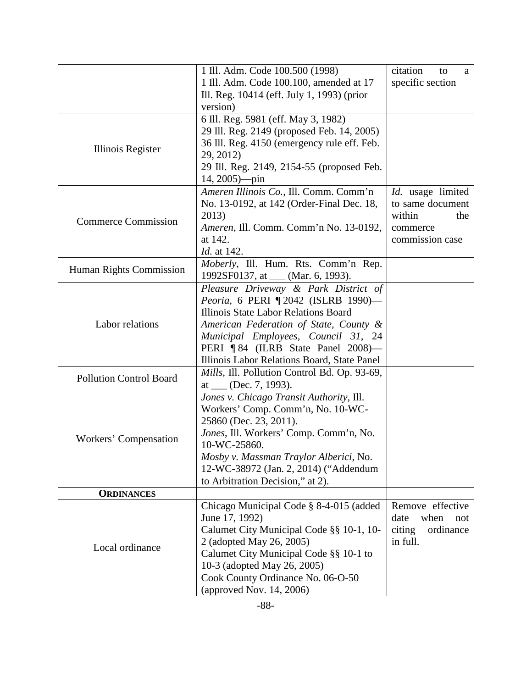|                                | 1 Ill. Adm. Code 100.500 (1998)              | citation<br>to<br>a |
|--------------------------------|----------------------------------------------|---------------------|
|                                | 1 Ill. Adm. Code 100.100, amended at 17      | specific section    |
|                                | Ill. Reg. 10414 (eff. July 1, 1993) (prior   |                     |
|                                | version)                                     |                     |
|                                | 6 Ill. Reg. 5981 (eff. May 3, 1982)          |                     |
| Illinois Register              | 29 Ill. Reg. 2149 (proposed Feb. 14, 2005)   |                     |
|                                | 36 Ill. Reg. 4150 (emergency rule eff. Feb.  |                     |
|                                | 29, 2012)                                    |                     |
|                                | 29 Ill. Reg. 2149, 2154-55 (proposed Feb.    |                     |
|                                | $14, 2005$ ) $-pin$                          |                     |
|                                | Ameren Illinois Co., Ill. Comm. Comm'n       | Id. usage limited   |
|                                | No. 13-0192, at 142 (Order-Final Dec. 18,    | to same document    |
|                                | 2013)                                        | within<br>the       |
| <b>Commerce Commission</b>     | Ameren, Ill. Comm. Comm'n No. 13-0192,       | commerce            |
|                                | at 142.                                      | commission case     |
|                                | Id. at 142.                                  |                     |
|                                | Moberly, Ill. Hum. Rts. Comm'n Rep.          |                     |
| Human Rights Commission        | 1992SF0137, at __ (Mar. 6, 1993).            |                     |
|                                | Pleasure Driveway & Park District of         |                     |
|                                | Peoria, 6 PERI 12042 (ISLRB 1990)-           |                     |
|                                | Illinois State Labor Relations Board         |                     |
| Labor relations                | American Federation of State, County &       |                     |
|                                | Municipal Employees, Council 31, 24          |                     |
|                                | PERI ¶84 (ILRB State Panel 2008)—            |                     |
|                                | Illinois Labor Relations Board, State Panel  |                     |
|                                | Mills, Ill. Pollution Control Bd. Op. 93-69, |                     |
| <b>Pollution Control Board</b> | at $\_\_$ (Dec. 7, 1993).                    |                     |
|                                | Jones v. Chicago Transit Authority, Ill.     |                     |
| Workers' Compensation          | Workers' Comp. Comm'n, No. 10-WC-            |                     |
|                                | 25860 (Dec. 23, 2011).                       |                     |
|                                | Jones, Ill. Workers' Comp. Comm'n, No.       |                     |
|                                | 10-WC-25860.                                 |                     |
|                                | Mosby v. Massman Traylor Alberici, No.       |                     |
|                                | 12-WC-38972 (Jan. 2, 2014) ("Addendum        |                     |
|                                | to Arbitration Decision," at 2).             |                     |
| <b>ORDINANCES</b>              |                                              |                     |
|                                | Chicago Municipal Code § 8-4-015 (added      | Remove effective    |
|                                | June 17, 1992)                               | when<br>date<br>not |
| Local ordinance                | Calumet City Municipal Code §§ 10-1, 10-     | ordinance<br>citing |
|                                | 2 (adopted May 26, 2005)                     | in full.            |
|                                | Calumet City Municipal Code §§ 10-1 to       |                     |
|                                | 10-3 (adopted May 26, 2005)                  |                     |
|                                | Cook County Ordinance No. 06-O-50            |                     |
|                                | (approved Nov. 14, 2006)                     |                     |
|                                |                                              |                     |